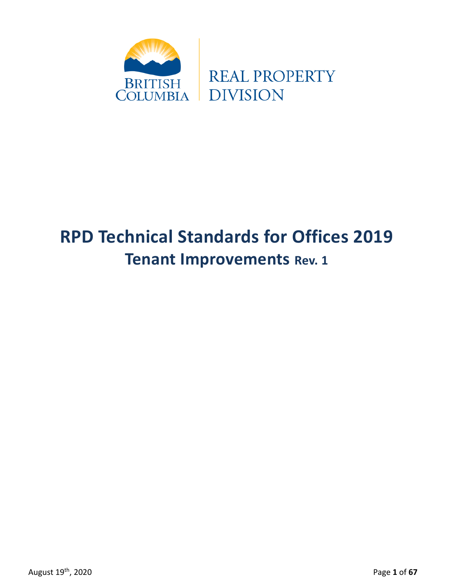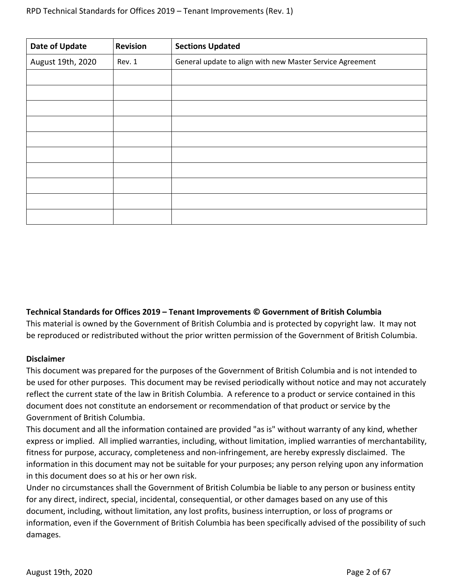| <b>Date of Update</b> | <b>Revision</b> | <b>Sections Updated</b>                                   |
|-----------------------|-----------------|-----------------------------------------------------------|
| August 19th, 2020     | Rev. 1          | General update to align with new Master Service Agreement |
|                       |                 |                                                           |
|                       |                 |                                                           |
|                       |                 |                                                           |
|                       |                 |                                                           |
|                       |                 |                                                           |
|                       |                 |                                                           |
|                       |                 |                                                           |
|                       |                 |                                                           |
|                       |                 |                                                           |
|                       |                 |                                                           |

### **Technical Standards for Offices 2019 – Tenant Improvements © Government of British Columbia**

This material is owned by the Government of British Columbia and is protected by copyright law. It may not be reproduced or redistributed without the prior written permission of the Government of British Columbia.

### **Disclaimer**

This document was prepared for the purposes of the Government of British Columbia and is not intended to be used for other purposes. This document may be revised periodically without notice and may not accurately reflect the current state of the law in British Columbia. A reference to a product or service contained in this document does not constitute an endorsement or recommendation of that product or service by the Government of British Columbia.

This document and all the information contained are provided "as is" without warranty of any kind, whether express or implied. All implied warranties, including, without limitation, implied warranties of merchantability, fitness for purpose, accuracy, completeness and non-infringement, are hereby expressly disclaimed. The information in this document may not be suitable for your purposes; any person relying upon any information in this document does so at his or her own risk.

Under no circumstances shall the Government of British Columbia be liable to any person or business entity for any direct, indirect, special, incidental, consequential, or other damages based on any use of this document, including, without limitation, any lost profits, business interruption, or loss of programs or information, even if the Government of British Columbia has been specifically advised of the possibility of such damages.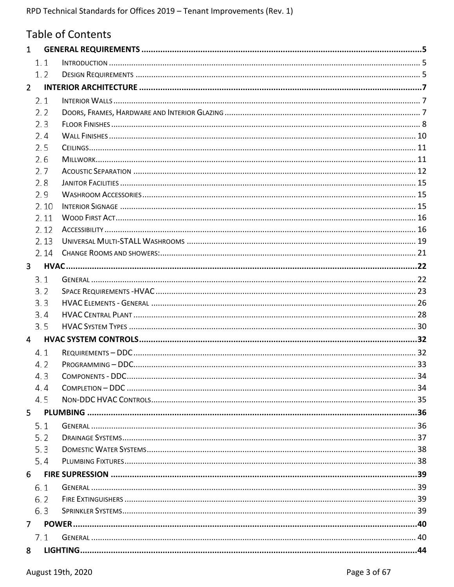|                | <b>Table of Contents</b> |  |
|----------------|--------------------------|--|
| $\mathbf{1}$   |                          |  |
| 1.1            |                          |  |
| 1.2            |                          |  |
| $\overline{2}$ |                          |  |
| 2.1            |                          |  |
| 2.2            |                          |  |
| 2.3            |                          |  |
| 2.4            |                          |  |
| 2.5            |                          |  |
| 2.6            |                          |  |
| 2.7            |                          |  |
| 2.8            |                          |  |
| 2.9            |                          |  |
| 2.10           |                          |  |
| 2.11           |                          |  |
| 2.12           |                          |  |
| 2.13           |                          |  |
| 2.14           |                          |  |
| $\mathbf{3}$   |                          |  |
| 3.1            |                          |  |
| 3.2            |                          |  |
| 3.3            |                          |  |
| 3.4            |                          |  |
| 3.5            |                          |  |
| $\overline{4}$ |                          |  |
| 4.1            |                          |  |
| 4.2            |                          |  |
| 4.3            |                          |  |
| 4.4            |                          |  |
| 4.5            |                          |  |
| 5              |                          |  |
| 5.1            |                          |  |
| 5.2            |                          |  |
| 5.3            |                          |  |
| 5.4            |                          |  |
| 6              |                          |  |
| 6.1            |                          |  |
| 6.2            |                          |  |
| 6.3            |                          |  |
| 7              |                          |  |
| 7.1            |                          |  |
| 8              |                          |  |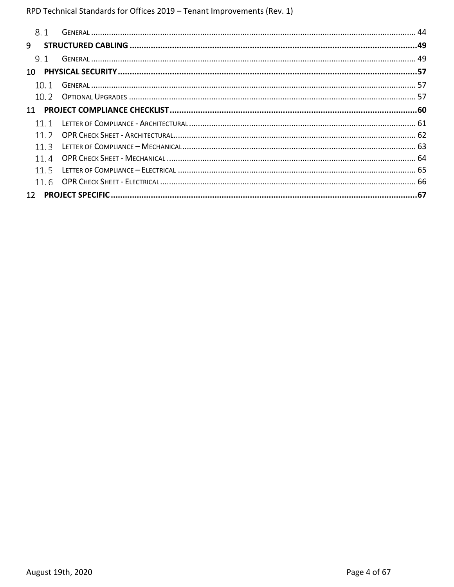|                 | 8.1  |  |
|-----------------|------|--|
| 9               |      |  |
|                 | 9.1  |  |
| 10 I            |      |  |
|                 | 10.1 |  |
|                 |      |  |
| 11              |      |  |
|                 | 11 1 |  |
|                 | 11 2 |  |
|                 | 11 3 |  |
|                 | 11 4 |  |
|                 | 11.5 |  |
|                 | 11.6 |  |
| 12 <sup>2</sup> |      |  |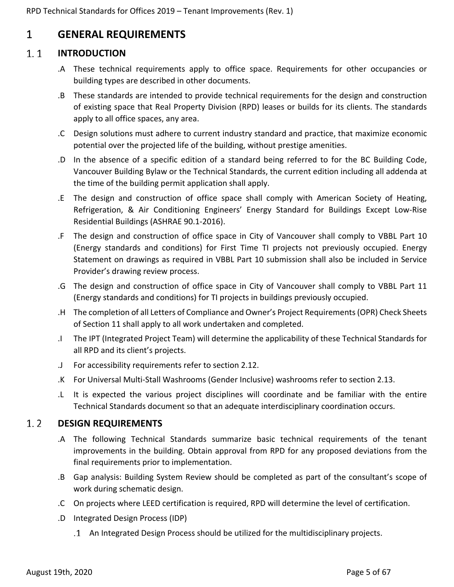## <span id="page-4-0"></span>1 **GENERAL REQUIREMENTS**

#### <span id="page-4-1"></span> $1.1$ **INTRODUCTION**

- .A These technical requirements apply to office space. Requirements for other occupancies or building types are described in other documents.
- .B These standards are intended to provide technical requirements for the design and construction of existing space that Real Property Division (RPD) leases or builds for its clients. The standards apply to all office spaces, any area.
- .C Design solutions must adhere to current industry standard and practice, that maximize economic potential over the projected life of the building, without prestige amenities.
- .D In the absence of a specific edition of a standard being referred to for the BC Building Code, Vancouver Building Bylaw or the Technical Standards, the current edition including all addenda at the time of the building permit application shall apply.
- .E The design and construction of office space shall comply with American Society of Heating, Refrigeration, & Air Conditioning Engineers' Energy Standard for Buildings Except Low-Rise Residential Buildings (ASHRAE 90.1-2016).
- .F The design and construction of office space in City of Vancouver shall comply to VBBL Part 10 (Energy standards and conditions) for First Time TI projects not previously occupied. Energy Statement on drawings as required in VBBL Part 10 submission shall also be included in Service Provider's drawing review process.
- .G The design and construction of office space in City of Vancouver shall comply to VBBL Part 11 (Energy standards and conditions) for TI projects in buildings previously occupied.
- .H The completion of all Letters of Compliance and Owner's Project Requirements (OPR) Check Sheets of Section 11 shall apply to all work undertaken and completed.
- .I The IPT (Integrated Project Team) will determine the applicability of these Technical Standards for all RPD and its client's projects.
- .J For accessibility requirements refer to section 2.12.
- .K For Universal Multi-Stall Washrooms (Gender Inclusive) washrooms refer to section 2.13.
- .L It is expected the various project disciplines will coordinate and be familiar with the entire Technical Standards document so that an adequate interdisciplinary coordination occurs.

#### <span id="page-4-2"></span> $1.2$ **DESIGN REQUIREMENTS**

- .A The following Technical Standards summarize basic technical requirements of the tenant improvements in the building. Obtain approval from RPD for any proposed deviations from the final requirements prior to implementation.
- .B Gap analysis: Building System Review should be completed as part of the consultant's scope of work during schematic design.
- .C On projects where LEED certification is required, RPD will determine the level of certification.
- .D Integrated Design Process (IDP)
	- An Integrated Design Process should be utilized for the multidisciplinary projects.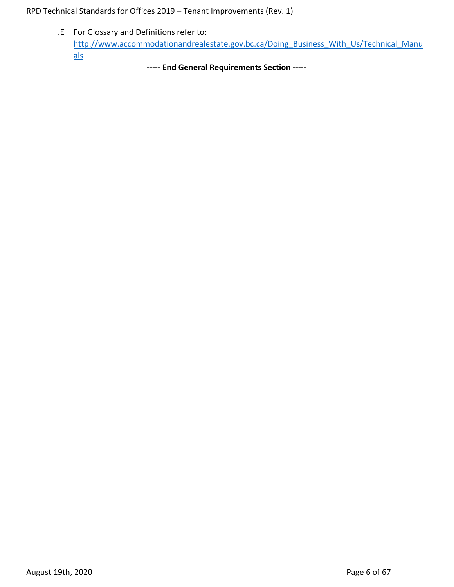.E For Glossary and Definitions refer to: [http://www.accommodationandrealestate.gov.bc.ca/Doing\\_Business\\_With\\_Us/Technical\\_Manu](http://www.accommodationandrealestate.gov.bc.ca/Doing_Business_With_Us/Technical_Manuals) [als](http://www.accommodationandrealestate.gov.bc.ca/Doing_Business_With_Us/Technical_Manuals) 

**----- End General Requirements Section -----**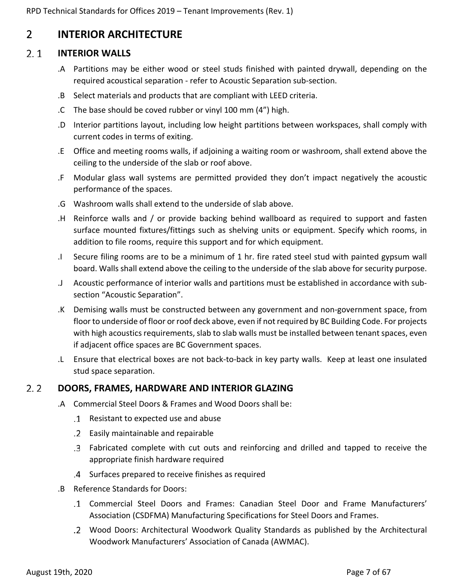## <span id="page-6-0"></span>2 **INTERIOR ARCHITECTURE**

#### <span id="page-6-1"></span> $2.1$ **INTERIOR WALLS**

- .A Partitions may be either wood or steel studs finished with painted drywall, depending on the required acoustical separation - refer to Acoustic Separation sub-section.
- .B Select materials and products that are compliant with LEED criteria.
- .C The base should be coved rubber or vinyl 100 mm (4") high.
- .D Interior partitions layout, including low height partitions between workspaces, shall comply with current codes in terms of exiting.
- .E Office and meeting rooms walls, if adjoining a waiting room or washroom, shall extend above the ceiling to the underside of the slab or roof above.
- .F Modular glass wall systems are permitted provided they don't impact negatively the acoustic performance of the spaces.
- .G Washroom walls shall extend to the underside of slab above.
- .H Reinforce walls and / or provide backing behind wallboard as required to support and fasten surface mounted fixtures/fittings such as shelving units or equipment. Specify which rooms, in addition to file rooms, require this support and for which equipment.
- .I Secure filing rooms are to be a minimum of 1 hr. fire rated steel stud with painted gypsum wall board. Walls shall extend above the ceiling to the underside of the slab above for security purpose.
- .J Acoustic performance of interior walls and partitions must be established in accordance with subsection "Acoustic Separation".
- .K Demising walls must be constructed between any government and non-government space, from floor to underside of floor or roof deck above, even if not required by BC Building Code. For projects with high acoustics requirements, slab to slab walls must be installed between tenant spaces, even if adjacent office spaces are BC Government spaces.
- .L Ensure that electrical boxes are not back-to-back in key party walls. Keep at least one insulated stud space separation.

#### <span id="page-6-2"></span> $2.2$ **DOORS, FRAMES, HARDWARE AND INTERIOR GLAZING**

- .A Commercial Steel Doors & Frames and Wood Doors shall be:
	- Resistant to expected use and abuse
	- Easily maintainable and repairable
	- Fabricated complete with cut outs and reinforcing and drilled and tapped to receive the appropriate finish hardware required
	- Surfaces prepared to receive finishes as required
- .B Reference Standards for Doors:
	- Commercial Steel Doors and Frames: Canadian Steel Door and Frame Manufacturers' Association (CSDFMA) Manufacturing Specifications for Steel Doors and Frames.
	- Wood Doors: Architectural Woodwork Quality Standards as published by the Architectural Woodwork Manufacturers' Association of Canada (AWMAC).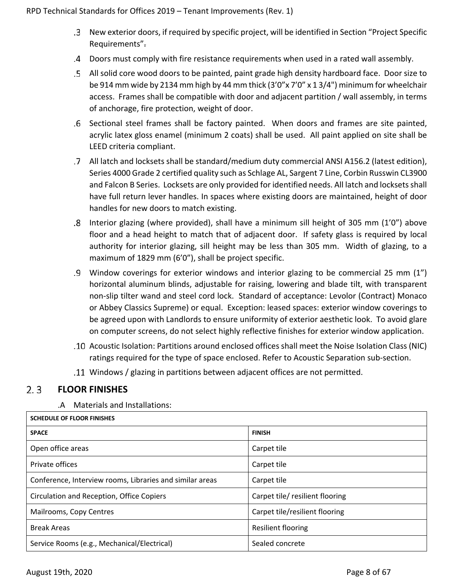- New exterior doors, if required by specific project, will be identified in Section "Project Specific Requirements".
- Doors must comply with fire resistance requirements when used in a rated wall assembly.
- All solid core wood doors to be painted, paint grade high density hardboard face. Door size to be 914 mm wide by 2134 mm high by 44 mm thick (3'0"x 7'0" x 1 3/4") minimum for wheelchair access. Frames shall be compatible with door and adjacent partition / wall assembly, in terms of anchorage, fire protection, weight of door.
- Sectional steel frames shall be factory painted. When doors and frames are site painted, acrylic latex gloss enamel (minimum 2 coats) shall be used. All paint applied on site shall be LEED criteria compliant.
- All latch and locksets shall be standard/medium duty commercial ANSI A156.2 (latest edition), Series 4000 Grade 2 certified quality such as Schlage AL, Sargent 7 Line, Corbin Russwin CL3900 and Falcon B Series. Locksets are only provided for identified needs. All latch and locksets shall have full return lever handles. In spaces where existing doors are maintained, height of door handles for new doors to match existing.
- Interior glazing (where provided), shall have a minimum sill height of 305 mm (1'0") above floor and a head height to match that of adjacent door. If safety glass is required by local authority for interior glazing, sill height may be less than 305 mm. Width of glazing, to a maximum of 1829 mm (6'0"), shall be project specific.
- Window coverings for exterior windows and interior glazing to be commercial 25 mm (1") horizontal aluminum blinds, adjustable for raising, lowering and blade tilt, with transparent non-slip tilter wand and steel cord lock. Standard of acceptance: Levolor (Contract) Monaco or Abbey Classics Supreme) or equal. Exception: leased spaces: exterior window coverings to be agreed upon with Landlords to ensure uniformity of exterior aesthetic look. To avoid glare on computer screens, do not select highly reflective finishes for exterior window application.
- Acoustic Isolation: Partitions around enclosed offices shall meet the Noise Isolation Class (NIC) ratings required for the type of space enclosed. Refer to Acoustic Separation sub-section.
- Windows / glazing in partitions between adjacent offices are not permitted.

#### <span id="page-7-0"></span> $2.3$ **FLOOR FINISHES**

.A Materials and Installations:

| <b>SCHEDULE OF FLOOR FINISHES</b>                        |                                |  |  |  |  |  |
|----------------------------------------------------------|--------------------------------|--|--|--|--|--|
| <b>SPACE</b>                                             | <b>FINISH</b>                  |  |  |  |  |  |
| Open office areas                                        | Carpet tile                    |  |  |  |  |  |
| Private offices                                          | Carpet tile                    |  |  |  |  |  |
| Conference, Interview rooms, Libraries and similar areas | Carpet tile                    |  |  |  |  |  |
| Circulation and Reception, Office Copiers                | Carpet tile/resilient flooring |  |  |  |  |  |
| Mailrooms, Copy Centres                                  | Carpet tile/resilient flooring |  |  |  |  |  |
| <b>Break Areas</b>                                       | <b>Resilient flooring</b>      |  |  |  |  |  |
| Service Rooms (e.g., Mechanical/Electrical)              | Sealed concrete                |  |  |  |  |  |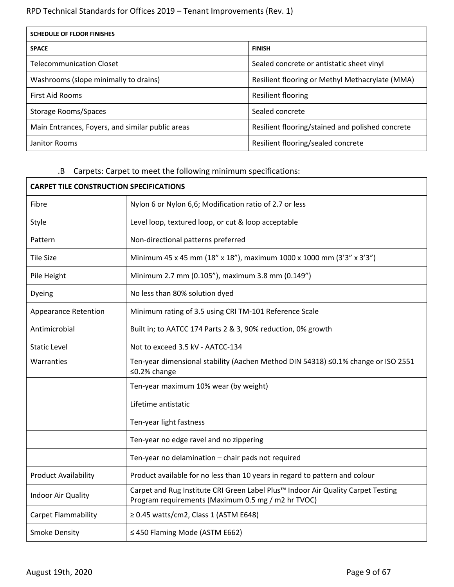| <b>SCHEDULE OF FLOOR FINISHES</b>                |                                                  |  |  |  |  |
|--------------------------------------------------|--------------------------------------------------|--|--|--|--|
| <b>SPACE</b>                                     | <b>FINISH</b>                                    |  |  |  |  |
| <b>Telecommunication Closet</b>                  | Sealed concrete or antistatic sheet vinyl        |  |  |  |  |
| Washrooms (slope minimally to drains)            | Resilient flooring or Methyl Methacrylate (MMA)  |  |  |  |  |
| <b>First Aid Rooms</b>                           | Resilient flooring                               |  |  |  |  |
| Storage Rooms/Spaces                             | Sealed concrete                                  |  |  |  |  |
| Main Entrances, Foyers, and similar public areas | Resilient flooring/stained and polished concrete |  |  |  |  |
| Janitor Rooms                                    | Resilient flooring/sealed concrete               |  |  |  |  |

## .B Carpets: Carpet to meet the following minimum specifications:

| <b>CARPET TILE CONSTRUCTION SPECIFICATIONS</b> |                                                                                                                                        |  |  |  |  |
|------------------------------------------------|----------------------------------------------------------------------------------------------------------------------------------------|--|--|--|--|
| Fibre                                          | Nylon 6 or Nylon 6,6; Modification ratio of 2.7 or less                                                                                |  |  |  |  |
| Style                                          | Level loop, textured loop, or cut & loop acceptable                                                                                    |  |  |  |  |
| Pattern                                        | Non-directional patterns preferred                                                                                                     |  |  |  |  |
| <b>Tile Size</b>                               | Minimum 45 x 45 mm (18" x 18"), maximum 1000 x 1000 mm (3'3" x 3'3")                                                                   |  |  |  |  |
| Pile Height                                    | Minimum 2.7 mm (0.105"), maximum 3.8 mm (0.149")                                                                                       |  |  |  |  |
| Dyeing                                         | No less than 80% solution dyed                                                                                                         |  |  |  |  |
| <b>Appearance Retention</b>                    | Minimum rating of 3.5 using CRI TM-101 Reference Scale                                                                                 |  |  |  |  |
| Antimicrobial                                  | Built in; to AATCC 174 Parts 2 & 3, 90% reduction, 0% growth                                                                           |  |  |  |  |
| <b>Static Level</b>                            | Not to exceed 3.5 kV - AATCC-134                                                                                                       |  |  |  |  |
| Warranties                                     | Ten-year dimensional stability (Aachen Method DIN 54318) ≤0.1% change or ISO 2551<br>≤0.2% change                                      |  |  |  |  |
|                                                | Ten-year maximum 10% wear (by weight)                                                                                                  |  |  |  |  |
|                                                | Lifetime antistatic                                                                                                                    |  |  |  |  |
|                                                | Ten-year light fastness                                                                                                                |  |  |  |  |
|                                                | Ten-year no edge ravel and no zippering                                                                                                |  |  |  |  |
|                                                | Ten-year no delamination - chair pads not required                                                                                     |  |  |  |  |
| <b>Product Availability</b>                    | Product available for no less than 10 years in regard to pattern and colour                                                            |  |  |  |  |
| <b>Indoor Air Quality</b>                      | Carpet and Rug Institute CRI Green Label Plus™ Indoor Air Quality Carpet Testing<br>Program requirements (Maximum 0.5 mg / m2 hr TVOC) |  |  |  |  |
| <b>Carpet Flammability</b>                     | $\geq$ 0.45 watts/cm2, Class 1 (ASTM E648)                                                                                             |  |  |  |  |
| <b>Smoke Density</b>                           | ≤ 450 Flaming Mode (ASTM E662)                                                                                                         |  |  |  |  |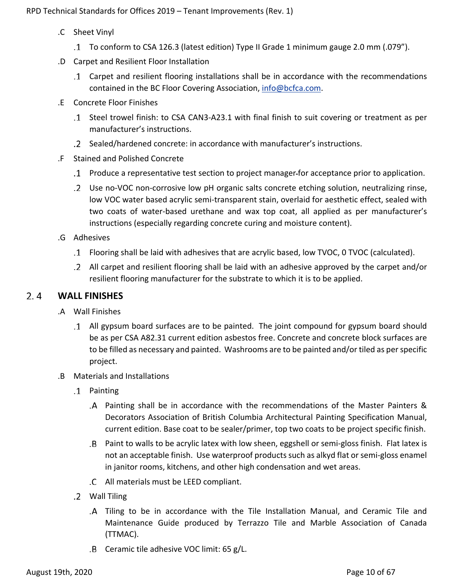- .C Sheet Vinyl
	- To conform to CSA 126.3 (latest edition) Type II Grade 1 minimum gauge 2.0 mm (.079").
- .D Carpet and Resilient Floor Installation
	- Carpet and resilient flooring installations shall be in accordance with the recommendations contained in the BC Floor Covering Association, [info@bcfca.com.](mailto:info@bcfca.com)
- .E Concrete Floor Finishes
	- Steel trowel finish: to CSA CAN3-A23.1 with final finish to suit covering or treatment as per manufacturer's instructions.
	- Sealed/hardened concrete: in accordance with manufacturer's instructions.
- .F Stained and Polished Concrete
	- Produce a representative test section to project manager for acceptance prior to application.
	- Use no-VOC non-corrosive low pH organic salts concrete etching solution, neutralizing rinse, low VOC water based acrylic semi-transparent stain, overlaid for aesthetic effect, sealed with two coats of water-based urethane and wax top coat, all applied as per manufacturer's instructions (especially regarding concrete curing and moisture content).
- .G Adhesives
	- Flooring shall be laid with adhesives that are acrylic based, low TVOC, 0 TVOC (calculated).
	- All carpet and resilient flooring shall be laid with an adhesive approved by the carpet and/or resilient flooring manufacturer for the substrate to which it is to be applied.

#### <span id="page-9-0"></span> $2.4$ **WALL FINISHES**

- .A Wall Finishes
	- All gypsum board surfaces are to be painted. The joint compound for gypsum board should be as per CSA A82.31 current edition asbestos free. Concrete and concrete block surfaces are to be filled as necessary and painted. Washrooms are to be painted and/or tiled as per specific project.
- .B Materials and Installations
	- Painting
		- Painting shall be in accordance with the recommendations of the Master Painters & Decorators Association of British Columbia Architectural Painting Specification Manual, current edition. Base coat to be sealer/primer, top two coats to be project specific finish.
		- Paint to walls to be acrylic latex with low sheen, eggshell or semi-gloss finish. Flat latex is not an acceptable finish. Use waterproof products such as alkyd flat or semi-gloss enamel in janitor rooms, kitchens, and other high condensation and wet areas.
		- All materials must be LEED compliant.
	- Wall Tiling
		- Tiling to be in accordance with the Tile Installation Manual, and Ceramic Tile and Maintenance Guide produced by Terrazzo Tile and Marble Association of Canada (TTMAC).
		- $B$  Ceramic tile adhesive VOC limit: 65 g/L.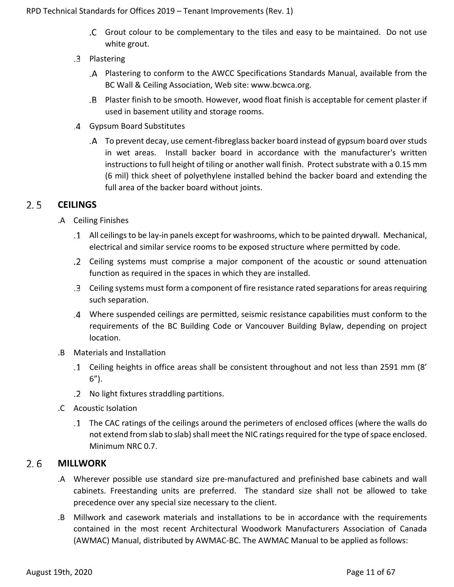- Grout colour to be complementary to the tiles and easy to be maintained. Do not use white grout.
- .3 Plastering
	- Plastering to conform to the AWCC Specifications Standards Manual, available from the BC Wall & Ceiling Association, Web site: www.bcwca.org.
	- Plaster finish to be smooth. However, wood float finish is acceptable for cement plaster if used in basement utility and storage rooms.
- Gypsum Board Substitutes
	- To prevent decay, use cement-fibreglass backer board instead of gypsum board over studs in wet areas. Install backer board in accordance with the manufacturer's written instructions to full height of tiling or another wall finish. Protect substrate with a 0.15 mm (6 mil) thick sheet of polyethylene installed behind the backer board and extending the full area of the backer board without joints.

#### <span id="page-10-0"></span> $2.5$ **CEILINGS**

- .A Ceiling Finishes
	- All ceilings to be lay-in panels except for washrooms, which to be painted drywall. Mechanical, electrical and similar service rooms to be exposed structure where permitted by code.
	- Ceiling systems must comprise a major component of the acoustic or sound attenuation function as required in the spaces in which they are installed.
	- Ceiling systems must form a component of fire resistance rated separations for areas requiring such separation.
	- Where suspended ceilings are permitted, seismic resistance capabilities must conform to the requirements of the BC Building Code or Vancouver Building Bylaw, depending on project location.
- .B Materials and Installation
	- Ceiling heights in office areas shall be consistent throughout and not less than 2591 mm (8' 6").
	- No light fixtures straddling partitions.
- .C Acoustic Isolation
	- The CAC ratings of the ceilings around the perimeters of enclosed offices (where the walls do not extend from slab to slab) shall meet the NIC ratings required for the type of space enclosed. Minimum NRC 0.7.

#### <span id="page-10-1"></span> $2.6$ **MILLWORK**

- .A Wherever possible use standard size pre-manufactured and prefinished base cabinets and wall cabinets. Freestanding units are preferred. The standard size shall not be allowed to take precedence over any special size necessary to the client.
- .B Millwork and casework materials and installations to be in accordance with the requirements contained in the most recent Architectural Woodwork Manufacturers Association of Canada (AWMAC) Manual, distributed by AWMAC-BC. The AWMAC Manual to be applied as follows: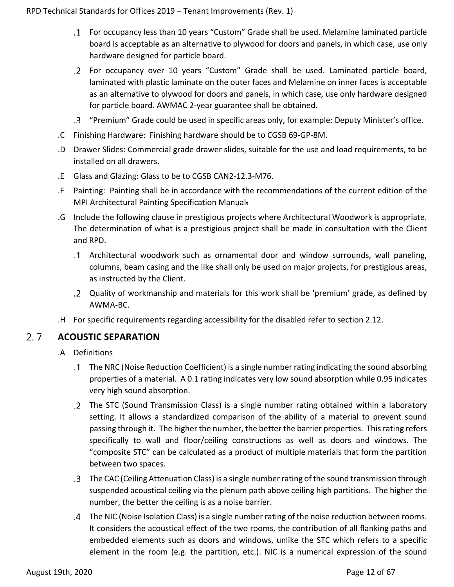- For occupancy less than 10 years "Custom" Grade shall be used. Melamine laminated particle board is acceptable as an alternative to plywood for doors and panels, in which case, use only hardware designed for particle board.
- For occupancy over 10 years "Custom" Grade shall be used. Laminated particle board, laminated with plastic laminate on the outer faces and Melamine on inner faces is acceptable as an alternative to plywood for doors and panels, in which case, use only hardware designed for particle board. AWMAC 2-year guarantee shall be obtained.
- "Premium" Grade could be used in specific areas only, for example: Deputy Minister's office.
- .C Finishing Hardware: Finishing hardware should be to CGSB 69-GP-8M.
- .D Drawer Slides: Commercial grade drawer slides, suitable for the use and load requirements, to be installed on all drawers.
- .E Glass and Glazing: Glass to be to CGSB CAN2-12.3-M76.
- .F Painting: Painting shall be in accordance with the recommendations of the current edition of the MPI Architectural Painting Specification Manual.
- .G Include the following clause in prestigious projects where Architectural Woodwork is appropriate. The determination of what is a prestigious project shall be made in consultation with the Client and RPD.
	- Architectural woodwork such as ornamental door and window surrounds, wall paneling, columns, beam casing and the like shall only be used on major projects, for prestigious areas, as instructed by the Client.
	- Quality of workmanship and materials for this work shall be 'premium' grade, as defined by AWMA-BC.
- .H For specific requirements regarding accessibility for the disabled refer to section 2.12.

#### <span id="page-11-0"></span> $2.7$ **ACOUSTIC SEPARATION**

- .A Definitions
	- The NRC (Noise Reduction Coefficient) is a single number rating indicating the sound absorbing properties of a material. A 0.1 rating indicates very low sound absorption while 0.95 indicates very high sound absorption.
	- The STC (Sound Transmission Class) is a single number rating obtained within a laboratory setting. It allows a standardized comparison of the ability of a material to prevent sound passing through it. The higher the number, the better the barrier properties. This rating refers specifically to wall and floor/ceiling constructions as well as doors and windows. The "composite STC" can be calculated as a product of multiple materials that form the partition between two spaces.
	- The CAC (Ceiling Attenuation Class) is a single number rating of the sound transmission through suspended acoustical ceiling via the plenum path above ceiling high partitions. The higher the number, the better the ceiling is as a noise barrier.
	- The NIC (Noise Isolation Class) is a single number rating of the noise reduction between rooms. It considers the acoustical effect of the two rooms, the contribution of all flanking paths and embedded elements such as doors and windows, unlike the STC which refers to a specific element in the room (e.g. the partition, etc.). NIC is a numerical expression of the sound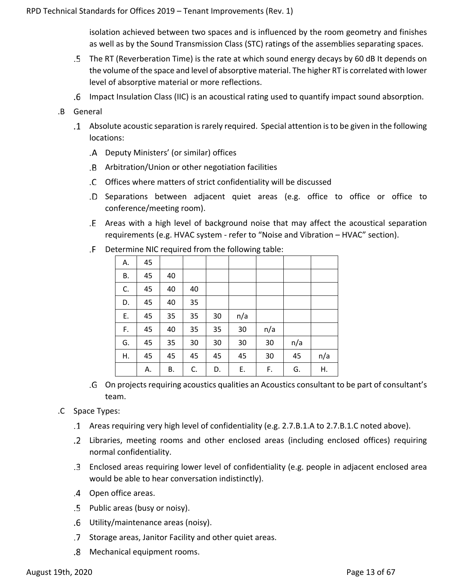isolation achieved between two spaces and is influenced by the room geometry and finishes as well as by the Sound Transmission Class (STC) ratings of the assemblies separating spaces.

- The RT (Reverberation Time) is the rate at which sound energy decays by 60 dB It depends on the volume of the space and level of absorptive material. The higher RT is correlated with lower level of absorptive material or more reflections.
- Impact Insulation Class (IIC) is an acoustical rating used to quantify impact sound absorption.
- .B General
	- Absolute acoustic separation is rarely required. Special attention is to be given in the following locations:
		- Deputy Ministers' (or similar) offices
		- Arbitration/Union or other negotiation facilities
		- Offices where matters of strict confidentiality will be discussed
		- .D Separations between adjacent quiet areas (e.g. office to office or office to conference/meeting room).
		- Areas with a high level of background noise that may affect the acoustical separation requirements (e.g. HVAC system - refer to "Noise and Vibration – HVAC" section).

|    |    |    |    |    |     | ັ   |     |     |
|----|----|----|----|----|-----|-----|-----|-----|
| Α. | 45 |    |    |    |     |     |     |     |
| В. | 45 | 40 |    |    |     |     |     |     |
| C. | 45 | 40 | 40 |    |     |     |     |     |
| D. | 45 | 40 | 35 |    |     |     |     |     |
| Ε. | 45 | 35 | 35 | 30 | n/a |     |     |     |
| F. | 45 | 40 | 35 | 35 | 30  | n/a |     |     |
| G. | 45 | 35 | 30 | 30 | 30  | 30  | n/a |     |
| Η. | 45 | 45 | 45 | 45 | 45  | 30  | 45  | n/a |
|    | Α. | В. | C. | D. | Ε.  | F.  | G.  | Η.  |

Determine NIC required from the following table:

- On projects requiring acoustics qualities an Acoustics consultant to be part of consultant's team.
- .C Space Types:
	- Areas requiring very high level of confidentiality (e.g. 2.7.B.1.A to 2.7.B.1.C noted above).
	- Libraries, meeting rooms and other enclosed areas (including enclosed offices) requiring normal confidentiality.
	- Enclosed areas requiring lower level of confidentiality (e.g. people in adjacent enclosed area would be able to hear conversation indistinctly).
	- Open office areas.
	- Public areas (busy or noisy).
	- Utility/maintenance areas (noisy).
	- .7 Storage areas, Janitor Facility and other quiet areas.
	- Mechanical equipment rooms.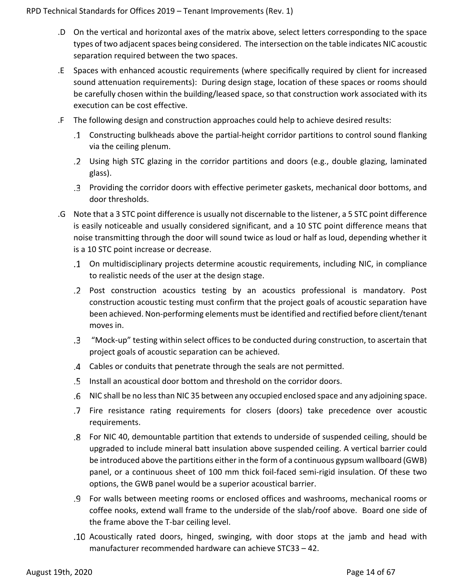- .D On the vertical and horizontal axes of the matrix above, select letters corresponding to the space types of two adjacent spaces being considered. The intersection on the table indicates NIC acoustic separation required between the two spaces.
- .E Spaces with enhanced acoustic requirements (where specifically required by client for increased sound attenuation requirements): During design stage, location of these spaces or rooms should be carefully chosen within the building/leased space, so that construction work associated with its execution can be cost effective.
- .F The following design and construction approaches could help to achieve desired results:
	- Constructing bulkheads above the partial-height corridor partitions to control sound flanking via the ceiling plenum.
	- Using high STC glazing in the corridor partitions and doors (e.g., double glazing, laminated glass).
	- Providing the corridor doors with effective perimeter gaskets, mechanical door bottoms, and door thresholds.
- .G Note that a 3 STC point difference is usually not discernable to the listener, a 5 STC point difference is easily noticeable and usually considered significant, and a 10 STC point difference means that noise transmitting through the door will sound twice as loud or half as loud, depending whether it is a 10 STC point increase or decrease.
	- On multidisciplinary projects determine acoustic requirements, including NIC, in compliance to realistic needs of the user at the design stage.
	- Post construction acoustics testing by an acoustics professional is mandatory. Post construction acoustic testing must confirm that the project goals of acoustic separation have been achieved. Non-performing elements must be identified and rectified before client/tenant moves in.
	- "Mock-up" testing within select offices to be conducted during construction, to ascertain that project goals of acoustic separation can be achieved.
	- Cables or conduits that penetrate through the seals are not permitted.
	- Install an acoustical door bottom and threshold on the corridor doors.
	- NIC shall be no less than NIC 35 between any occupied enclosed space and any adjoining space.
	- Fire resistance rating requirements for closers (doors) take precedence over acoustic requirements.
	- For NIC 40, demountable partition that extends to underside of suspended ceiling, should be upgraded to include mineral batt insulation above suspended ceiling. A vertical barrier could be introduced above the partitions either in the form of a continuous gypsum wallboard (GWB) panel, or a continuous sheet of 100 mm thick foil-faced semi-rigid insulation. Of these two options, the GWB panel would be a superior acoustical barrier.
	- For walls between meeting rooms or enclosed offices and washrooms, mechanical rooms or coffee nooks, extend wall frame to the underside of the slab/roof above. Board one side of the frame above the T-bar ceiling level.
	- Acoustically rated doors, hinged, swinging, with door stops at the jamb and head with manufacturer recommended hardware can achieve STC33 – 42.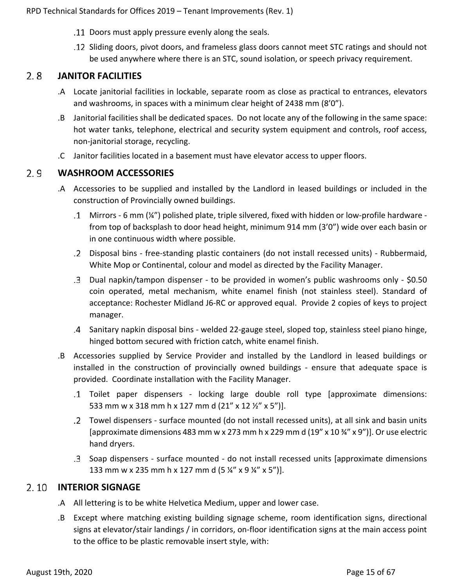- Doors must apply pressure evenly along the seals.
- Sliding doors, pivot doors, and frameless glass doors cannot meet STC ratings and should not be used anywhere where there is an STC, sound isolation, or speech privacy requirement.

#### <span id="page-14-0"></span> $2.8$ **JANITOR FACILITIES**

- .A Locate janitorial facilities in lockable, separate room as close as practical to entrances, elevators and washrooms, in spaces with a minimum clear height of 2438 mm (8'0").
- .B Janitorial facilities shall be dedicated spaces. Do not locate any of the following in the same space: hot water tanks, telephone, electrical and security system equipment and controls, roof access, non-janitorial storage, recycling.
- .C Janitor facilities located in a basement must have elevator access to upper floors.

#### <span id="page-14-1"></span> $2.9$ **WASHROOM ACCESSORIES**

- .A Accessories to be supplied and installed by the Landlord in leased buildings or included in the construction of Provincially owned buildings.
	- Mirrors 6 mm (¼") polished plate, triple silvered, fixed with hidden or low-profile hardware from top of backsplash to door head height, minimum 914 mm (3'0") wide over each basin or in one continuous width where possible.
	- Disposal bins free-standing plastic containers (do not install recessed units) Rubbermaid, White Mop or Continental, colour and model as directed by the Facility Manager.
	- Dual napkin/tampon dispenser to be provided in women's public washrooms only \$0.50 coin operated, metal mechanism, white enamel finish (not stainless steel). Standard of acceptance: Rochester Midland J6-RC or approved equal. Provide 2 copies of keys to project manager.
	- Sanitary napkin disposal bins welded 22-gauge steel, sloped top, stainless steel piano hinge, hinged bottom secured with friction catch, white enamel finish.
- .B Accessories supplied by Service Provider and installed by the Landlord in leased buildings or installed in the construction of provincially owned buildings - ensure that adequate space is provided. Coordinate installation with the Facility Manager.
	- Toilet paper dispensers locking large double roll type [approximate dimensions: 533 mm w x 318 mm h x 127 mm d (21" x 12 ½" x 5")].
	- Towel dispensers surface mounted (do not install recessed units), at all sink and basin units [approximate dimensions 483 mm w x 273 mm h x 229 mm d  $(19'' \times 10\frac{3}{4}'' \times 9'')$ ]. Or use electric hand dryers.
	- Soap dispensers surface mounted do not install recessed units [approximate dimensions 133 mm w x 235 mm h x 127 mm d (5 ¼" x 9 ¼" x 5")].

### <span id="page-14-2"></span>2.10 **INTERIOR SIGNAGE**

- .A All lettering is to be white Helvetica Medium, upper and lower case.
- .B Except where matching existing building signage scheme, room identification signs, directional signs at elevator/stair landings / in corridors, on-floor identification signs at the main access point to the office to be plastic removable insert style, with: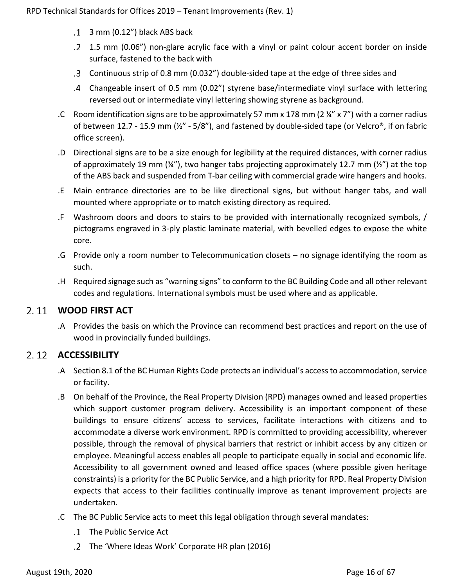- 3 mm (0.12") black ABS back
- 1.5 mm (0.06") non-glare acrylic face with a vinyl or paint colour accent border on inside surface, fastened to the back with
- Continuous strip of 0.8 mm (0.032") double-sided tape at the edge of three sides and
- Changeable insert of 0.5 mm (0.02") styrene base/intermediate vinyl surface with lettering reversed out or intermediate vinyl lettering showing styrene as background.
- .C Room identification signs are to be approximately 57 mm x 178 mm ( $2\frac{1}{4}$ " x 7") with a corner radius of between 12.7 - 15.9 mm ( $\frac{1}{2}$ " - 5/8"), and fastened by double-sided tape (or Velcro®, if on fabric office screen).
- .D Directional signs are to be a size enough for legibility at the required distances, with corner radius of approximately 19 mm ( $\frac{3}{4}$ ), two hanger tabs projecting approximately 12.7 mm ( $\frac{1}{2}$ ) at the top of the ABS back and suspended from T-bar ceiling with commercial grade wire hangers and hooks.
- .E Main entrance directories are to be like directional signs, but without hanger tabs, and wall mounted where appropriate or to match existing directory as required.
- .F Washroom doors and doors to stairs to be provided with internationally recognized symbols, / pictograms engraved in 3-ply plastic laminate material, with bevelled edges to expose the white core.
- .G Provide only a room number to Telecommunication closets no signage identifying the room as such.
- .H Required signage such as "warning signs" to conform to the BC Building Code and all other relevant codes and regulations. International symbols must be used where and as applicable.

## <span id="page-15-0"></span>**WOOD FIRST ACT**

.A Provides the basis on which the Province can recommend best practices and report on the use of wood in provincially funded buildings.

## <span id="page-15-1"></span>**ACCESSIBILITY**

- .A [Section 8.1 of the BC Human Rights Code](http://www.bclaws.ca/EPLibraries/bclaws_new/document/ID/freeside/00_96210_01#section8) protects an individual's access to accommodation, service or facility.
- .B On behalf of the Province, the Real Property Division (RPD) manages owned and leased properties which support customer program delivery. Accessibility is an important component of these buildings to ensure citizens' access to services, facilitate interactions with citizens and to accommodate a diverse work environment. RPD is committed to providing accessibility, wherever possible, through the removal of physical barriers that restrict or inhibit access by any citizen or employee. Meaningful access enables all people to participate equally in social and economic life. Accessibility to all government owned and leased office spaces (where possible given heritage constraints) is a priority for the BC Public Service, and a high priority for RPD. Real Property Division expects that access to their facilities continually improve as tenant improvement projects are undertaken.
- .C The BC Public Service acts to meet this legal obligation through several mandates:
	- The [Public Service Act](http://www.bclaws.ca/civix/document/id/complete/statreg/96385_01)
	- The 'Where Ideas Work' Corporate HR plan (2016)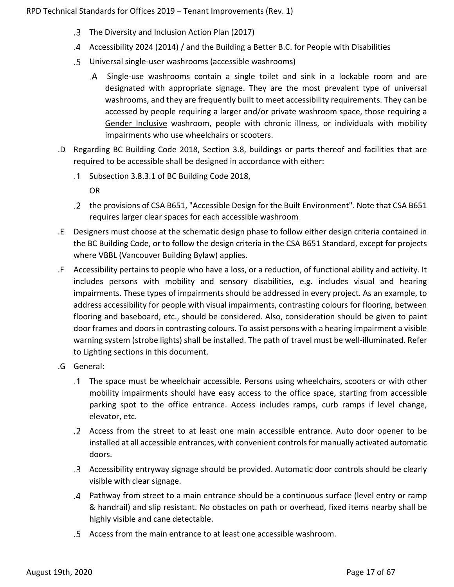- The Diversity and Inclusion Action Plan (2017)
- [Accessibility 2024](https://www2.gov.bc.ca/assets/gov/government/about-the-bc-government/accessible-bc/accessibility-2024/docs/accessibility2024_update_web.pdf) (2014) / and the [Building a Better B.C. for People with Disabilities](https://www2.gov.bc.ca/gov/content/governments/about-the-bc-government/accessibility)
- Universal single-user washrooms (accessible washrooms)
	- Single-use washrooms contain a single toilet and sink in a lockable room and are designated with appropriate signage. They are the most prevalent type of universal washrooms, and they are frequently built to meet accessibility requirements. They can be accessed by people requiring a larger and/or private washroom space, those requiring a Gender Inclusive washroom, people with chronic illness, or individuals with mobility impairments who use wheelchairs or scooters.
- .D Regarding BC Building Code 2018, Section 3.8, buildings or parts thereof and facilities that are required to be accessible shall be designed in accordance with either:
	- Subsection 3.8.3.1 of BC Building Code 2018,

OR

- the provisions of CSA B651, "Accessible Design for the Built Environment". Note that CSA B651 requires larger clear spaces for each accessible washroom
- .E Designers must choose at the schematic design phase to follow either design criteria contained in the BC Building Code, or to follow the design criteria in the CSA B651 Standard, except for projects where VBBL (Vancouver Building Bylaw) applies.
- .F Accessibility pertains to people who have a loss, or a reduction, of functional ability and activity. It includes persons with mobility and sensory disabilities, e.g. includes visual and hearing impairments. These types of impairments should be addressed in every project. As an example, to address accessibility for people with visual impairments, contrasting colours for flooring, between flooring and baseboard, etc., should be considered. Also, consideration should be given to paint door frames and doors in contrasting colours. To assist persons with a hearing impairment a visible warning system (strobe lights) shall be installed. The path of travel must be well-illuminated. Refer to Lighting sections in this document.
- .G General:
	- The space must be wheelchair accessible. Persons using wheelchairs, scooters or with other mobility impairments should have easy access to the office space, starting from accessible parking spot to the office entrance. Access includes ramps, curb ramps if level change, elevator, etc.
	- Access from the street to at least one main accessible entrance. Auto door opener to be installed at all accessible entrances, with convenient controls for manually activated automatic doors.
	- Accessibility entryway signage should be provided. Automatic door controls should be clearly visible with clear signage.
	- Pathway from street to a main entrance should be a continuous surface (level entry or ramp & handrail) and slip resistant. No obstacles on path or overhead, fixed items nearby shall be highly visible and cane detectable.
	- Access from the main entrance to at least one accessible washroom.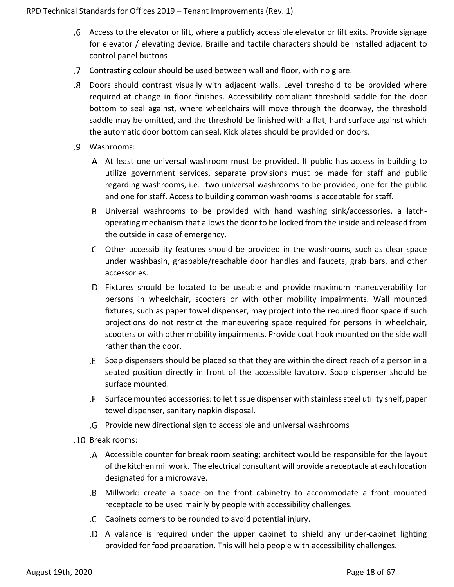- Access to the elevator or lift, where a publicly accessible elevator or lift exits. Provide signage for elevator / elevating device. Braille and tactile characters should be installed adjacent to control panel buttons
- Contrasting colour should be used between wall and floor, with no glare.
- Doors should contrast visually with adjacent walls. Level threshold to be provided where required at change in floor finishes. Accessibility compliant threshold saddle for the door bottom to seal against, where wheelchairs will move through the doorway, the threshold saddle may be omitted, and the threshold be finished with a flat, hard surface against which the automatic door bottom can seal. Kick plates should be provided on doors.
- Washrooms:
	- At least one universal washroom must be provided. If public has access in building to utilize government services, separate provisions must be made for staff and public regarding washrooms, i.e. two universal washrooms to be provided, one for the public and one for staff. Access to building common washrooms is acceptable for staff.
	- Universal washrooms to be provided with hand washing sink/accessories, a latchoperating mechanism that allows the door to be locked from the inside and released from the outside in case of emergency.
	- Other accessibility features should be provided in the washrooms, such as clear space under washbasin, graspable/reachable door handles and faucets, grab bars, and other accessories.
	- Fixtures should be located to be useable and provide maximum maneuverability for persons in wheelchair, scooters or with other mobility impairments. Wall mounted fixtures, such as paper towel dispenser, may project into the required floor space if such projections do not restrict the maneuvering space required for persons in wheelchair, scooters or with other mobility impairments. Provide coat hook mounted on the side wall rather than the door.
	- Soap dispensers should be placed so that they are within the direct reach of a person in a seated position directly in front of the accessible lavatory. Soap dispenser should be surface mounted.
	- Surface mounted accessories: toilet tissue dispenser with stainless steel utility shelf, paper towel dispenser, sanitary napkin disposal.
	- Provide new directional sign to accessible and universal washrooms
- Break rooms:
	- Accessible counter for break room seating; architect would be responsible for the layout of the kitchen millwork. The electrical consultant will provide a receptacle at each location designated for a microwave.
	- Millwork: create a space on the front cabinetry to accommodate a front mounted receptacle to be used mainly by people with accessibility challenges.
	- Cabinets corners to be rounded to avoid potential injury.
	- A valance is required under the upper cabinet to shield any under-cabinet lighting provided for food preparation. This will help people with accessibility challenges.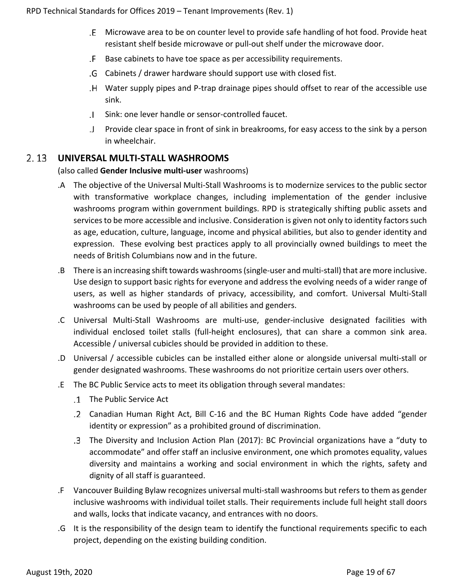- Microwave area to be on counter level to provide safe handling of hot food. Provide heat resistant shelf beside microwave or pull-out shelf under the microwave door.
- Base cabinets to have toe space as per accessibility requirements.
- Cabinets / drawer hardware should support use with closed fist.
- Water supply pipes and P-trap drainage pipes should offset to rear of the accessible use sink.
- Sink: one lever handle or sensor-controlled faucet.
- Provide clear space in front of sink in breakrooms, for easy access to the sink by a person in wheelchair.

### <span id="page-18-0"></span>**UNIVERSAL MULTI-STALL WASHROOMS**

### (also called **Gender Inclusive multi-user** washrooms)

- .A The objective of the Universal Multi-Stall Washrooms is to modernize services to the public sector with transformative workplace changes, including implementation of the gender inclusive washrooms program within government buildings. RPD is strategically shifting public assets and services to be more accessible and inclusive. Consideration is given not only to identity factors such as age, education, culture, language, income and physical abilities, but also to gender identity and expression. These evolving best practices apply to all provincially owned buildings to meet the needs of British Columbians now and in the future.
- .B There is an increasing shift towards washrooms (single-user and multi-stall) that are more inclusive. Use design to support basic rights for everyone and address the evolving needs of a wider range of users, as well as higher standards of privacy, accessibility, and comfort. Universal Multi-Stall washrooms can be used by people of all abilities and genders.
- .C Universal Multi-Stall Washrooms are multi-use, gender-inclusive designated facilities with individual enclosed toilet stalls (full-height enclosures), that can share a common sink area. Accessible / universal cubicles should be provided in addition to these.
- .D Universal / accessible cubicles can be installed either alone or alongside universal multi-stall or gender designated washrooms. These washrooms do not prioritize certain users over others.
- .E The BC Public Service acts to meet its obligation through several mandates:
	- The [Public Service Act](http://www.bclaws.ca/civix/document/id/complete/statreg/96385_01)
	- Canadian Human Right Act, Bill C-16 and the BC Human Rights Code have added "gender identity or expression" as a prohibited ground of discrimination.
	- The Diversity and Inclusion Action Plan (2017): BC Provincial organizations have a "duty to accommodate" and offer staff an inclusive environment, one which promotes equality, values diversity and maintains a working and social environment in which the rights, safety and dignity of all staff is guaranteed.
- .F Vancouver Building Bylaw recognizes universal multi-stall washrooms but refers to them as gender inclusive washrooms with individual toilet stalls. Their requirements include full height stall doors and walls, locks that indicate vacancy, and entrances with no doors.
- .G It is the responsibility of the design team to identify the functional requirements specific to each project, depending on the existing building condition.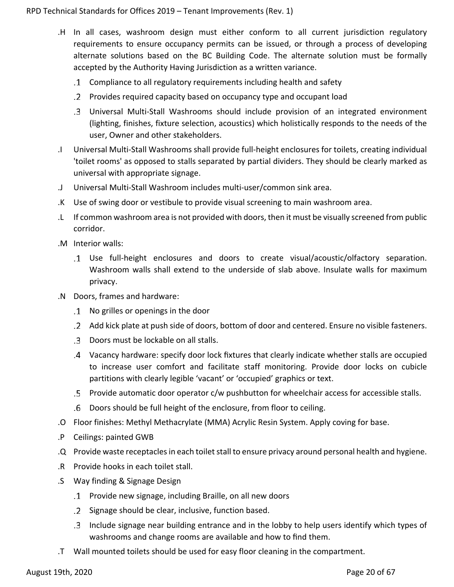- .H In all cases, washroom design must either conform to all current jurisdiction regulatory requirements to ensure occupancy permits can be issued, or through a process of developing alternate solutions based on the BC Building Code. The alternate solution must be formally accepted by the Authority Having Jurisdiction as a written variance.
	- Compliance to all regulatory requirements including health and safety
	- Provides required capacity based on occupancy type and occupant load
	- Universal Multi-Stall Washrooms should include provision of an integrated environment (lighting, finishes, fixture selection, acoustics) which holistically responds to the needs of the user, Owner and other stakeholders.
- .I Universal Multi-Stall Washrooms shall provide full-height enclosures for toilets, creating individual 'toilet rooms' as opposed to stalls separated by partial dividers. They should be clearly marked as universal with appropriate signage.
- .J Universal Multi-Stall Washroom includes multi-user/common sink area.
- .K Use of swing door or vestibule to provide visual screening to main washroom area.
- .L If common washroom area is not provided with doors, then it must be visually screened from public corridor.
- .M Interior walls:
	- Use full-height enclosures and doors to create visual/acoustic/olfactory separation. Washroom walls shall extend to the underside of slab above. Insulate walls for maximum privacy.
- .N Doors, frames and hardware:
	- No grilles or openings in the door
	- Add kick plate at push side of doors, bottom of door and centered. Ensure no visible fasteners.
	- Doors must be lockable on all stalls.
	- Vacancy hardware: specify door lock fixtures that clearly indicate whether stalls are occupied to increase user comfort and facilitate staff monitoring. Provide door locks on cubicle partitions with clearly legible 'vacant' or 'occupied' graphics or text.
	- Provide automatic door operator c/w pushbutton for wheelchair access for accessible stalls.
	- Doors should be full height of the enclosure, from floor to ceiling.
- .O Floor finishes: Methyl Methacrylate (MMA) Acrylic Resin System. Apply coving for base.
- .P Ceilings: painted GWB
- .Q Provide waste receptacles in each toilet stall to ensure privacy around personal health and hygiene.
- .R Provide hooks in each toilet stall.
- .S Way finding & Signage Design
	- Provide new signage, including Braille, on all new doors
	- .2 Signage should be clear, inclusive, function based.
	- Include signage near building entrance and in the lobby to help users identify which types of washrooms and change rooms are available and how to find them.
- .T Wall mounted toilets should be used for easy floor cleaning in the compartment.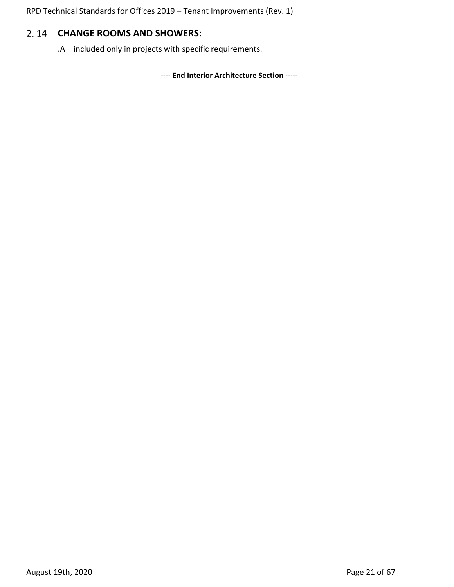## <span id="page-20-0"></span>**CHANGE ROOMS AND SHOWERS:**

.A included only in projects with specific requirements.

**---- End Interior Architecture Section -----**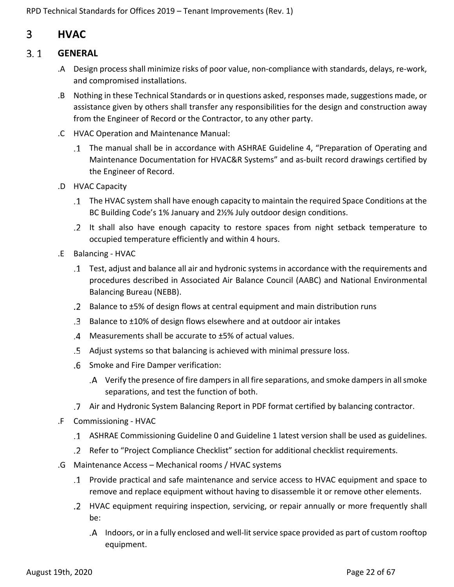## <span id="page-21-0"></span>3 **HVAC**

#### <span id="page-21-1"></span> $3.1$ **GENERAL**

- .A Design process shall minimize risks of poor value, non-compliance with standards, delays, re-work, and compromised installations.
- .B Nothing in these Technical Standards or in questions asked, responses made, suggestions made, or assistance given by others shall transfer any responsibilities for the design and construction away from the Engineer of Record or the Contractor, to any other party.
- .C HVAC Operation and Maintenance Manual:
	- The manual shall be in accordance with ASHRAE Guideline 4, "Preparation of Operating and Maintenance Documentation for HVAC&R Systems" and as-built record drawings certified by the Engineer of Record.
- .D HVAC Capacity
	- The HVAC system shall have enough capacity to maintain the required Space Conditions at the BC Building Code's 1% January and 2½% July outdoor design conditions.
	- It shall also have enough capacity to restore spaces from night setback temperature to occupied temperature efficiently and within 4 hours.
- .E Balancing HVAC
	- Test, adjust and balance all air and hydronic systems in accordance with the requirements and procedures described in Associated Air Balance Council (AABC) and National Environmental Balancing Bureau (NEBB).
	- Balance to ±5% of design flows at central equipment and main distribution runs
	- Balance to ±10% of design flows elsewhere and at outdoor air intakes
	- Measurements shall be accurate to ±5% of actual values.
	- Adjust systems so that balancing is achieved with minimal pressure loss.
	- Smoke and Fire Damper verification:
		- Verify the presence of fire dampers in all fire separations, and smoke dampers in all smoke separations, and test the function of both.
	- Air and Hydronic System Balancing Report in PDF format certified by balancing contractor.
- .F Commissioning HVAC
	- ASHRAE Commissioning Guideline 0 and Guideline 1 latest version shall be used as guidelines.
	- Refer to "Project Compliance Checklist" section for additional checklist requirements.
- .G Maintenance Access Mechanical rooms / HVAC systems
	- Provide practical and safe maintenance and service access to HVAC equipment and space to remove and replace equipment without having to disassemble it or remove other elements.
	- HVAC equipment requiring inspection, servicing, or repair annually or more frequently shall be:
		- Indoors, or in a fully enclosed and well-lit service space provided as part of custom rooftop equipment.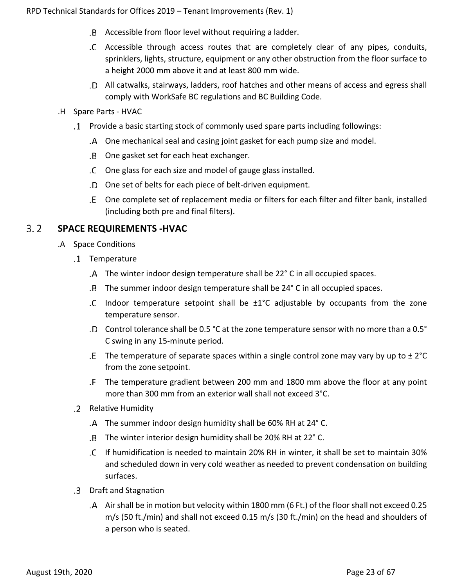- Accessible from floor level without requiring a ladder.
- Accessible through access routes that are completely clear of any pipes, conduits, sprinklers, lights, structure, equipment or any other obstruction from the floor surface to a height 2000 mm above it and at least 800 mm wide.
- All catwalks, stairways, ladders, roof hatches and other means of access and egress shall comply with WorkSafe BC regulations and BC Building Code.
- .H Spare Parts HVAC
	- Provide a basic starting stock of commonly used spare parts including followings:
		- One mechanical seal and casing joint gasket for each pump size and model.
		- One gasket set for each heat exchanger.
		- One glass for each size and model of gauge glass installed.
		- One set of belts for each piece of belt-driven equipment.
		- One complete set of replacement media or filters for each filter and filter bank, installed (including both pre and final filters).

#### <span id="page-22-0"></span> $3.2$ **SPACE REQUIREMENTS -HVAC**

- .A Space Conditions
	- .1 Temperature
		- The winter indoor design temperature shall be 22° C in all occupied spaces.
		- The summer indoor design temperature shall be 24° C in all occupied spaces.
		- Indoor temperature setpoint shall be  $\pm 1^{\circ}C$  adjustable by occupants from the zone temperature sensor.
		- Control tolerance shall be 0.5 °C at the zone temperature sensor with no more than a 0.5° C swing in any 15-minute period.
		- .E The temperature of separate spaces within a single control zone may vary by up to  $\pm 2^{\circ}C$ from the zone setpoint.
		- The temperature gradient between 200 mm and 1800 mm above the floor at any point more than 300 mm from an exterior wall shall not exceed 3°C.
	- .2 Relative Humidity
		- The summer indoor design humidity shall be 60% RH at 24° C.
		- The winter interior design humidity shall be 20% RH at 22° C.
		- If humidification is needed to maintain 20% RH in winter, it shall be set to maintain 30% and scheduled down in very cold weather as needed to prevent condensation on building surfaces.
	- Draft and Stagnation
		- A Air shall be in motion but velocity within 1800 mm (6 Ft.) of the floor shall not exceed 0.25 m/s (50 ft./min) and shall not exceed 0.15 m/s (30 ft./min) on the head and shoulders of a person who is seated.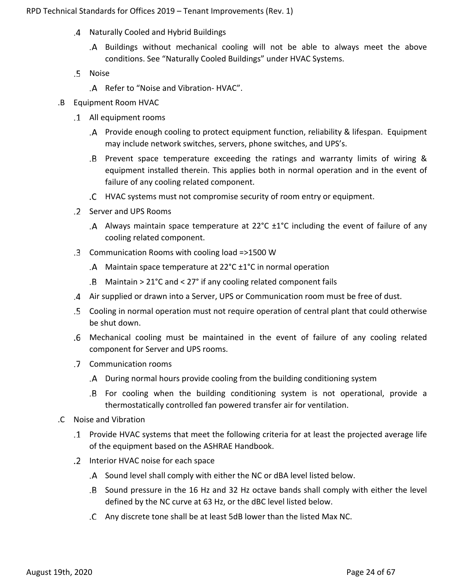- Naturally Cooled and Hybrid Buildings
	- Buildings without mechanical cooling will not be able to always meet the above conditions. See "Naturally Cooled Buildings" under HVAC Systems.
- .5 Noise
	- .A Refer to "Noise and Vibration-HVAC".
- .B Equipment Room HVAC
	- All equipment rooms
		- Provide enough cooling to protect equipment function, reliability & lifespan. Equipment may include network switches, servers, phone switches, and UPS's.
		- Prevent space temperature exceeding the ratings and warranty limits of wiring & equipment installed therein. This applies both in normal operation and in the event of failure of any cooling related component.
		- HVAC systems must not compromise security of room entry or equipment.
	- Server and UPS Rooms
		- Always maintain space temperature at 22°C ±1°C including the event of failure of any cooling related component.
	- Communication Rooms with cooling load =>1500 W
		- .A Maintain space temperature at  $22^{\circ}$ C  $\pm$ 1°C in normal operation
		- Maintain > 21°C and < 27° if any cooling related component fails
	- Air supplied or drawn into a Server, UPS or Communication room must be free of dust.
	- Cooling in normal operation must not require operation of central plant that could otherwise be shut down.
	- Mechanical cooling must be maintained in the event of failure of any cooling related component for Server and UPS rooms.
	- Communication rooms
		- During normal hours provide cooling from the building conditioning system
		- For cooling when the building conditioning system is not operational, provide a thermostatically controlled fan powered transfer air for ventilation.
- .C Noise and Vibration
	- Provide HVAC systems that meet the following criteria for at least the projected average life of the equipment based on the ASHRAE Handbook.
	- .2 Interior HVAC noise for each space
		- Sound level shall comply with either the NC or dBA level listed below.
		- Sound pressure in the 16 Hz and 32 Hz octave bands shall comply with either the level defined by the NC curve at 63 Hz, or the dBC level listed below.
		- Any discrete tone shall be at least 5dB lower than the listed Max NC.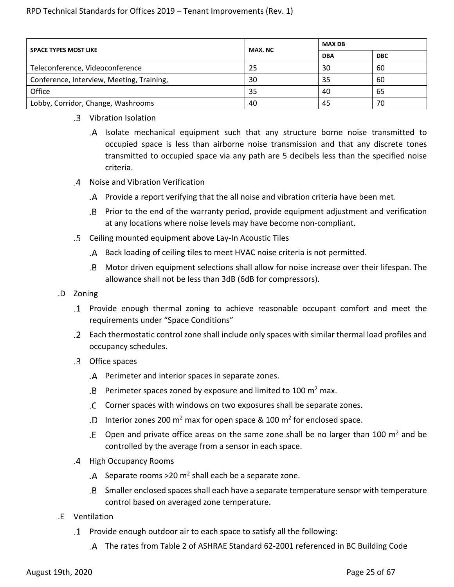| <b>SPACE TYPES MOST LIKE</b>              | MAX. NC | <b>MAX DB</b> |            |  |
|-------------------------------------------|---------|---------------|------------|--|
|                                           |         | <b>DBA</b>    | <b>DBC</b> |  |
| Teleconference, Videoconference           | 25      | 30            | 60         |  |
| Conference, Interview, Meeting, Training, | 30      | 35            | 60         |  |
| Office                                    | 35      | 40            | 65         |  |
| Lobby, Corridor, Change, Washrooms        | 40      | 45            | 70         |  |

### Vibration Isolation

- Isolate mechanical equipment such that any structure borne noise transmitted to occupied space is less than airborne noise transmission and that any discrete tones transmitted to occupied space via any path are 5 decibels less than the specified noise criteria.
- Noise and Vibration Verification
	- Provide a report verifying that the all noise and vibration criteria have been met.
	- Prior to the end of the warranty period, provide equipment adjustment and verification at any locations where noise levels may have become non-compliant.
- Ceiling mounted equipment above Lay-In Acoustic Tiles
	- Back loading of ceiling tiles to meet HVAC noise criteria is not permitted.
	- Motor driven equipment selections shall allow for noise increase over their lifespan. The allowance shall not be less than 3dB (6dB for compressors).
- .D Zoning
	- Provide enough thermal zoning to achieve reasonable occupant comfort and meet the requirements under "Space Conditions"
	- Each thermostatic control zone shall include only spaces with similar thermal load profiles and occupancy schedules.
	- Office spaces
		- Perimeter and interior spaces in separate zones.
		- $B$  Perimeter spaces zoned by exposure and limited to 100 m<sup>2</sup> max.
		- Corner spaces with windows on two exposures shall be separate zones.
		- .D Interior zones 200  $m^2$  max for open space & 100  $m^2$  for enclosed space.
		- .E Open and private office areas on the same zone shall be no larger than 100  $m^2$  and be controlled by the average from a sensor in each space.
	- .4 High Occupancy Rooms
		- $A$  Separate rooms >20 m<sup>2</sup> shall each be a separate zone.
		- Smaller enclosed spaces shall each have a separate temperature sensor with temperature control based on averaged zone temperature.
- .E Ventilation
	- Provide enough outdoor air to each space to satisfy all the following:
		- The rates from Table 2 of ASHRAE Standard 62-2001 referenced in BC Building Code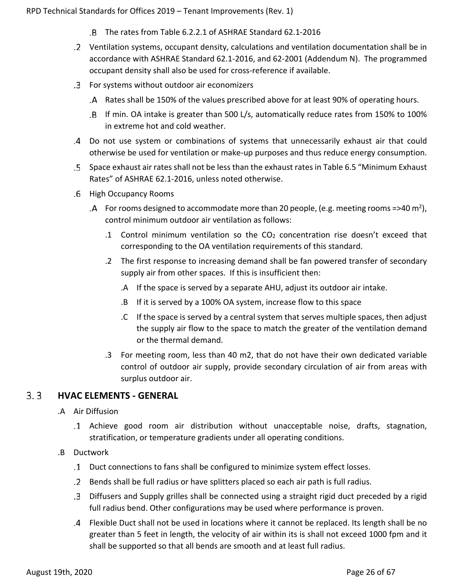- The rates from Table 6.2.2.1 of ASHRAE Standard 62.1-2016
- Ventilation systems, occupant density, calculations and ventilation documentation shall be in accordance with ASHRAE Standard 62.1-2016, and 62-2001 (Addendum N). The programmed occupant density shall also be used for cross-reference if available.
- For systems without outdoor air economizers
	- Rates shall be 150% of the values prescribed above for at least 90% of operating hours.
	- If min. OA intake is greater than 500 L/s, automatically reduce rates from 150% to 100% in extreme hot and cold weather.
- Do not use system or combinations of systems that unnecessarily exhaust air that could otherwise be used for ventilation or make-up purposes and thus reduce energy consumption.
- Space exhaust air rates shall not be less than the exhaust rates in Table 6.5 "Minimum Exhaust Rates" of ASHRAE 62.1-2016, unless noted otherwise.
- .6 High Occupancy Rooms
	- $A$  For rooms designed to accommodate more than 20 people, (e.g. meeting rooms =>40 m<sup>2</sup>), control minimum outdoor air ventilation as follows:
		- .1 Control minimum ventilation so the CO2 concentration rise doesn't exceed that corresponding to the OA ventilation requirements of this standard.
		- .2 The first response to increasing demand shall be fan powered transfer of secondary supply air from other spaces. If this is insufficient then:
			- .A If the space is served by a separate AHU, adjust its outdoor air intake.
			- .B If it is served by a 100% OA system, increase flow to this space
			- .C If the space is served by a central system that serves multiple spaces, then adjust the supply air flow to the space to match the greater of the ventilation demand or the thermal demand.
		- .3 For meeting room, less than 40 m2, that do not have their own dedicated variable control of outdoor air supply, provide secondary circulation of air from areas with surplus outdoor air.

#### <span id="page-25-0"></span> $3.3$ **HVAC ELEMENTS - GENERAL**

- .A Air Diffusion
	- Achieve good room air distribution without unacceptable noise, drafts, stagnation, stratification, or temperature gradients under all operating conditions.
- .B Ductwork
	- Duct connections to fans shall be configured to minimize system effect losses.
	- Bends shall be full radius or have splitters placed so each air path is full radius.
	- Diffusers and Supply grilles shall be connected using a straight rigid duct preceded by a rigid full radius bend. Other configurations may be used where performance is proven.
	- Flexible Duct shall not be used in locations where it cannot be replaced. Its length shall be no greater than 5 feet in length, the velocity of air within its is shall not exceed 1000 fpm and it shall be supported so that all bends are smooth and at least full radius.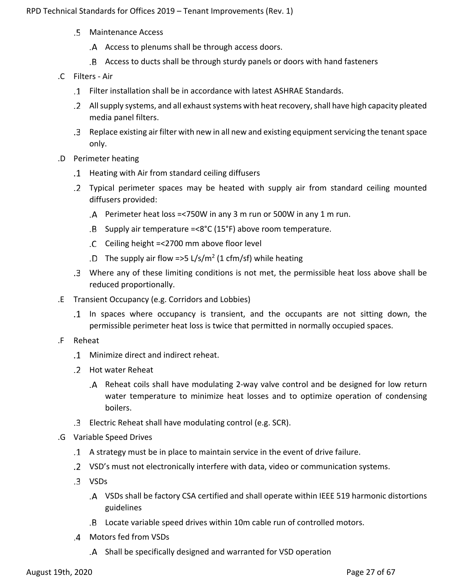- Maintenance Access
	- Access to plenums shall be through access doors.
	- Access to ducts shall be through sturdy panels or doors with hand fasteners
- .C Filters Air
	- Filter installation shall be in accordance with latest ASHRAE Standards.
	- All supply systems, and all exhaust systems with heat recovery, shall have high capacity pleated media panel filters.
	- Replace existing air filter with new in all new and existing equipmentservicing the tenant space only.
- .D Perimeter heating
	- Heating with Air from standard ceiling diffusers
	- Typical perimeter spaces may be heated with supply air from standard ceiling mounted diffusers provided:
		- Perimeter heat loss =<750W in any 3 m run or 500W in any 1 m run.
		- $B$  Supply air temperature =<8°C (15°F) above room temperature.
		- Ceiling height =<2700 mm above floor level
		- .D The supply air flow =>5 L/s/m<sup>2</sup> (1 cfm/sf) while heating
	- Where any of these limiting conditions is not met, the permissible heat loss above shall be reduced proportionally.
- .E Transient Occupancy (e.g. Corridors and Lobbies)
	- In spaces where occupancy is transient, and the occupants are not sitting down, the permissible perimeter heat loss is twice that permitted in normally occupied spaces.
- .F Reheat
	- Minimize direct and indirect reheat.
	- Hot water Reheat
		- Reheat coils shall have modulating 2-way valve control and be designed for low return water temperature to minimize heat losses and to optimize operation of condensing boilers.
	- Electric Reheat shall have modulating control (e.g. SCR).
- .G Variable Speed Drives
	- A strategy must be in place to maintain service in the event of drive failure.
	- VSD's must not electronically interfere with data, video or communication systems.
	- VSDs
		- VSDs shall be factory CSA certified and shall operate within IEEE 519 harmonic distortions guidelines
		- Locate variable speed drives within 10m cable run of controlled motors.
	- Motors fed from VSDs
		- Shall be specifically designed and warranted for VSD operation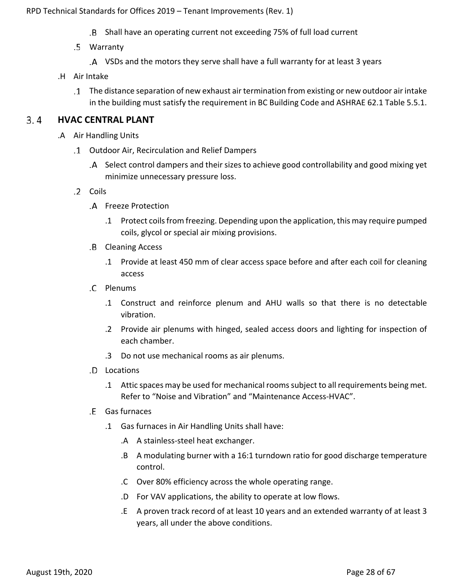- Shall have an operating current not exceeding 75% of full load current
- Warranty
	- VSDs and the motors they serve shall have a full warranty for at least 3 years
- .H Air Intake
	- The distance separation of new exhaust air termination from existing or new outdoor air intake in the building must satisfy the requirement in BC Building Code and ASHRAE 62.1 Table 5.5.1.

#### <span id="page-27-0"></span> $3.4$ **HVAC CENTRAL PLANT**

- .A Air Handling Units
	- Outdoor Air, Recirculation and Relief Dampers
		- Select control dampers and their sizes to achieve good controllability and good mixing yet minimize unnecessary pressure loss.
	- .2 Coils
		- Freeze Protection
			- .1 Protect coils from freezing. Depending upon the application, this may require pumped coils, glycol or special air mixing provisions.
		- .B Cleaning Access
			- .1 Provide at least 450 mm of clear access space before and after each coil for cleaning access
		- C Plenums
			- .1 Construct and reinforce plenum and AHU walls so that there is no detectable vibration.
			- .2 Provide air plenums with hinged, sealed access doors and lighting for inspection of each chamber.
			- .3 Do not use mechanical rooms as air plenums.
		- Locations
			- .1 Attic spaces may be used for mechanical rooms subject to all requirements being met. Refer to "Noise and Vibration" and "Maintenance Access-HVAC".
		- Gas furnaces
			- .1 Gas furnaces in Air Handling Units shall have:
				- .A A stainless-steel heat exchanger.
				- .B A modulating burner with a 16:1 turndown ratio for good discharge temperature control.
				- .C Over 80% efficiency across the whole operating range.
				- .D For VAV applications, the ability to operate at low flows.
				- .E A proven track record of at least 10 years and an extended warranty of at least 3 years, all under the above conditions.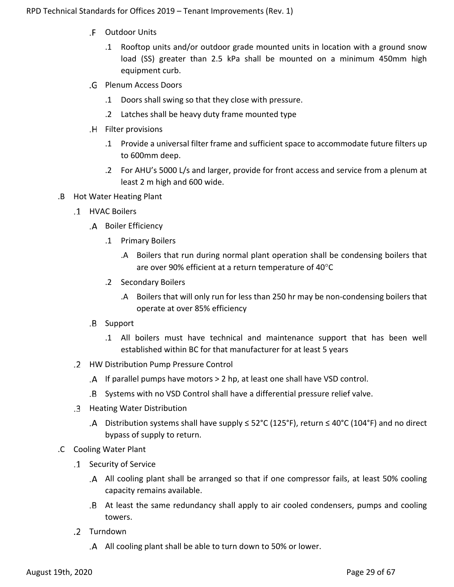- Outdoor Units
	- .1 Rooftop units and/or outdoor grade mounted units in location with a ground snow load (SS) greater than 2.5 kPa shall be mounted on a minimum 450mm high equipment curb.
- Plenum Access Doors
	- .1 Doors shall swing so that they close with pressure.
	- .2 Latches shall be heavy duty frame mounted type
- .H Filter provisions
	- .1 Provide a universal filter frame and sufficient space to accommodate future filters up to 600mm deep.
	- .2 For AHU's 5000 L/s and larger, provide for front access and service from a plenum at least 2 m high and 600 wide.
- .B Hot Water Heating Plant
	- HVAC Boilers
		- .A Boiler Efficiency
			- .1 Primary Boilers
				- .A Boilers that run during normal plant operation shall be condensing boilers that are over 90% efficient at a return temperature of 40°C
			- .2 Secondary Boilers
				- .A Boilers that will only run for less than 250 hr may be non-condensing boilers that operate at over 85% efficiency
		- .B Support
			- .1 All boilers must have technical and maintenance support that has been well established within BC for that manufacturer for at least 5 years
	- HW Distribution Pump Pressure Control
		- If parallel pumps have motors > 2 hp, at least one shall have VSD control.
		- Systems with no VSD Control shall have a differential pressure relief valve.
	- Heating Water Distribution
		- A Distribution systems shall have supply  $\leq$  52°C (125°F), return  $\leq$  40°C (104°F) and no direct bypass of supply to return.
- .C Cooling Water Plant
	- Security of Service
		- All cooling plant shall be arranged so that if one compressor fails, at least 50% cooling capacity remains available.
		- At least the same redundancy shall apply to air cooled condensers, pumps and cooling towers.
	- .2 Turndown
		- All cooling plant shall be able to turn down to 50% or lower.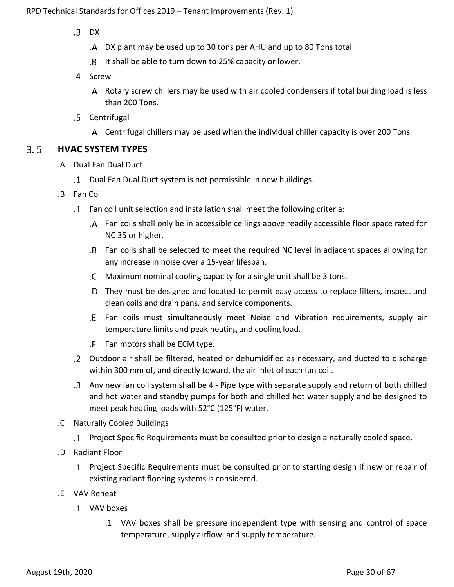- $.3$  DX
	- DX plant may be used up to 30 tons per AHU and up to 80 Tons total
	- It shall be able to turn down to 25% capacity or lower.
- .4 Screw
	- Rotary screw chillers may be used with air cooled condensers if total building load is less than 200 Tons.
- Centrifugal
	- Centrifugal chillers may be used when the individual chiller capacity is over 200 Tons.

#### <span id="page-29-0"></span> $3.5$ **HVAC SYSTEM TYPES**

- .A Dual Fan Dual Duct
	- Dual Fan Dual Duct system is not permissible in new buildings.
- .B Fan Coil
	- Fan coil unit selection and installation shall meet the following criteria:
		- Fan coils shall only be in accessible ceilings above readily accessible floor space rated for NC 35 or higher.
		- Fan coils shall be selected to meet the required NC level in adjacent spaces allowing for any increase in noise over a 15-year lifespan.
		- Maximum nominal cooling capacity for a single unit shall be 3 tons.
		- They must be designed and located to permit easy access to replace filters, inspect and clean coils and drain pans, and service components.
		- Fan coils must simultaneously meet Noise and Vibration requirements, supply air temperature limits and peak heating and cooling load.
		- Fan motors shall be ECM type.
	- Outdoor air shall be filtered, heated or dehumidified as necessary, and ducted to discharge within 300 mm of, and directly toward, the air inlet of each fan coil.
	- Any new fan coil system shall be 4 Pipe type with separate supply and return of both chilled and hot water and standby pumps for both and chilled hot water supply and be designed to meet peak heating loads with 52°C (125°F) water.
- .C Naturally Cooled Buildings
	- Project Specific Requirements must be consulted prior to design a naturally cooled space.
- .D Radiant Floor
	- Project Specific Requirements must be consulted prior to starting design if new or repair of existing radiant flooring systems is considered.
- .E VAV Reheat
	- VAV boxes
		- .1 VAV boxes shall be pressure independent type with sensing and control of space temperature, supply airflow, and supply temperature.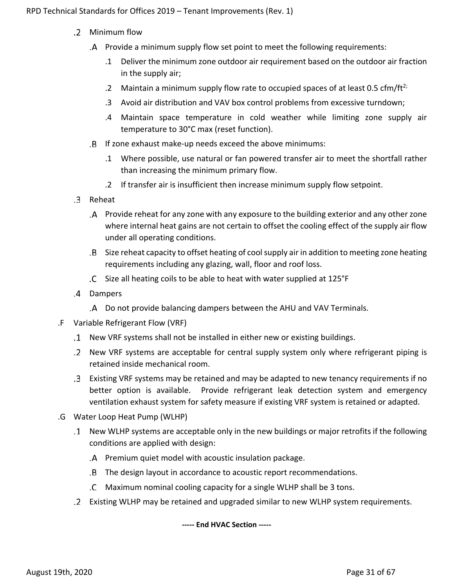- Minimum flow
	- Provide a minimum supply flow set point to meet the following requirements:
		- .1 Deliver the minimum zone outdoor air requirement based on the outdoor air fraction in the supply air;
		- .2 Maintain a minimum supply flow rate to occupied spaces of at least 0.5 cfm/ft<sup>2;</sup>
		- .3 Avoid air distribution and VAV box control problems from excessive turndown;
		- .4 Maintain space temperature in cold weather while limiting zone supply air temperature to 30°C max (reset function).
	- If zone exhaust make-up needs exceed the above minimums:
		- .1 Where possible, use natural or fan powered transfer air to meet the shortfall rather than increasing the minimum primary flow.
		- .2 If transfer air is insufficient then increase minimum supply flow setpoint.
- .3 Reheat
	- Provide reheat for any zone with any exposure to the building exterior and any other zone where internal heat gains are not certain to offset the cooling effect of the supply air flow under all operating conditions.
	- Size reheat capacity to offset heating of cool supply air in addition to meeting zone heating requirements including any glazing, wall, floor and roof loss.
	- Size all heating coils to be able to heat with water supplied at 125°F
- Dampers
	- Do not provide balancing dampers between the AHU and VAV Terminals.
- .F Variable Refrigerant Flow (VRF)
	- New VRF systems shall not be installed in either new or existing buildings.
	- New VRF systems are acceptable for central supply system only where refrigerant piping is retained inside mechanical room.
	- Existing VRF systems may be retained and may be adapted to new tenancy requirements if no better option is available. Provide refrigerant leak detection system and emergency ventilation exhaust system for safety measure if existing VRF system is retained or adapted.
- .G Water Loop Heat Pump (WLHP)
	- New WLHP systems are acceptable only in the new buildings or major retrofits if the following conditions are applied with design:
		- Premium quiet model with acoustic insulation package.
		- The design layout in accordance to acoustic report recommendations.
		- Maximum nominal cooling capacity for a single WLHP shall be 3 tons.
	- Existing WLHP may be retained and upgraded similar to new WLHP system requirements.

**----- End HVAC Section -----**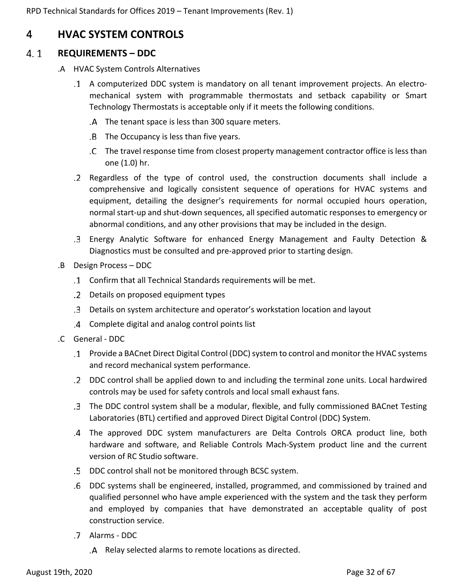## <span id="page-31-0"></span>4 **HVAC SYSTEM CONTROLS**

#### <span id="page-31-1"></span> $4.1$ **REQUIREMENTS – DDC**

- .A HVAC System Controls Alternatives
	- A computerized DDC system is mandatory on all tenant improvement projects. An electromechanical system with programmable thermostats and setback capability or Smart Technology Thermostats is acceptable only if it meets the following conditions.
		- The tenant space is less than 300 square meters.
		- The Occupancy is less than five years.
		- The travel response time from closest property management contractor office is less than one (1.0) hr.
	- Regardless of the type of control used, the construction documents shall include a comprehensive and logically consistent sequence of operations for HVAC systems and equipment, detailing the designer's requirements for normal occupied hours operation, normal start-up and shut-down sequences, all specified automatic responses to emergency or abnormal conditions, and any other provisions that may be included in the design.
	- Energy Analytic Software for enhanced Energy Management and Faulty Detection & Diagnostics must be consulted and pre-approved prior to starting design.
- .B Design Process DDC
	- Confirm that all Technical Standards requirements will be met.
	- Details on proposed equipment types
	- Details on system architecture and operator's workstation location and layout
	- Complete digital and analog control points list
- .C General DDC
	- Provide a BACnet Direct Digital Control (DDC) system to control and monitor the HVAC systems and record mechanical system performance.
	- DDC control shall be applied down to and including the terminal zone units. Local hardwired controls may be used for safety controls and local small exhaust fans.
	- The DDC control system shall be a modular, flexible, and fully commissioned BACnet Testing Laboratories (BTL) certified and approved Direct Digital Control (DDC) System.
	- The approved DDC system manufacturers are Delta Controls ORCA product line, both hardware and software, and Reliable Controls Mach-System product line and the current version of RC Studio software.
	- DDC control shall not be monitored through BCSC system.
	- DDC systems shall be engineered, installed, programmed, and commissioned by trained and qualified personnel who have ample experienced with the system and the task they perform and employed by companies that have demonstrated an acceptable quality of post construction service.
	- Alarms DDC
		- Relay selected alarms to remote locations as directed.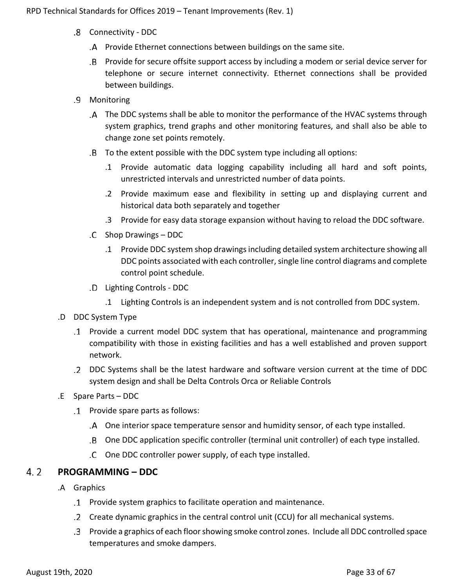- Connectivity DDC
	- Provide Ethernet connections between buildings on the same site.
	- Provide for secure offsite support access by including a modem or serial device server for telephone or secure internet connectivity. Ethernet connections shall be provided between buildings.
- Monitoring
	- The DDC systems shall be able to monitor the performance of the HVAC systems through system graphics, trend graphs and other monitoring features, and shall also be able to change zone set points remotely.
	- To the extent possible with the DDC system type including all options:
		- .1 Provide automatic data logging capability including all hard and soft points, unrestricted intervals and unrestricted number of data points.
		- .2 Provide maximum ease and flexibility in setting up and displaying current and historical data both separately and together
		- .3 Provide for easy data storage expansion without having to reload the DDC software.
	- Shop Drawings DDC
		- .1 Provide DDC system shop drawings including detailed system architecture showing all DDC points associated with each controller, single line control diagrams and complete control point schedule.
	- Lighting Controls DDC
		- .1 Lighting Controls is an independent system and is not controlled from DDC system.
- .D DDC System Type
	- Provide a current model DDC system that has operational, maintenance and programming compatibility with those in existing facilities and has a well established and proven support network.
	- DDC Systems shall be the latest hardware and software version current at the time of DDC system design and shall be Delta Controls Orca or Reliable Controls
- .E Spare Parts DDC
	- Provide spare parts as follows:
		- One interior space temperature sensor and humidity sensor, of each type installed.
		- One DDC application specific controller (terminal unit controller) of each type installed.
		- .C One DDC controller power supply, of each type installed.

#### <span id="page-32-0"></span> $4.2$ **PROGRAMMING – DDC**

- .A Graphics
	- Provide system graphics to facilitate operation and maintenance.
	- Create dynamic graphics in the central control unit (CCU) for all mechanical systems.
	- Provide a graphics of each floor showing smoke control zones. Include all DDC controlled space temperatures and smoke dampers.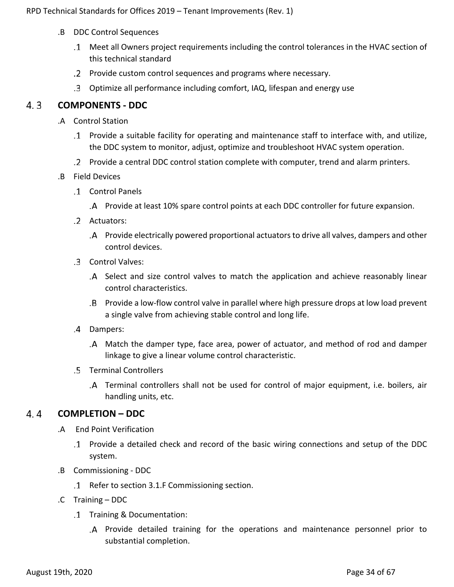- .B DDC Control Sequences
	- Meet all Owners project requirements including the control tolerances in the HVAC section of this technical standard
	- Provide custom control sequences and programs where necessary.
	- Optimize all performance including comfort, IAQ, lifespan and energy use

#### <span id="page-33-0"></span> $4.3$ **COMPONENTS - DDC**

- .A Control Station
	- Provide a suitable facility for operating and maintenance staff to interface with, and utilize, the DDC system to monitor, adjust, optimize and troubleshoot HVAC system operation.
	- Provide a central DDC control station complete with computer, trend and alarm printers.
- .B Field Devices
	- Control Panels
		- Provide at least 10% spare control points at each DDC controller for future expansion.
	- Actuators:
		- Provide electrically powered proportional actuators to drive all valves, dampers and other control devices.
	- Control Valves:
		- Select and size control valves to match the application and achieve reasonably linear control characteristics.
		- Provide a low-flow control valve in parallel where high pressure drops at low load prevent a single valve from achieving stable control and long life.
	- Dampers:
		- Match the damper type, face area, power of actuator, and method of rod and damper linkage to give a linear volume control characteristic.
	- .5 Terminal Controllers
		- Terminal controllers shall not be used for control of major equipment, i.e. boilers, air handling units, etc.

#### <span id="page-33-1"></span> $4.4$ **COMPLETION – DDC**

- .A End Point Verification
	- Provide a detailed check and record of the basic wiring connections and setup of the DDC system.
- .B Commissioning DDC
	- Refer to section 3.1.F Commissioning section.
- .C Training DDC
	- Training & Documentation:
		- Provide detailed training for the operations and maintenance personnel prior to substantial completion.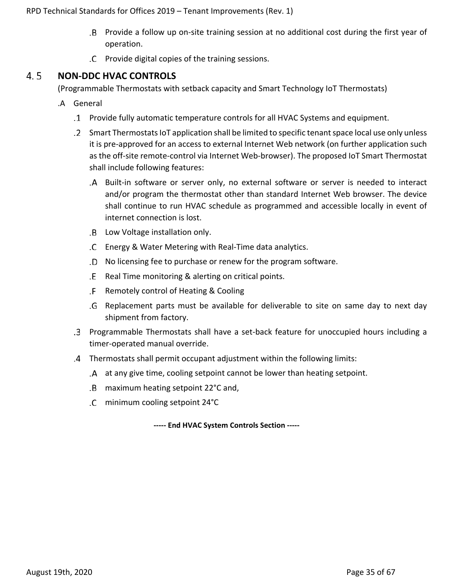- Provide a follow up on-site training session at no additional cost during the first year of operation.
- Provide digital copies of the training sessions.

#### <span id="page-34-0"></span> $4.5$ **NON-DDC HVAC CONTROLS**

(Programmable Thermostats with setback capacity and Smart Technology IoT Thermostats)

- .A General
	- Provide fully automatic temperature controls for all HVAC Systems and equipment.
	- Smart Thermostats IoT application shall be limited to specific tenant space local use only unless it is pre-approved for an access to external Internet Web network (on further application such as the off-site remote-control via Internet Web-browser). The proposed IoT Smart Thermostat shall include following features:
		- Built-in software or server only, no external software or server is needed to interact and/or program the thermostat other than standard Internet Web browser. The device shall continue to run HVAC schedule as programmed and accessible locally in event of internet connection is lost.
		- Low Voltage installation only.
		- Energy & Water Metering with Real-Time data analytics.
		- No licensing fee to purchase or renew for the program software.
		- .E Real Time monitoring & alerting on critical points.
		- .F Remotely control of Heating & Cooling
		- Replacement parts must be available for deliverable to site on same day to next day shipment from factory.
	- Programmable Thermostats shall have a set-back feature for unoccupied hours including a timer-operated manual override.
	- Thermostats shall permit occupant adjustment within the following limits:
		- at any give time, cooling setpoint cannot be lower than heating setpoint.
		- maximum heating setpoint 22°C and,
		- minimum cooling setpoint 24°C

**----- End HVAC System Controls Section -----**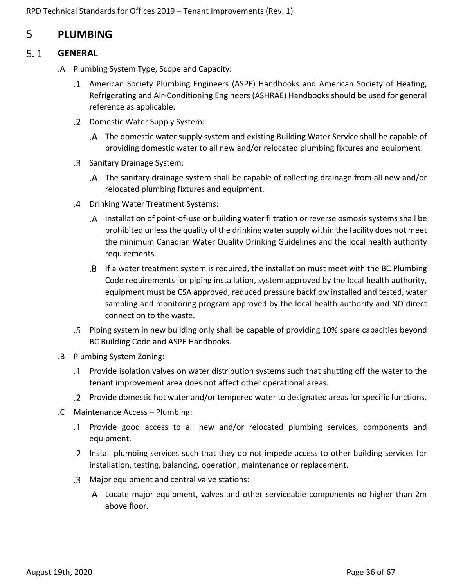## <span id="page-35-0"></span>5 **PLUMBING**

#### <span id="page-35-1"></span> $5.1$ **GENERAL**

- .A Plumbing System Type, Scope and Capacity:
	- American Society Plumbing Engineers (ASPE) Handbooks and American Society of Heating, Refrigerating and Air-Conditioning Engineers (ASHRAE) Handbooks should be used for general reference as applicable.
	- .2 Domestic Water Supply System:
		- The domestic water supply system and existing Building Water Service shall be capable of providing domestic water to all new and/or relocated plumbing fixtures and equipment.
	- .3 Sanitary Drainage System:
		- The sanitary drainage system shall be capable of collecting drainage from all new and/or relocated plumbing fixtures and equipment.
	- Drinking Water Treatment Systems:
		- Installation of point-of-use or building water filtration or reverse osmosis systems shall be prohibited unless the quality of the drinking water supply within the facility does not meet the minimum Canadian Water Quality Drinking Guidelines and the local health authority requirements.
		- If a water treatment system is required, the installation must meet with the BC Plumbing Code requirements for piping installation, system approved by the local health authority, equipment must be CSA approved, reduced pressure backflow installed and tested, water sampling and monitoring program approved by the local health authority and NO direct connection to the waste.
	- Piping system in new building only shall be capable of providing 10% spare capacities beyond BC Building Code and ASPE Handbooks.
- .B Plumbing System Zoning:
	- Provide isolation valves on water distribution systems such that shutting off the water to the tenant improvement area does not affect other operational areas.
	- Provide domestic hot water and/or tempered water to designated areas for specific functions.
- .C Maintenance Access Plumbing:
	- Provide good access to all new and/or relocated plumbing services, components and equipment.
	- Install plumbing services such that they do not impede access to other building services for installation, testing, balancing, operation, maintenance or replacement.
	- Major equipment and central valve stations:
		- Locate major equipment, valves and other serviceable components no higher than 2m above floor.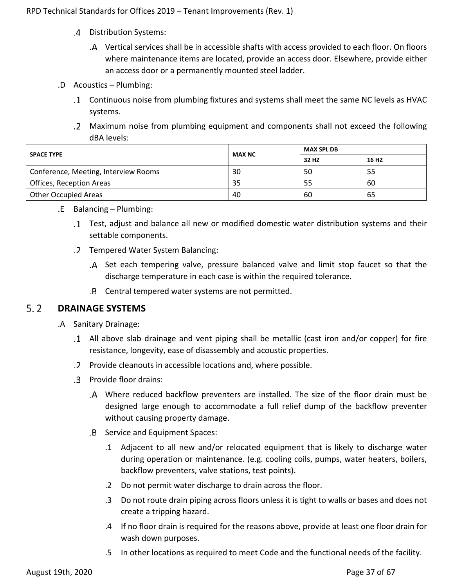- Distribution Systems:
	- Vertical services shall be in accessible shafts with access provided to each floor. On floors where maintenance items are located, provide an access door. Elsewhere, provide either an access door or a permanently mounted steel ladder.
- .D Acoustics Plumbing:
	- Continuous noise from plumbing fixtures and systems shall meet the same NC levels as HVAC systems.
	- Maximum noise from plumbing equipment and components shall not exceed the following dBA levels:

| <b>SPACE TYPE</b>                    | <b>MAX NC</b> | <b>MAX SPL DB</b> |       |  |
|--------------------------------------|---------------|-------------------|-------|--|
|                                      |               | 32 HZ             | 16 HZ |  |
| Conference, Meeting, Interview Rooms | 30            | 50                | 55    |  |
| <b>Offices, Reception Areas</b>      | 35            | -55               | 60    |  |
| <b>Other Occupied Areas</b>          | 40            | -60               | 65    |  |

- .E Balancing Plumbing:
	- Test, adjust and balance all new or modified domestic water distribution systems and their settable components.
	- Tempered Water System Balancing:
		- Set each tempering valve, pressure balanced valve and limit stop faucet so that the discharge temperature in each case is within the required tolerance.
		- Central tempered water systems are not permitted.

#### <span id="page-36-0"></span> $5.2$ **DRAINAGE SYSTEMS**

- .A Sanitary Drainage:
	- All above slab drainage and vent piping shall be metallic (cast iron and/or copper) for fire resistance, longevity, ease of disassembly and acoustic properties.
	- Provide cleanouts in accessible locations and, where possible.
	- Provide floor drains:
		- Where reduced backflow preventers are installed. The size of the floor drain must be designed large enough to accommodate a full relief dump of the backflow preventer without causing property damage.
		- .B Service and Equipment Spaces:
			- .1 Adjacent to all new and/or relocated equipment that is likely to discharge water during operation or maintenance. (e.g. cooling coils, pumps, water heaters, boilers, backflow preventers, valve stations, test points).
			- .2 Do not permit water discharge to drain across the floor.
			- .3 Do not route drain piping across floors unless it is tight to walls or bases and does not create a tripping hazard.
			- .4 If no floor drain is required for the reasons above, provide at least one floor drain for wash down purposes.
			- .5 In other locations as required to meet Code and the functional needs of the facility.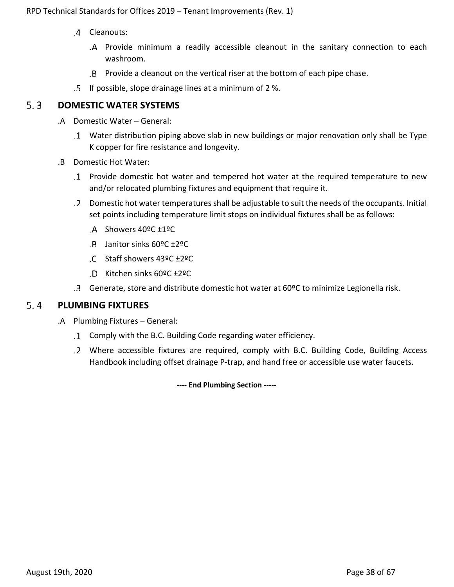- .4 Cleanouts:
	- Provide minimum a readily accessible cleanout in the sanitary connection to each washroom.
	- Provide a cleanout on the vertical riser at the bottom of each pipe chase.
- If possible, slope drainage lines at a minimum of 2 %.

#### <span id="page-37-0"></span> $5.3$ **DOMESTIC WATER SYSTEMS**

- .A Domestic Water General:
	- Water distribution piping above slab in new buildings or major renovation only shall be Type K copper for fire resistance and longevity.
- .B Domestic Hot Water:
	- Provide domestic hot water and tempered hot water at the required temperature to new and/or relocated plumbing fixtures and equipment that require it.
	- Domestic hot water temperatures shall be adjustable to suit the needs of the occupants. Initial set points including temperature limit stops on individual fixtures shall be as follows:
		- Showers 40ºC ±1ºC
		- Janitor sinks 60ºC ±2ºC
		- Staff showers 43ºC ±2ºC
		- Kitchen sinks 60ºC ±2ºC
	- Generate, store and distribute domestic hot water at 60ºC to minimize Legionella risk.

#### <span id="page-37-1"></span> $5.4$ **PLUMBING FIXTURES**

- .A Plumbing Fixtures General:
	- Comply with the B.C. Building Code regarding water efficiency.
	- Where accessible fixtures are required, comply with B.C. Building Code, Building Access Handbook including offset drainage P-trap, and hand free or accessible use water faucets.

**---- End Plumbing Section -----**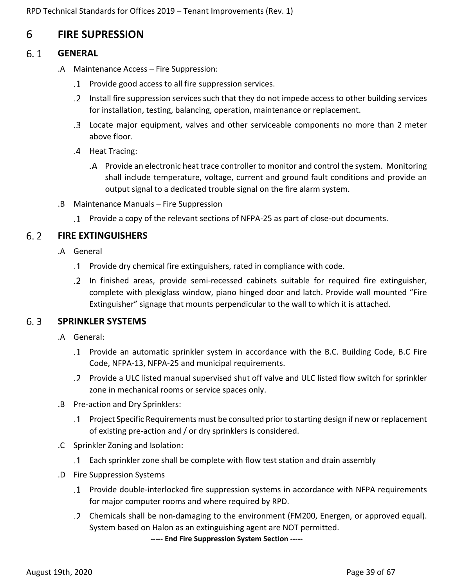## <span id="page-38-0"></span>6 **FIRE SUPRESSION**

#### <span id="page-38-1"></span> $6.1$ **GENERAL**

- .A Maintenance Access Fire Suppression:
	- Provide good access to all fire suppression services.
	- Install fire suppression services such that they do not impede access to other building services for installation, testing, balancing, operation, maintenance or replacement.
	- Locate major equipment, valves and other serviceable components no more than 2 meter above floor.
	- .4 Heat Tracing:
		- Provide an electronic heat trace controller to monitor and control the system. Monitoring shall include temperature, voltage, current and ground fault conditions and provide an output signal to a dedicated trouble signal on the fire alarm system.
- .B Maintenance Manuals Fire Suppression
	- Provide a copy of the relevant sections of NFPA-25 as part of close-out documents.

#### <span id="page-38-2"></span> $6.2$ **FIRE EXTINGUISHERS**

- .A General
	- Provide dry chemical fire extinguishers, rated in compliance with code.
	- In finished areas, provide semi-recessed cabinets suitable for required fire extinguisher, complete with plexiglass window, piano hinged door and latch. Provide wall mounted "Fire Extinguisher" signage that mounts perpendicular to the wall to which it is attached.

#### <span id="page-38-3"></span> $6.3$ **SPRINKLER SYSTEMS**

- .A General:
	- Provide an automatic sprinkler system in accordance with the B.C. Building Code, B.C Fire Code, NFPA-13, NFPA-25 and municipal requirements.
	- Provide a ULC listed manual supervised shut off valve and ULC listed flow switch for sprinkler zone in mechanical rooms or service spaces only.
- .B Pre-action and Dry Sprinklers:
	- Project Specific Requirements must be consulted prior to starting design if new or replacement of existing pre-action and / or dry sprinklers is considered.
- .C Sprinkler Zoning and Isolation:
	- Each sprinkler zone shall be complete with flow test station and drain assembly
- .D Fire Suppression Systems
	- Provide double-interlocked fire suppression systems in accordance with NFPA requirements for major computer rooms and where required by RPD.
	- Chemicals shall be non-damaging to the environment (FM200, Energen, or approved equal). System based on Halon as an extinguishing agent are NOT permitted.

**----- End Fire Suppression System Section -----**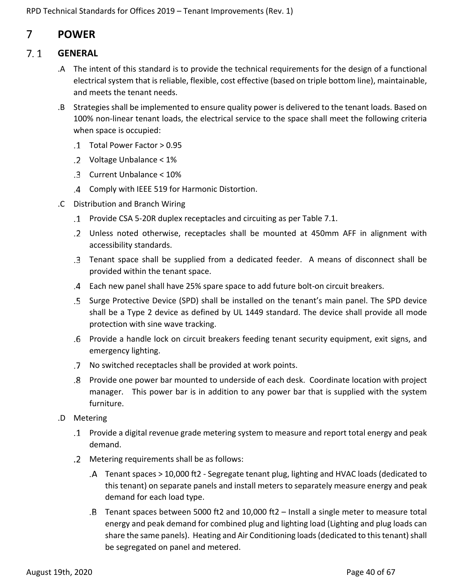## <span id="page-39-0"></span>7 **POWER**

#### <span id="page-39-1"></span> $7.1$ **GENERAL**

- .A The intent of this standard is to provide the technical requirements for the design of a functional electrical system that is reliable, flexible, cost effective (based on triple bottom line), maintainable, and meets the tenant needs.
- .B Strategies shall be implemented to ensure quality power is delivered to the tenant loads. Based on 100% non-linear tenant loads, the electrical service to the space shall meet the following criteria when space is occupied:
	- Total Power Factor > 0.95
	- Voltage Unbalance < 1%
	- Current Unbalance < 10%
	- Comply with IEEE 519 for Harmonic Distortion.
- .C Distribution and Branch Wiring
	- Provide CSA 5-20R duplex receptacles and circuiting as per Table 7.1.
	- Unless noted otherwise, receptacles shall be mounted at 450mm AFF in alignment with accessibility standards.
	- Tenant space shall be supplied from a dedicated feeder. A means of disconnect shall be provided within the tenant space.
	- Each new panel shall have 25% spare space to add future bolt-on circuit breakers.
	- Surge Protective Device (SPD) shall be installed on the tenant's main panel. The SPD device shall be a Type 2 device as defined by UL 1449 standard. The device shall provide all mode protection with sine wave tracking.
	- Provide a handle lock on circuit breakers feeding tenant security equipment, exit signs, and emergency lighting.
	- No switched receptacles shall be provided at work points.
	- Provide one power bar mounted to underside of each desk. Coordinate location with project manager. This power bar is in addition to any power bar that is supplied with the system furniture.
- .D Metering
	- Provide a digital revenue grade metering system to measure and report total energy and peak demand.
	- Metering requirements shall be as follows:
		- Tenant spaces > 10,000 ft2 Segregate tenant plug, lighting and HVAC loads (dedicated to this tenant) on separate panels and install meters to separately measure energy and peak demand for each load type.
		- Tenant spaces between 5000 ft2 and 10,000 ft2 Install a single meter to measure total energy and peak demand for combined plug and lighting load (Lighting and plug loads can share the same panels). Heating and Air Conditioning loads (dedicated to this tenant) shall be segregated on panel and metered.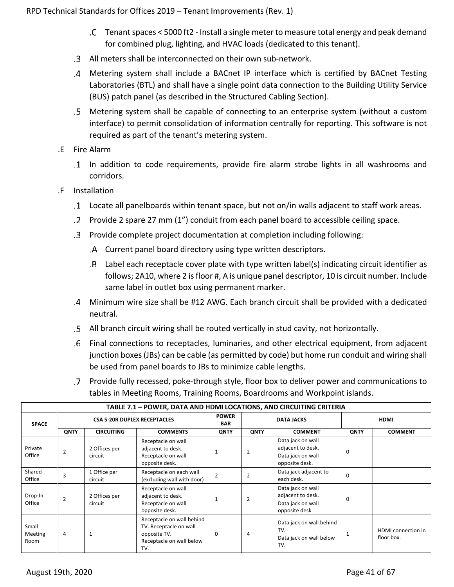- Tenant spaces < 5000 ft2 Install a single meter to measure total energy and peak demand for combined plug, lighting, and HVAC loads (dedicated to this tenant).
- All meters shall be interconnected on their own sub-network.
- Metering system shall include a BACnet IP interface which is certified by BACnet Testing Laboratories (BTL) and shall have a single point data connection to the Building Utility Service (BUS) patch panel (as described in the Structured Cabling Section).
- Metering system shall be capable of connecting to an enterprise system (without a custom interface) to permit consolidation of information centrally for reporting. This software is not required as part of the tenant's metering system.
- .E Fire Alarm
	- In addition to code requirements, provide fire alarm strobe lights in all washrooms and corridors.
- .F Installation
	- Locate all panelboards within tenant space, but not on/in walls adjacent to staff work areas.
	- Provide 2 spare 27 mm (1") conduit from each panel board to accessible ceiling space.
	- Provide complete project documentation at completion including following:
		- Current panel board directory using type written descriptors.
		- Label each receptacle cover plate with type written label(s) indicating circuit identifier as follows; 2A10, where 2 is floor #, A is unique panel descriptor, 10 is circuit number. Include same label in outlet box using permanent marker.
	- Minimum wire size shall be #12 AWG. Each branch circuit shall be provided with a dedicated neutral.
	- All branch circuit wiring shall be routed vertically in stud cavity, not horizontally.
	- Final connections to receptacles, luminaries, and other electrical equipment, from adjacent junction boxes (JBs) can be cable (as permitted by code) but home run conduit and wiring shall be used from panel boards to JBs to minimize cable lengths.
	- Provide fully recessed, poke-through style, floor box to deliver power and communications to tables in Meeting Rooms, Training Rooms, Boardrooms and Workpoint islands.

| TABLE 7.1 - POWER, DATA AND HDMI LOCATIONS, AND CIRCUITING CRITERIA |                                     |                          |                                                                                                        |                            |                   |                                                                               |             |                                         |
|---------------------------------------------------------------------|-------------------------------------|--------------------------|--------------------------------------------------------------------------------------------------------|----------------------------|-------------------|-------------------------------------------------------------------------------|-------------|-----------------------------------------|
| <b>SPACE</b>                                                        | <b>CSA 5-20R DUPLEX RECEPTACLES</b> |                          |                                                                                                        | <b>POWER</b><br><b>BAR</b> | <b>DATA JACKS</b> |                                                                               | <b>HDMI</b> |                                         |
|                                                                     | <b>QNTY</b>                         | <b>CIRCUITING</b>        | <b>COMMENTS</b>                                                                                        | QNTY                       | <b>QNTY</b>       | <b>COMMENT</b>                                                                | QNTY        | <b>COMMENT</b>                          |
| Private<br>Office                                                   | $\overline{2}$                      | 2 Offices per<br>circuit | Receptacle on wall<br>adjacent to desk.<br>Receptacle on wall<br>opposite desk.                        |                            | $\overline{2}$    | Data jack on wall<br>adjacent to desk.<br>Data jack on wall<br>opposite desk. | $\Omega$    |                                         |
| Shared<br>Office                                                    | 3                                   | 1 Office per<br>circuit  | Receptacle on each wall<br>(excluding wall with door)                                                  | $\overline{2}$             | $\overline{2}$    | Data jack adjacent to<br>each desk.                                           | $\Omega$    |                                         |
| Drop-In<br>Office                                                   | $\overline{2}$                      | 2 Offices per<br>circuit | Receptacle on wall<br>adjacent to desk.<br>Receptacle on wall<br>opposite desk.                        |                            | $\overline{2}$    | Data jack on wall<br>adjacent to desk.<br>Data jack on wall<br>opposite desk  | $\Omega$    |                                         |
| Small<br><b>Meeting</b><br>Room                                     | 4                                   |                          | Receptacle on wall behind<br>TV. Receptacle on wall<br>opposite TV.<br>Receptacle on wall below<br>TV. | $\Omega$                   | 4                 | Data jack on wall behind<br>TV.<br>Data jack on wall below<br>TV.             | 1           | <b>HDMI</b> connection in<br>floor box. |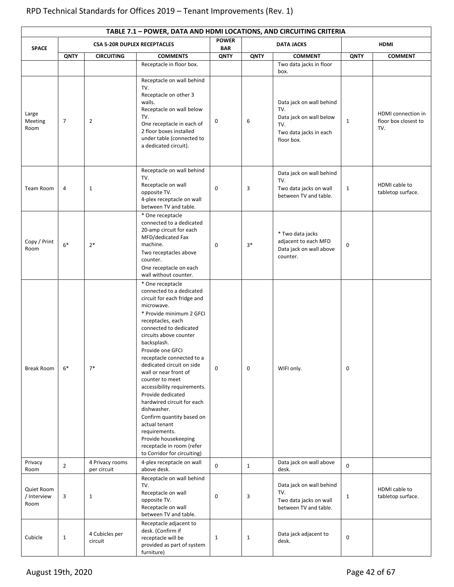|                                   | TABLE 7.1 - POWER, DATA AND HDMI LOCATIONS, AND CIRCUITING CRITERIA |                                     |                                                                                                                                                                                                                                                                                                                                                                                                                                                                                                                                                                                                                      |              |                   |                                                                                                           |              |                                                   |  |  |
|-----------------------------------|---------------------------------------------------------------------|-------------------------------------|----------------------------------------------------------------------------------------------------------------------------------------------------------------------------------------------------------------------------------------------------------------------------------------------------------------------------------------------------------------------------------------------------------------------------------------------------------------------------------------------------------------------------------------------------------------------------------------------------------------------|--------------|-------------------|-----------------------------------------------------------------------------------------------------------|--------------|---------------------------------------------------|--|--|
| <b>SPACE</b>                      |                                                                     | <b>CSA 5-20R DUPLEX RECEPTACLES</b> |                                                                                                                                                                                                                                                                                                                                                                                                                                                                                                                                                                                                                      |              | <b>DATA JACKS</b> |                                                                                                           | <b>HDMI</b>  |                                                   |  |  |
|                                   | <b>QNTY</b>                                                         | <b>CIRCUITING</b>                   | <b>COMMENTS</b><br>Receptacle in floor box.                                                                                                                                                                                                                                                                                                                                                                                                                                                                                                                                                                          | QNTY         | <b>QNTY</b>       | <b>COMMENT</b><br>Two data jacks in floor<br>box.                                                         | <b>QNTY</b>  | <b>COMMENT</b>                                    |  |  |
| Large<br>Meeting<br>Room          | $\overline{7}$                                                      | $\overline{2}$                      | Receptacle on wall behind<br>TV.<br>Receptacle on other 3<br>walls.<br>Receptacle on wall below<br>TV.<br>One receptacle in each of<br>2 floor boxes installed<br>under table (connected to<br>a dedicated circuit).                                                                                                                                                                                                                                                                                                                                                                                                 | 0            | 6                 | Data jack on wall behind<br>TV.<br>Data jack on wall below<br>TV.<br>Two data jacks in each<br>floor box. | $\mathbf{1}$ | HDMI connection in<br>floor box closest to<br>TV. |  |  |
| Team Room                         | 4                                                                   | 1                                   | Receptacle on wall behind<br>TV.<br>Receptacle on wall<br>opposite TV.<br>4-plex receptacle on wall<br>between TV and table.                                                                                                                                                                                                                                                                                                                                                                                                                                                                                         | 0            | 3                 | Data jack on wall behind<br>TV.<br>Two data jacks on wall<br>between TV and table.                        | $\mathbf{1}$ | HDMI cable to<br>tabletop surface.                |  |  |
| Copy / Print<br>Room              | $6*$                                                                | $2*$                                | * One receptacle<br>connected to a dedicated<br>20-amp circuit for each<br>MFD/dedicated Fax<br>machine.<br>Two receptacles above<br>counter.<br>One receptacle on each                                                                                                                                                                                                                                                                                                                                                                                                                                              | 0            | $3*$              | * Two data jacks<br>adjacent to each MFD<br>Data jack on wall above<br>counter.                           | $\mathbf 0$  |                                                   |  |  |
| <b>Break Room</b>                 | $6*$                                                                | $7*$                                | wall without counter.<br>* One receptacle<br>connected to a dedicated<br>circuit for each fridge and<br>microwave.<br>* Provide minimum 2 GFCI<br>receptacles, each<br>connected to dedicated<br>circuits above counter<br>backsplash.<br>Provide one GFCI<br>receptacle connected to a<br>dedicated circuit on side<br>wall or near front of<br>counter to meet<br>accessibility requirements.<br>Provide dedicated<br>hardwired circuit for each<br>dishwasher.<br>Confirm quantity based on<br>actual tenant<br>requirements.<br>Provide housekeeping<br>receptacle in room (refer<br>to Corridor for circuiting) | 0            | $\mathbf 0$       | WIFI only.                                                                                                | $\mathbf 0$  |                                                   |  |  |
| Privacy<br>Room                   | $\overline{2}$                                                      | 4 Privacy rooms<br>per circuit      | 4-plex receptacle on wall<br>above desk.<br>Receptacle on wall behind                                                                                                                                                                                                                                                                                                                                                                                                                                                                                                                                                | $\mathbf 0$  | $\mathbf{1}$      | Data jack on wall above<br>desk.                                                                          | $\mathbf 0$  |                                                   |  |  |
| Quiet Room<br>/ Interview<br>Room | 3                                                                   | $\mathbf 1$                         | TV.<br>Receptacle on wall<br>opposite TV.<br>Receptacle on wall<br>between TV and table.                                                                                                                                                                                                                                                                                                                                                                                                                                                                                                                             | 0            | 3                 | Data jack on wall behind<br>TV.<br>Two data jacks on wall<br>between TV and table.                        | $\mathbf 1$  | HDMI cable to<br>tabletop surface.                |  |  |
| Cubicle                           | $\mathbf{1}$                                                        | 4 Cubicles per<br>circuit           | Receptacle adjacent to<br>desk. (Confirm if<br>receptacle will be<br>provided as part of system<br>furniture)                                                                                                                                                                                                                                                                                                                                                                                                                                                                                                        | $\mathbf{1}$ | $\mathbf{1}$      | Data jack adjacent to<br>desk.                                                                            | $\mathsf 0$  |                                                   |  |  |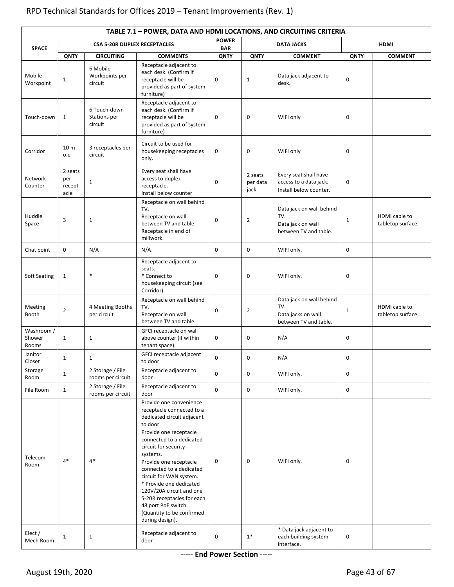|                               | TABLE 7.1 - POWER, DATA AND HDMI LOCATIONS, AND CIRCUITING CRITERIA |                                         |                                                                                                                                                                                                                                                                                                                                                                                                                                      |             |                             |                                                                                |              |                                    |  |  |
|-------------------------------|---------------------------------------------------------------------|-----------------------------------------|--------------------------------------------------------------------------------------------------------------------------------------------------------------------------------------------------------------------------------------------------------------------------------------------------------------------------------------------------------------------------------------------------------------------------------------|-------------|-----------------------------|--------------------------------------------------------------------------------|--------------|------------------------------------|--|--|
| <b>SPACE</b>                  |                                                                     | <b>CSA 5-20R DUPLEX RECEPTACLES</b>     | <b>POWER</b><br><b>DATA JACKS</b><br><b>BAR</b>                                                                                                                                                                                                                                                                                                                                                                                      |             | <b>HDMI</b>                 |                                                                                |              |                                    |  |  |
|                               | QNTY                                                                | <b>CIRCUITING</b>                       | <b>COMMENTS</b>                                                                                                                                                                                                                                                                                                                                                                                                                      | <b>QNTY</b> | <b>QNTY</b>                 | <b>COMMENT</b>                                                                 | <b>QNTY</b>  | <b>COMMENT</b>                     |  |  |
| Mobile<br>Workpoint           | $\mathbf{1}$                                                        | 6 Mobile<br>Workpoints per<br>circuit   | Receptacle adjacent to<br>each desk. (Confirm if<br>receptacle will be<br>provided as part of system<br>furniture)                                                                                                                                                                                                                                                                                                                   | 0           | $\mathbf{1}$                | Data jack adjacent to<br>desk.                                                 | $\mathbf 0$  |                                    |  |  |
| Touch-down                    | $\mathbf{1}$                                                        | 6 Touch-down<br>Stations per<br>circuit | Receptacle adjacent to<br>each desk. (Confirm if<br>receptacle will be<br>provided as part of system<br>furniture)                                                                                                                                                                                                                                                                                                                   | 0           | $\mathbf 0$                 | WIFI only                                                                      | 0            |                                    |  |  |
| Corridor                      | 10 <sub>m</sub><br>o.c                                              | 3 receptacles per<br>circuit            | Circuit to be used for<br>housekeeping receptacles<br>only.                                                                                                                                                                                                                                                                                                                                                                          | 0           | $\mathbf 0$                 | WIFI only                                                                      | 0            |                                    |  |  |
| Network<br>Counter            | 2 seats<br>per<br>recept<br>acle                                    | $\mathbf{1}$                            | Every seat shall have<br>access to duplex<br>receptacle.<br>Install below counter                                                                                                                                                                                                                                                                                                                                                    | 0           | 2 seats<br>per data<br>jack | Every seat shall have<br>access to a data jack.<br>Install below counter.      | $\mathbf 0$  |                                    |  |  |
| Huddle<br>Space               | 3                                                                   | $\mathbf 1$                             | Receptacle on wall behind<br>TV.<br>Receptacle on wall<br>between TV and table.<br>Receptacle in end of<br>millwork.                                                                                                                                                                                                                                                                                                                 | 0           | $\overline{2}$              | Data jack on wall behind<br>TV.<br>Data jack on wall<br>between TV and table.  | $\mathbf{1}$ | HDMI cable to<br>tabletop surface. |  |  |
| Chat point                    | 0                                                                   | N/A                                     | N/A                                                                                                                                                                                                                                                                                                                                                                                                                                  | $\mathbf 0$ | 0                           | WIFI only.                                                                     | 0            |                                    |  |  |
| Soft Seating                  | $\mathbf{1}$                                                        | $\ast$                                  | Receptacle adjacent to<br>seats.<br>* Connect to<br>housekeeping circuit (see<br>Corridor).                                                                                                                                                                                                                                                                                                                                          | $\mathsf 0$ | $\mathbf 0$                 | WIFI only.                                                                     | 0            |                                    |  |  |
| Meeting<br>Booth              | $\overline{2}$                                                      | 4 Meeting Booths<br>per circuit         | Receptacle on wall behind<br>TV.<br>Receptacle on wall<br>between TV and table.                                                                                                                                                                                                                                                                                                                                                      | 0           | $\overline{2}$              | Data jack on wall behind<br>TV.<br>Data jacks on wall<br>between TV and table. | $\mathbf{1}$ | HDMI cable to<br>tabletop surface. |  |  |
| Washroom /<br>Shower<br>Rooms | $\mathbf{1}$                                                        | $1\,$                                   | GFCI receptacle on wall<br>above counter (if within<br>tenant space).                                                                                                                                                                                                                                                                                                                                                                | 0           | $\mathbf 0$                 | N/A                                                                            | 0            |                                    |  |  |
| Janitor<br>Closet             | $\mathbf 1$                                                         | $\mathbf{1}$                            | GFCI receptacle adjacent<br>to door                                                                                                                                                                                                                                                                                                                                                                                                  | $\mathbf 0$ | 0                           | N/A                                                                            | $\mathbf 0$  |                                    |  |  |
| Storage<br>Room               | $\mathbf{1}$                                                        | 2 Storage / File<br>rooms per circuit   | Receptacle adjacent to<br>door                                                                                                                                                                                                                                                                                                                                                                                                       | $\mathbf 0$ | $\mathbf 0$                 | WIFI only.                                                                     | $\mathbf 0$  |                                    |  |  |
| File Room                     | $\mathbf{1}$                                                        | 2 Storage / File<br>rooms per circuit   | Receptacle adjacent to<br>door                                                                                                                                                                                                                                                                                                                                                                                                       | 0           | 0                           | WIFI only.                                                                     | $\mathbf 0$  |                                    |  |  |
| Telecom<br>Room               | $4*$                                                                | $4*$                                    | Provide one convenience<br>receptacle connected to a<br>dedicated circuit adjacent<br>to door.<br>Provide one receptacle<br>connected to a dedicated<br>circuit for security<br>systems.<br>Provide one receptacle<br>connected to a dedicated<br>circuit for WAN system.<br>* Provide one dedicated<br>120V/20A circuit and one<br>5-20R receptacles for each<br>48 port PoE switch<br>(Quantity to be confirmed<br>during design). | 0           | $\mathbf 0$                 | WIFI only.<br>* Data jack adjacent to                                          | $\mathbf 0$  |                                    |  |  |
| Elect /<br>Mech Room          | 1                                                                   | $1\,$                                   | Receptacle adjacent to<br>door                                                                                                                                                                                                                                                                                                                                                                                                       | 0           | $1*$                        | each building system<br>interface.                                             | $\mathbf 0$  |                                    |  |  |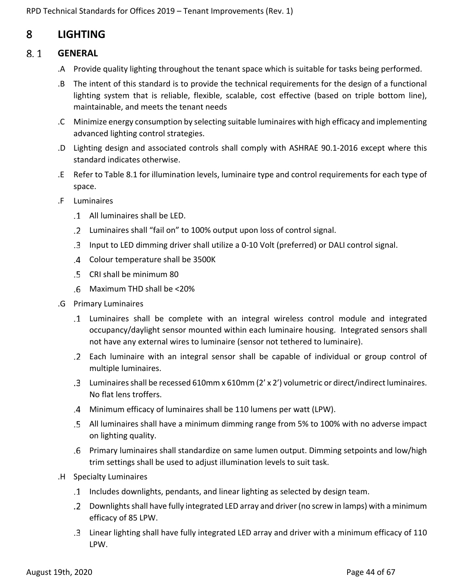## <span id="page-43-0"></span>8 **LIGHTING**

#### <span id="page-43-1"></span> $8.1$ **GENERAL**

- .A Provide quality lighting throughout the tenant space which is suitable for tasks being performed.
- .B The intent of this standard is to provide the technical requirements for the design of a functional lighting system that is reliable, flexible, scalable, cost effective (based on triple bottom line), maintainable, and meets the tenant needs
- .C Minimize energy consumption by selecting suitable luminaires with high efficacy and implementing advanced lighting control strategies.
- .D Lighting design and associated controls shall comply with ASHRAE 90.1-2016 except where this standard indicates otherwise.
- .E Refer to Table 8.1 for illumination levels, luminaire type and control requirements for each type of space.
- .F Luminaires
	- All luminaires shall be LED.
	- Luminaires shall "fail on" to 100% output upon loss of control signal.
	- Input to LED dimming driver shall utilize a 0-10 Volt (preferred) or DALI control signal.
	- Colour temperature shall be 3500K
	- CRI shall be minimum 80
	- Maximum THD shall be <20%
- .G Primary Luminaires
	- Luminaires shall be complete with an integral wireless control module and integrated occupancy/daylight sensor mounted within each luminaire housing. Integrated sensors shall not have any external wires to luminaire (sensor not tethered to luminaire).
	- Each luminaire with an integral sensor shall be capable of individual or group control of multiple luminaires.
	- Luminaires shall be recessed 610mm x 610mm (2' x 2') volumetric or direct/indirect luminaires. No flat lens troffers.
	- Minimum efficacy of luminaires shall be 110 lumens per watt (LPW).
	- All luminaires shall have a minimum dimming range from 5% to 100% with no adverse impact on lighting quality.
	- Primary luminaires shall standardize on same lumen output. Dimming setpoints and low/high trim settings shall be used to adjust illumination levels to suit task.
- .H Specialty Luminaires
	- Includes downlights, pendants, and linear lighting as selected by design team.
	- Downlights shall have fully integrated LED array and driver (no screw in lamps) with a minimum efficacy of 85 LPW.
	- Linear lighting shall have fully integrated LED array and driver with a minimum efficacy of 110 LPW.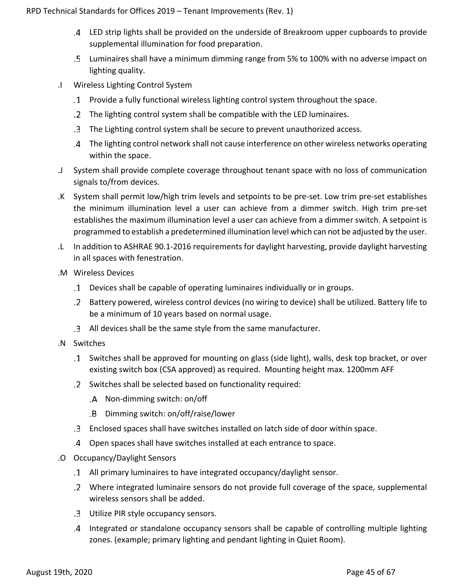- LED strip lights shall be provided on the underside of Breakroom upper cupboards to provide supplemental illumination for food preparation.
- Luminaires shall have a minimum dimming range from 5% to 100% with no adverse impact on lighting quality.
- .I Wireless Lighting Control System
	- Provide a fully functional wireless lighting control system throughout the space.
	- The lighting control system shall be compatible with the LED luminaires.
	- The Lighting control system shall be secure to prevent unauthorized access.
	- The lighting control network shall not cause interference on other wireless networks operating within the space.
- .J System shall provide complete coverage throughout tenant space with no loss of communication signals to/from devices.
- .K System shall permit low/high trim levels and setpoints to be pre-set. Low trim pre-set establishes the minimum illumination level a user can achieve from a dimmer switch. High trim pre-set establishes the maximum illumination level a user can achieve from a dimmer switch. A setpoint is programmed to establish a predetermined illumination level which can not be adjusted by the user.
- .L In addition to ASHRAE 90.1-2016 requirements for daylight harvesting, provide daylight harvesting in all spaces with fenestration.
- .M Wireless Devices
	- Devices shall be capable of operating luminaires individually or in groups.
	- Battery powered, wireless control devices (no wiring to device) shall be utilized. Battery life to be a minimum of 10 years based on normal usage.
	- All devices shall be the same style from the same manufacturer.
- .N Switches
	- Switches shall be approved for mounting on glass (side light), walls, desk top bracket, or over existing switch box (CSA approved) as required. Mounting height max. 1200mm AFF
	- Switches shall be selected based on functionality required:
		- .A Non-dimming switch: on/off
		- Dimming switch: on/off/raise/lower
	- Enclosed spaces shall have switches installed on latch side of door within space.
	- Open spaces shall have switches installed at each entrance to space.
- .O Occupancy/Daylight Sensors
	- All primary luminaires to have integrated occupancy/daylight sensor.
	- Where integrated luminaire sensors do not provide full coverage of the space, supplemental wireless sensors shall be added.
	- Utilize PIR style occupancy sensors.
	- Integrated or standalone occupancy sensors shall be capable of controlling multiple lighting zones. (example; primary lighting and pendant lighting in Quiet Room).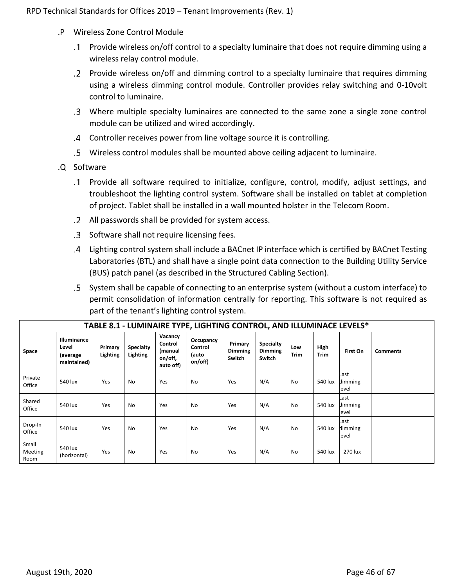- .P Wireless Zone Control Module
	- Provide wireless on/off control to a specialty luminaire that does not require dimming using a wireless relay control module.
	- Provide wireless on/off and dimming control to a specialty luminaire that requires dimming using a wireless dimming control module. Controller provides relay switching and 0-10volt control to luminaire.
	- Where multiple specialty luminaires are connected to the same zone a single zone control module can be utilized and wired accordingly.
	- Controller receives power from line voltage source it is controlling.
	- Wireless control modules shall be mounted above ceiling adjacent to luminaire.
- .Q Software
	- Provide all software required to initialize, configure, control, modify, adjust settings, and troubleshoot the lighting control system. Software shall be installed on tablet at completion of project. Tablet shall be installed in a wall mounted holster in the Telecom Room.
	- All passwords shall be provided for system access.
	- .3 Software shall not require licensing fees.
	- Lighting control system shall include a BACnet IP interface which is certified by BACnet Testing Laboratories (BTL) and shall have a single point data connection to the Building Utility Service (BUS) patch panel (as described in the Structured Cabling Section).
	- System shall be capable of connecting to an enterprise system (without a custom interface) to permit consolidation of information centrally for reporting. This software is not required as part of the tenant's lighting control system.

|                          | TABLE 8.1 - LUMINAIRE TYPE, LIGHTING CONTROL, AND ILLUMINACE LEVELS* |                     |                              |                                                       |                                          |                                     |                                              |                    |                     |                          |                 |
|--------------------------|----------------------------------------------------------------------|---------------------|------------------------------|-------------------------------------------------------|------------------------------------------|-------------------------------------|----------------------------------------------|--------------------|---------------------|--------------------------|-----------------|
| Space                    | Illuminance<br>Level<br>(average<br>maintained)                      | Primary<br>Lighting | <b>Specialty</b><br>Lighting | Vacancy<br>Control<br>(manual<br>on/off,<br>auto off) | Occupancy<br>Control<br>(auto<br>on/off) | Primary<br><b>Dimming</b><br>Switch | <b>Specialty</b><br><b>Dimming</b><br>Switch | Low<br><b>Trim</b> | High<br><b>Trim</b> | First On                 | <b>Comments</b> |
| Private<br>Office        | 540 lux                                                              | Yes                 | No                           | Yes                                                   | No                                       | Yes                                 | N/A                                          | <b>No</b>          | 540 lux             | Last<br>dimming<br>level |                 |
| Shared<br>Office         | 540 lux                                                              | Yes                 | No                           | Yes                                                   | No                                       | Yes                                 | N/A                                          | No                 | 540 lux             | Last<br>dimming<br>level |                 |
| Drop-In<br>Office        | 540 lux                                                              | Yes                 | No                           | Yes                                                   | No                                       | Yes                                 | N/A                                          | No                 | 540 lux             | Last<br>dimming<br>level |                 |
| Small<br>Meeting<br>Room | 540 lux<br>(horizontal)                                              | Yes                 | No                           | Yes                                                   | No                                       | Yes                                 | N/A                                          | <b>No</b>          | 540 lux             | 270 lux                  |                 |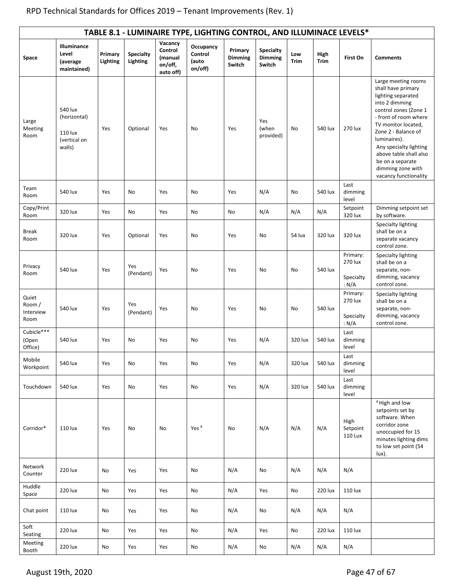|                                      | TABLE 8.1 - LUMINAIRE TYPE, LIGHTING CONTROL, AND ILLUMINACE LEVELS* |                     |                              |                                                       |                                          |                                     |                                              |             |                     |                                           |                                                                                                                                                                                                                                                                                                                         |
|--------------------------------------|----------------------------------------------------------------------|---------------------|------------------------------|-------------------------------------------------------|------------------------------------------|-------------------------------------|----------------------------------------------|-------------|---------------------|-------------------------------------------|-------------------------------------------------------------------------------------------------------------------------------------------------------------------------------------------------------------------------------------------------------------------------------------------------------------------------|
| Space                                | Illuminance<br>Level<br>(average<br>maintained)                      | Primary<br>Lighting | <b>Specialty</b><br>Lighting | Vacancy<br>Control<br>(manual<br>on/off,<br>auto off) | Occupancy<br>Control<br>(auto<br>on/off) | Primary<br><b>Dimming</b><br>Switch | <b>Specialty</b><br><b>Dimming</b><br>Switch | Low<br>Trim | High<br><b>Trim</b> | First On                                  | <b>Comments</b>                                                                                                                                                                                                                                                                                                         |
| Large<br>Meeting<br>Room             | 540 lux<br>(horizontal)<br>110 lux<br>(vertical on<br>walls)         | Yes                 | Optional                     | Yes                                                   | No                                       | Yes                                 | Yes<br>(when<br>provided)                    | No          | 540 lux             | 270 lux                                   | Large meeting rooms<br>shall have primary<br>lighting separated<br>into 2 dimming<br>control zones (Zone 1<br>- front of room where<br>TV monitor located,<br>Zone 2 - Balance of<br>luminaires).<br>Any specialty lighting<br>above table shall also<br>be on a separate<br>dimming zone with<br>vacancy functionality |
| Team<br>Room                         | 540 lux                                                              | Yes                 | No                           | Yes                                                   | No                                       | Yes                                 | N/A                                          | No          | 540 lux             | Last<br>dimming<br>level                  |                                                                                                                                                                                                                                                                                                                         |
| Copy/Print<br>Room                   | 320 lux                                                              | Yes                 | No                           | Yes                                                   | No                                       | No                                  | N/A                                          | N/A         | N/A                 | Setpoint<br>320 lux                       | Dimming setpoint set<br>by software.                                                                                                                                                                                                                                                                                    |
| <b>Break</b><br>Room                 | 320 lux                                                              | Yes                 | Optional                     | Yes                                                   | No                                       | Yes                                 | No                                           | 54 lux      | 320 lux             | 320 lux                                   | Specialty lighting<br>shall be on a<br>separate vacancy<br>control zone.                                                                                                                                                                                                                                                |
| Privacy<br>Room                      | 540 lux                                                              | Yes                 | Yes<br>(Pendant)             | Yes                                                   | No                                       | Yes                                 | No                                           | No          | 540 lux             | Primary:<br>270 lux<br>Specialty<br>: N/A | Specialty lighting<br>shall be on a<br>separate, non-<br>dimming, vacancy<br>control zone.                                                                                                                                                                                                                              |
| Quiet<br>Room /<br>Interview<br>Room | 540 lux                                                              | Yes                 | Yes<br>(Pendant)             | Yes                                                   | No                                       | Yes                                 | No                                           | No          | 540 lux             | Primary:<br>270 lux<br>Specialty<br>: N/A | Specialty lighting<br>shall be on a<br>separate, non-<br>dimming, vacancy<br>control zone.                                                                                                                                                                                                                              |
| Cubicle***<br>(Open<br>Office)       | 540 lux                                                              | Yes                 | No                           | Yes                                                   | No                                       | Yes                                 | N/A                                          | 320 lux     | 540 lux             | Last<br>dimming<br>level                  |                                                                                                                                                                                                                                                                                                                         |
| Mobile<br>Workpoint                  | 540 lux                                                              | Yes                 | No                           | Yes                                                   | No                                       | Yes                                 | N/A                                          | 320 lux     | 540 lux             | Last<br>dimming<br>level                  |                                                                                                                                                                                                                                                                                                                         |
| Touchdown                            | 540 lux                                                              | Yes                 | No                           | Yes                                                   | No                                       | Yes                                 | N/A                                          | 320 lux     | 540 lux             | Last<br>dimming<br>level                  |                                                                                                                                                                                                                                                                                                                         |
| Corridor*                            | 110 lux                                                              | Yes                 | No                           | No                                                    | Yes <sup>#</sup>                         | No                                  | N/A                                          | N/A         | N/A                 | High<br>Setpoint<br><b>110 Lux</b>        | #High and low<br>setpoints set by<br>software. When<br>corridor zone<br>unoccupied for 15<br>minutes lighting dims<br>to low set point (54<br>lux).                                                                                                                                                                     |
| Network<br>Counter                   | 220 lux                                                              | No                  | Yes                          | Yes                                                   | No                                       | N/A                                 | No                                           | N/A         | N/A                 | N/A                                       |                                                                                                                                                                                                                                                                                                                         |
| Huddle<br>Space                      | 220 lux                                                              | No                  | Yes                          | Yes                                                   | No                                       | N/A                                 | Yes                                          | No          | 220 lux             | 110 lux                                   |                                                                                                                                                                                                                                                                                                                         |
| Chat point                           | 110 lux                                                              | No                  | Yes                          | Yes                                                   | No                                       | N/A                                 | No                                           | N/A         | N/A                 | N/A                                       |                                                                                                                                                                                                                                                                                                                         |
| Soft<br>Seating                      | 220 lux                                                              | No                  | Yes                          | Yes                                                   | No                                       | N/A                                 | Yes                                          | No          | 220 lux             | 110 lux                                   |                                                                                                                                                                                                                                                                                                                         |
| Meeting<br>Booth                     | 220 lux                                                              | No                  | Yes                          | Yes                                                   | No                                       | N/A                                 | No                                           | N/A         | N/A                 | N/A                                       |                                                                                                                                                                                                                                                                                                                         |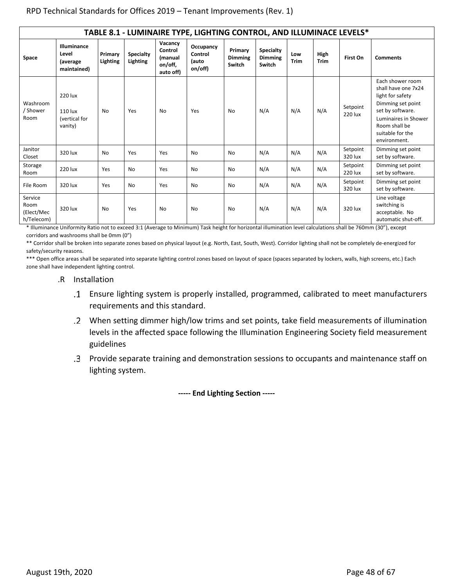|                                             | TABLE 8.1 - LUMINAIRE TYPE, LIGHTING CONTROL, AND ILLUMINACE LEVELS* |                     |                              |                                                       |                                          |                                     |                                              |             |                     |                     |                                                                                                                                                                                   |
|---------------------------------------------|----------------------------------------------------------------------|---------------------|------------------------------|-------------------------------------------------------|------------------------------------------|-------------------------------------|----------------------------------------------|-------------|---------------------|---------------------|-----------------------------------------------------------------------------------------------------------------------------------------------------------------------------------|
| Space                                       | Illuminance<br>Level<br>(average<br>maintained)                      | Primary<br>Lighting | <b>Specialty</b><br>Lighting | Vacancy<br>Control<br>(manual<br>on/off,<br>auto off) | Occupancy<br>Control<br>(auto<br>on/off) | Primary<br><b>Dimming</b><br>Switch | <b>Specialty</b><br><b>Dimming</b><br>Switch | Low<br>Trim | High<br><b>Trim</b> | First On            | <b>Comments</b>                                                                                                                                                                   |
| Washroom<br>/ Shower<br>Room                | 220 lux<br>110 lux<br>(vertical for<br>vanity)                       | No                  | Yes                          | <b>No</b>                                             | Yes                                      | No                                  | N/A                                          | N/A         | N/A                 | Setpoint<br>220 lux | Each shower room<br>shall have one 7x24<br>light for safety<br>Dimming set point<br>set by software.<br>Luminaires in Shower<br>Room shall be<br>suitable for the<br>environment. |
| Janitor<br>Closet                           | 320 lux                                                              | <b>No</b>           | Yes                          | Yes                                                   | <b>No</b>                                | No                                  | N/A                                          | N/A         | N/A                 | Setpoint<br>320 lux | Dimming set point<br>set by software.                                                                                                                                             |
| Storage<br>Room                             | 220 lux                                                              | Yes                 | No                           | Yes                                                   | <b>No</b>                                | No                                  | N/A                                          | N/A         | N/A                 | Setpoint<br>220 lux | Dimming set point<br>set by software.                                                                                                                                             |
| File Room                                   | 320 lux                                                              | Yes                 | No                           | Yes                                                   | No                                       | No                                  | N/A                                          | N/A         | N/A                 | Setpoint<br>320 lux | Dimming set point<br>set by software.                                                                                                                                             |
| Service<br>Room<br>(Elect/Mec<br>h/Telecom) | 320 lux                                                              | No                  | Yes                          | <b>No</b>                                             | <b>No</b>                                | No                                  | N/A                                          | N/A         | N/A                 | 320 lux             | Line voltage<br>switching is<br>acceptable. No<br>automatic shut-off.                                                                                                             |

\* Illuminance Uniformity Ratio not to exceed 3:1 (Average to Minimum) Task height for horizontal illumination level calculations shall be 760mm (30"), except corridors and washrooms shall be 0mm (0")

\*\* Corridor shall be broken into separate zones based on physical layout (e.g. North, East, South, West). Corridor lighting shall not be completely de-energized for safety/security reasons.

\*\*\* Open office areas shall be separated into separate lighting control zones based on layout of space (spaces separated by lockers, walls, high screens, etc.) Each zone shall have independent lighting control.

### .R Installation

- Ensure lighting system is properly installed, programmed, calibrated to meet manufacturers requirements and this standard.
- When setting dimmer high/low trims and set points, take field measurements of illumination levels in the affected space following the Illumination Engineering Society field measurement guidelines
- Provide separate training and demonstration sessions to occupants and maintenance staff on lighting system.

**----- End Lighting Section -----**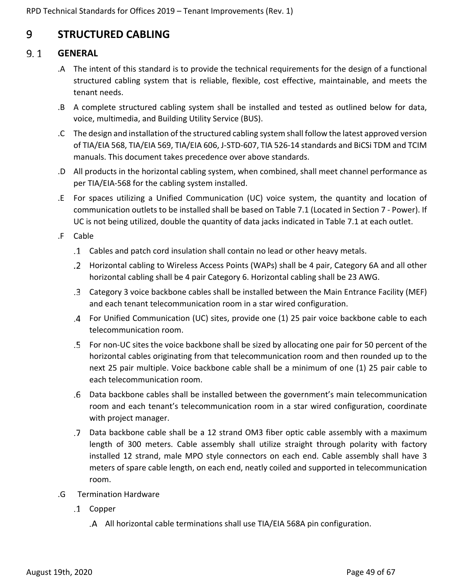## <span id="page-48-0"></span>9 **STRUCTURED CABLING**

#### <span id="page-48-1"></span> $9.1$ **GENERAL**

- .A The intent of this standard is to provide the technical requirements for the design of a functional structured cabling system that is reliable, flexible, cost effective, maintainable, and meets the tenant needs.
- .B A complete structured cabling system shall be installed and tested as outlined below for data, voice, multimedia, and Building Utility Service (BUS).
- .C The design and installation of the structured cabling system shall follow the latest approved version of TIA/EIA 568, TIA/EIA 569, TIA/EIA 606, J-STD-607, TIA 526-14 standards and BiCSi TDM and TCIM manuals. This document takes precedence over above standards.
- .D All products in the horizontal cabling system, when combined, shall meet channel performance as per TIA/EIA-568 for the cabling system installed.
- .E For spaces utilizing a Unified Communication (UC) voice system, the quantity and location of communication outlets to be installed shall be based on Table 7.1 (Located in Section 7 - Power). If UC is not being utilized, double the quantity of data jacks indicated in Table 7.1 at each outlet.
- .F Cable
	- Cables and patch cord insulation shall contain no lead or other heavy metals.
	- Horizontal cabling to Wireless Access Points (WAPs) shall be 4 pair, Category 6A and all other horizontal cabling shall be 4 pair Category 6. Horizontal cabling shall be 23 AWG.
	- Category 3 voice backbone cables shall be installed between the Main Entrance Facility (MEF) and each tenant telecommunication room in a star wired configuration.
	- For Unified Communication (UC) sites, provide one (1) 25 pair voice backbone cable to each telecommunication room.
	- For non-UC sites the voice backbone shall be sized by allocating one pair for 50 percent of the horizontal cables originating from that telecommunication room and then rounded up to the next 25 pair multiple. Voice backbone cable shall be a minimum of one (1) 25 pair cable to each telecommunication room.
	- Data backbone cables shall be installed between the government's main telecommunication room and each tenant's telecommunication room in a star wired configuration, coordinate with project manager.
	- Data backbone cable shall be a 12 strand OM3 fiber optic cable assembly with a maximum length of 300 meters. Cable assembly shall utilize straight through polarity with factory installed 12 strand, male MPO style connectors on each end. Cable assembly shall have 3 meters of spare cable length, on each end, neatly coiled and supported in telecommunication room.
- .G Termination Hardware
	- .1 Copper
		- All horizontal cable terminations shall use TIA/EIA 568A pin configuration.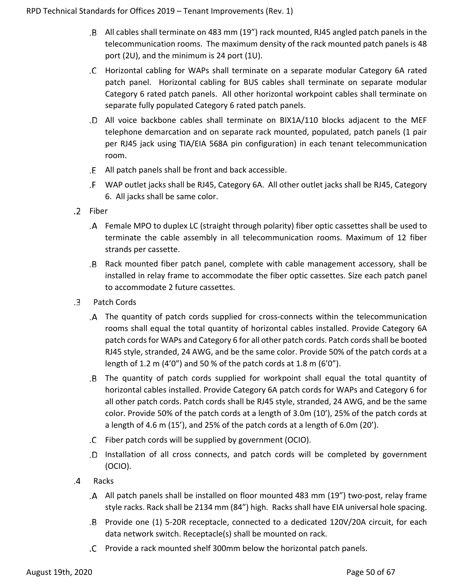- All cables shall terminate on 483 mm (19") rack mounted, RJ45 angled patch panels in the telecommunication rooms. The maximum density of the rack mounted patch panels is 48 port (2U), and the minimum is 24 port (1U).
- Horizontal cabling for WAPs shall terminate on a separate modular Category 6A rated patch panel. Horizontal cabling for BUS cables shall terminate on separate modular Category 6 rated patch panels. All other horizontal workpoint cables shall terminate on separate fully populated Category 6 rated patch panels.
- All voice backbone cables shall terminate on BIX1A/110 blocks adjacent to the MEF telephone demarcation and on separate rack mounted, populated, patch panels (1 pair per RJ45 jack using TIA/EIA 568A pin configuration) in each tenant telecommunication room.
- All patch panels shall be front and back accessible.
- WAP outlet jacks shall be RJ45, Category 6A. All other outlet jacks shall be RJ45, Category 6. All jacks shall be same color.
- .2 Fiber
	- Female MPO to duplex LC (straight through polarity) fiber optic cassettes shall be used to terminate the cable assembly in all telecommunication rooms. Maximum of 12 fiber strands per cassette.
	- Rack mounted fiber patch panel, complete with cable management accessory, shall be installed in relay frame to accommodate the fiber optic cassettes. Size each patch panel to accommodate 2 future cassettes.
- Patch Cords .3
	- The quantity of patch cords supplied for cross-connects within the telecommunication rooms shall equal the total quantity of horizontal cables installed. Provide Category 6A patch cords for WAPs and Category 6 for all other patch cords. Patch cords shall be booted RJ45 style, stranded, 24 AWG, and be the same color. Provide 50% of the patch cords at a length of 1.2 m (4'0") and 50 % of the patch cords at 1.8 m (6'0").
	- The quantity of patch cords supplied for workpoint shall equal the total quantity of horizontal cables installed. Provide Category 6A patch cords for WAPs and Category 6 for all other patch cords. Patch cords shall be RJ45 style, stranded, 24 AWG, and be the same color. Provide 50% of the patch cords at a length of 3.0m (10'), 25% of the patch cords at a length of 4.6 m (15'), and 25% of the patch cords at a length of 6.0m (20').
	- Fiber patch cords will be supplied by government (OCIO).
	- Installation of all cross connects, and patch cords will be completed by government (OCIO).
- .4 Racks
	- All patch panels shall be installed on floor mounted 483 mm (19") two-post, relay frame style racks. Rack shall be 2134 mm (84") high. Racks shall have EIA universal hole spacing.
	- Provide one (1) 5-20R receptacle, connected to a dedicated 120V/20A circuit, for each data network switch. Receptacle(s) shall be mounted on rack.
	- Provide a rack mounted shelf 300mm below the horizontal patch panels.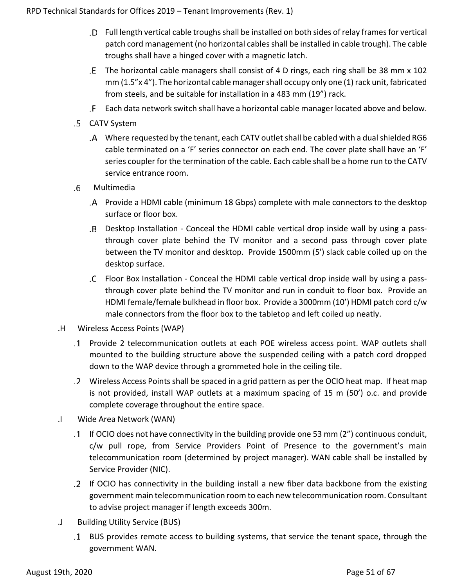- Full length vertical cable troughs shall be installed on both sides of relay frames for vertical patch cord management (no horizontal cables shall be installed in cable trough). The cable troughs shall have a hinged cover with a magnetic latch.
- The horizontal cable managers shall consist of 4 D rings, each ring shall be 38 mm x 102 mm (1.5"x 4"). The horizontal cable manager shall occupy only one (1) rack unit, fabricated from steels, and be suitable for installation in a 483 mm (19") rack.
- Each data network switch shall have a horizontal cable manager located above and below.
- .5 CATV System
	- Where requested by the tenant, each CATV outlet shall be cabled with a dual shielded RG6 cable terminated on a 'F' series connector on each end. The cover plate shall have an 'F' series coupler for the termination of the cable. Each cable shall be a home run to the CATV service entrance room.
- .6 Multimedia
	- Provide a HDMI cable (minimum 18 Gbps) complete with male connectors to the desktop surface or floor box.
	- Desktop Installation Conceal the HDMI cable vertical drop inside wall by using a passthrough cover plate behind the TV monitor and a second pass through cover plate between the TV monitor and desktop. Provide 1500mm (5') slack cable coiled up on the desktop surface.
	- Floor Box Installation Conceal the HDMI cable vertical drop inside wall by using a passthrough cover plate behind the TV monitor and run in conduit to floor box. Provide an HDMI female/female bulkhead in floor box. Provide a 3000mm (10') HDMI patch cord c/w male connectors from the floor box to the tabletop and left coiled up neatly.
- .H Wireless Access Points (WAP)
	- Provide 2 telecommunication outlets at each POE wireless access point. WAP outlets shall mounted to the building structure above the suspended ceiling with a patch cord dropped down to the WAP device through a grommeted hole in the ceiling tile.
	- Wireless Access Points shall be spaced in a grid pattern as per the OCIO heat map. If heat map is not provided, install WAP outlets at a maximum spacing of 15 m (50') o.c. and provide complete coverage throughout the entire space.
- .I Wide Area Network (WAN)
	- If OCIO does not have connectivity in the building provide one 53 mm (2") continuous conduit, c/w pull rope, from Service Providers Point of Presence to the government's main telecommunication room (determined by project manager). WAN cable shall be installed by Service Provider (NIC).
	- If OCIO has connectivity in the building install a new fiber data backbone from the existing government main telecommunication room to each new telecommunication room. Consultant to advise project manager if length exceeds 300m.
- .J Building Utility Service (BUS)
	- BUS provides remote access to building systems, that service the tenant space, through the government WAN.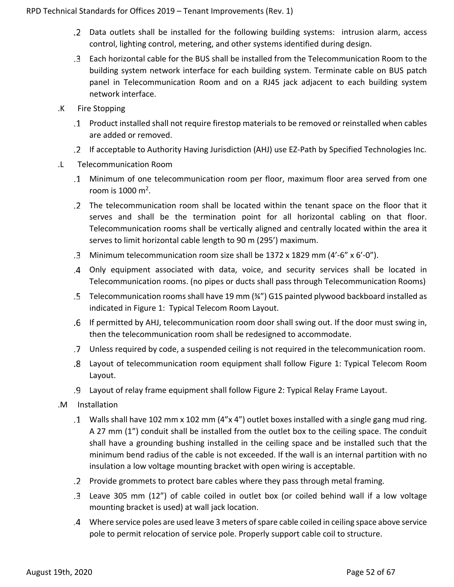- Data outlets shall be installed for the following building systems: intrusion alarm, access control, lighting control, metering, and other systems identified during design.
- Each horizontal cable for the BUS shall be installed from the Telecommunication Room to the building system network interface for each building system. Terminate cable on BUS patch panel in Telecommunication Room and on a RJ45 jack adjacent to each building system network interface.
- .K Fire Stopping
	- Product installed shall not require firestop materials to be removed or reinstalled when cables are added or removed.
	- If acceptable to Authority Having Jurisdiction (AHJ) use EZ-Path by Specified Technologies Inc.
- .L Telecommunication Room
	- Minimum of one telecommunication room per floor, maximum floor area served from one room is  $1000 \text{ m}^2$ .
	- The telecommunication room shall be located within the tenant space on the floor that it serves and shall be the termination point for all horizontal cabling on that floor. Telecommunication rooms shall be vertically aligned and centrally located within the area it serves to limit horizontal cable length to 90 m (295') maximum.
	- Minimum telecommunication room size shall be 1372 x 1829 mm (4'-6" x 6'-0").
	- Only equipment associated with data, voice, and security services shall be located in Telecommunication rooms. (no pipes or ducts shall pass through Telecommunication Rooms)
	- Telecommunication rooms shall have 19 mm (¾") G1S painted plywood backboard installed as indicated in Figure 1: Typical Telecom Room Layout.
	- If permitted by AHJ, telecommunication room door shall swing out. If the door must swing in, then the telecommunication room shall be redesigned to accommodate.
	- Unless required by code, a suspended ceiling is not required in the telecommunication room.
	- Layout of telecommunication room equipment shall follow Figure 1: Typical Telecom Room Layout.
	- Layout of relay frame equipment shall follow Figure 2: Typical Relay Frame Layout.
- .M Installation
	- Walls shall have 102 mm x 102 mm (4"x 4") outlet boxes installed with a single gang mud ring. A 27 mm (1") conduit shall be installed from the outlet box to the ceiling space. The conduit shall have a grounding bushing installed in the ceiling space and be installed such that the minimum bend radius of the cable is not exceeded. If the wall is an internal partition with no insulation a low voltage mounting bracket with open wiring is acceptable.
	- Provide grommets to protect bare cables where they pass through metal framing.
	- Leave 305 mm (12") of cable coiled in outlet box (or coiled behind wall if a low voltage mounting bracket is used) at wall jack location.
	- Where service poles are used leave 3 meters of spare cable coiled in ceiling space above service pole to permit relocation of service pole. Properly support cable coil to structure.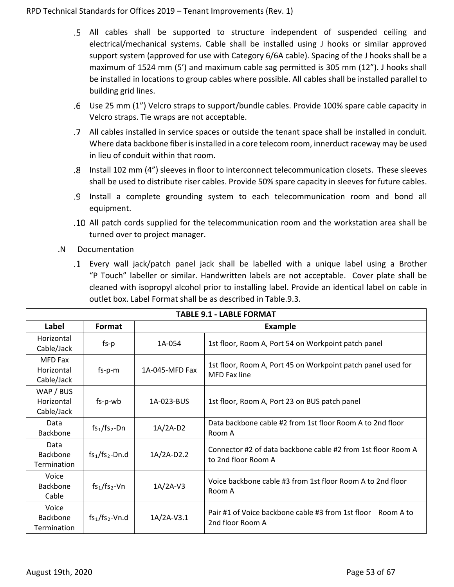- All cables shall be supported to structure independent of suspended ceiling and electrical/mechanical systems. Cable shall be installed using J hooks or similar approved support system (approved for use with Category 6/6A cable). Spacing of the J hooks shall be a maximum of 1524 mm (5') and maximum cable sag permitted is 305 mm (12"). J hooks shall be installed in locations to group cables where possible. All cables shall be installed parallel to building grid lines.
- Use 25 mm (1") Velcro straps to support/bundle cables. Provide 100% spare cable capacity in Velcro straps. Tie wraps are not acceptable.
- All cables installed in service spaces or outside the tenant space shall be installed in conduit. Where data backbone fiber is installed in a core telecom room, innerduct raceway may be used in lieu of conduit within that room.
- Install 102 mm (4") sleeves in floor to interconnect telecommunication closets. These sleeves shall be used to distribute riser cables. Provide 50% spare capacity in sleeves for future cables.
- Install a complete grounding system to each telecommunication room and bond all equipment.
- All patch cords supplied for the telecommunication room and the workstation area shall be turned over to project manager.
- .N Documentation
	- Every wall jack/patch panel jack shall be labelled with a unique label using a Brother "P Touch" labeller or similar. Handwritten labels are not acceptable. Cover plate shall be cleaned with isopropyl alcohol prior to installing label. Provide an identical label on cable in outlet box. Label Format shall be as described in Table.9.3.

| <b>TABLE 9.1 - LABLE FORMAT</b>            |                   |                |                                                                                     |  |  |  |  |
|--------------------------------------------|-------------------|----------------|-------------------------------------------------------------------------------------|--|--|--|--|
| Label                                      | Format            |                | <b>Example</b>                                                                      |  |  |  |  |
| Horizontal<br>Cable/Jack                   | $fs-p$            | 1A-054         | 1st floor, Room A, Port 54 on Workpoint patch panel                                 |  |  |  |  |
| <b>MFD Fax</b><br>Horizontal<br>Cable/Jack | $fs-p-m$          | 1A-045-MFD Fax | 1st floor, Room A, Port 45 on Workpoint patch panel used for<br>MFD Fax line        |  |  |  |  |
| WAP / BUS<br>Horizontal<br>Cable/Jack      | fs-p-wb           | 1A-023-BUS     | 1st floor, Room A, Port 23 on BUS patch panel                                       |  |  |  |  |
| Data<br>Backbone                           | $fs_1/fs_2$ -Dn   | $1A/2A-D2$     | Data backbone cable #2 from 1st floor Room A to 2nd floor<br>Room A                 |  |  |  |  |
| Data<br>Backbone<br><b>Termination</b>     | $fs1/fs2$ -Dn.d   | 1A/2A-D2.2     | Connector #2 of data backbone cable #2 from 1st floor Room A<br>to 2nd floor Room A |  |  |  |  |
| Voice<br><b>Backbone</b><br>Cable          | $fs1/fs2$ -Vn     | $1A/2A-V3$     | Voice backbone cable #3 from 1st floor Room A to 2nd floor<br>Room A                |  |  |  |  |
| Voice<br>Backbone<br>Termination           | $fs_1/fs_2$ -Vn.d | $1A/2A-V3.1$   | Pair #1 of Voice backbone cable #3 from 1st floor Room A to<br>2nd floor Room A     |  |  |  |  |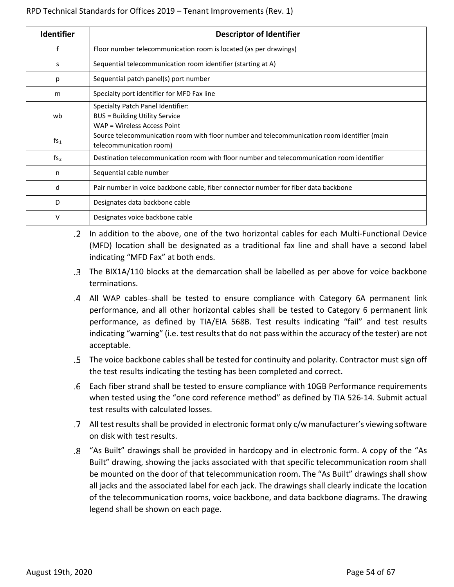| <b>Identifier</b> | <b>Descriptor of Identifier</b>                                                                                        |
|-------------------|------------------------------------------------------------------------------------------------------------------------|
| f                 | Floor number telecommunication room is located (as per drawings)                                                       |
| s                 | Sequential telecommunication room identifier (starting at A)                                                           |
| р                 | Sequential patch panel(s) port number                                                                                  |
| m                 | Specialty port identifier for MFD Fax line                                                                             |
| wb                | Specialty Patch Panel Identifier:<br><b>BUS = Building Utility Service</b><br>WAP = Wireless Access Point              |
| fs <sub>1</sub>   | Source telecommunication room with floor number and telecommunication room identifier (main<br>telecommunication room) |
| fs <sub>2</sub>   | Destination telecommunication room with floor number and telecommunication room identifier                             |
| n                 | Sequential cable number                                                                                                |
| d                 | Pair number in voice backbone cable, fiber connector number for fiber data backbone                                    |
| D                 | Designates data backbone cable                                                                                         |
| v                 | Designates voice backbone cable                                                                                        |

In addition to the above, one of the two horizontal cables for each Multi-Functional Device (MFD) location shall be designated as a traditional fax line and shall have a second label indicating "MFD Fax" at both ends.

- The BIX1A/110 blocks at the demarcation shall be labelled as per above for voice backbone terminations.
- .4 All WAP cables-shall be tested to ensure compliance with Category 6A permanent link performance, and all other horizontal cables shall be tested to Category 6 permanent link performance, as defined by TIA/EIA 568B. Test results indicating "fail" and test results indicating "warning" (i.e. test results that do not pass within the accuracy of the tester) are not acceptable.
- The voice backbone cables shall be tested for continuity and polarity. Contractor must sign off the test results indicating the testing has been completed and correct.
- Each fiber strand shall be tested to ensure compliance with 10GB Performance requirements when tested using the "one cord reference method" as defined by TIA 526-14. Submit actual test results with calculated losses.
- All test results shall be provided in electronic format only c/w manufacturer's viewing software on disk with test results.
- "As Built" drawings shall be provided in hardcopy and in electronic form. A copy of the "As Built" drawing, showing the jacks associated with that specific telecommunication room shall be mounted on the door of that telecommunication room. The "As Built" drawings shall show all jacks and the associated label for each jack. The drawings shall clearly indicate the location of the telecommunication rooms, voice backbone, and data backbone diagrams. The drawing legend shall be shown on each page.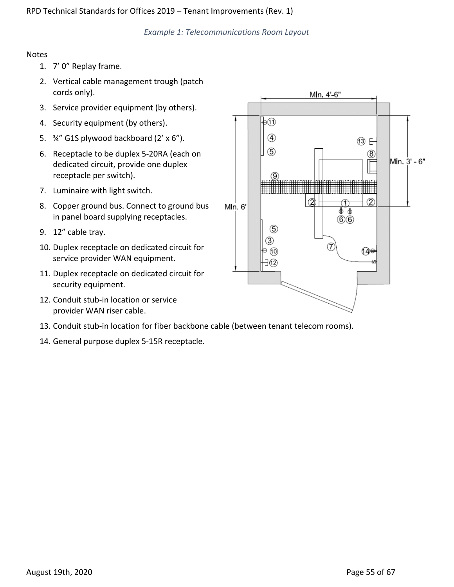*Example 1: Telecommunications Room Layout*

### Notes

- 1. 7' 0" Replay frame.
- 2. Vertical cable management trough (patch cords only).
- 3. Service provider equipment (by others).
- 4. Security equipment (by others).
- 5. ¾" G1S plywood backboard (2' x 6").
- 6. Receptacle to be duplex 5-20RA (each on dedicated circuit, provide one duplex receptacle per switch).
- 7. Luminaire with light switch.
- 8. Copper ground bus. Connect to ground bus in panel board supplying receptacles.
- 9. 12" cable tray.
- 10. Duplex receptacle on dedicated circuit for service provider WAN equipment.
- 11. Duplex receptacle on dedicated circuit for security equipment.
- 12. Conduit stub-in location or service provider WAN riser cable.
- 13. Conduit stub-in location for fiber backbone cable (between tenant telecom rooms).
- 14. General purpose duplex 5-15R receptacle.

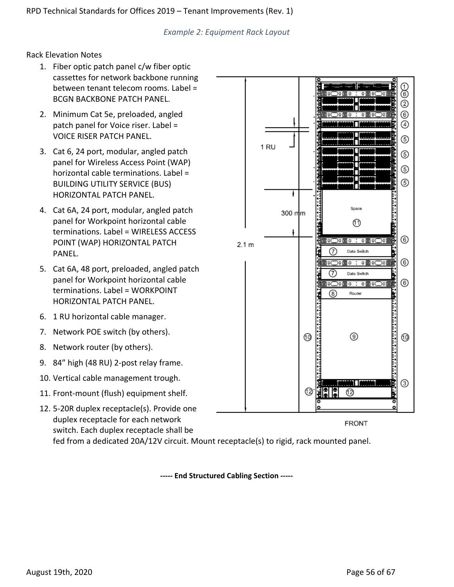*Example 2: Equipment Rack Layout*

Rack Elevation Notes

- 1. Fiber optic patch panel c/w fiber optic cassettes for network backbone running between tenant telecom rooms. Label = BCGN BACKBONE PATCH PANEL.
- 2. Minimum Cat 5e, preloaded, angled patch panel for Voice riser. Label = VOICE RISER PATCH PANEL.
- 3. Cat 6, 24 port, modular, angled patch panel for Wireless Access Point (WAP) horizontal cable terminations. Label = BUILDING UTILITY SERVICE (BUS) HORIZONTAL PATCH PANEL.
- 4. Cat 6A, 24 port, modular, angled patch panel for Workpoint horizontal cable terminations. Label = WIRELESS ACCESS POINT (WAP) HORIZONTAL PATCH PANEL.
- 5. Cat 6A, 48 port, preloaded, angled patch panel for Workpoint horizontal cable terminations. Label = WORKPOINT HORIZONTAL PATCH PANEL.
- 6. 1 RU horizontal cable manager.
- 7. Network POE switch (by others).
- 8. Network router (by others).
- 9. 84" high (48 RU) 2-post relay frame.
- 10. Vertical cable management trough.
- 11. Front-mount (flush) equipment shelf.
- 12. 5-20R duplex receptacle(s). Provide one duplex receptacle for each network

switch. Each duplex receptacle shall be fed from a dedicated 20A/12V circuit. Mount receptacle(s) to rigid, rack mounted panel.

**----- End Structured Cabling Section -----**



**FRONT**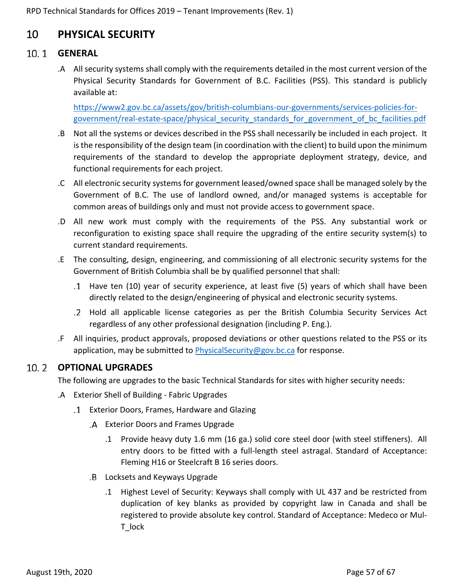## <span id="page-56-0"></span>10 **PHYSICAL SECURITY**

## <span id="page-56-1"></span>**GENERAL**

.A All security systems shall comply with the requirements detailed in the most current version of the Physical Security Standards for Government of B.C. Facilities (PSS). This standard is publicly available at:

[https://www2.gov.bc.ca/assets/gov/british-columbians-our-governments/services-policies-for](https://www2.gov.bc.ca/assets/gov/british-columbians-our-governments/services-policies-for-government/real-estate-space/physical_security_standards_for_government_of_bc_facilities.pdf)[government/real-estate-space/physical\\_security\\_standards\\_for\\_government\\_of\\_bc\\_facilities.pdf](https://www2.gov.bc.ca/assets/gov/british-columbians-our-governments/services-policies-for-government/real-estate-space/physical_security_standards_for_government_of_bc_facilities.pdf)

- .B Not all the systems or devices described in the PSS shall necessarily be included in each project. It is the responsibility of the design team (in coordination with the client) to build upon the minimum requirements of the standard to develop the appropriate deployment strategy, device, and functional requirements for each project.
- .C All electronic security systems for government leased/owned space shall be managed solely by the Government of B.C. The use of landlord owned, and/or managed systems is acceptable for common areas of buildings only and must not provide access to government space.
- .D All new work must comply with the requirements of the PSS. Any substantial work or reconfiguration to existing space shall require the upgrading of the entire security system(s) to current standard requirements.
- .E The consulting, design, engineering, and commissioning of all electronic security systems for the Government of British Columbia shall be by qualified personnel that shall:
	- Have ten (10) year of security experience, at least five (5) years of which shall have been directly related to the design/engineering of physical and electronic security systems.
	- Hold all applicable license categories as per the British Columbia Security Services Act regardless of any other professional designation (including P. Eng.).
- .F All inquiries, product approvals, proposed deviations or other questions related to the PSS or its application, may be submitted to [PhysicalSecurity@gov.bc.ca](mailto:PhysicalSecurity@gov.bc.ca) for response.

## <span id="page-56-2"></span>**OPTIONAL UPGRADES**

The following are upgrades to the basic Technical Standards for sites with higher security needs:

- .A Exterior Shell of Building Fabric Upgrades
	- Exterior Doors, Frames, Hardware and Glazing
		- Exterior Doors and Frames Upgrade
			- .1 Provide heavy duty 1.6 mm (16 ga.) solid core steel door (with steel stiffeners). All entry doors to be fitted with a full-length steel astragal. Standard of Acceptance: Fleming H16 or Steelcraft B 16 series doors.
		- Locksets and Keyways Upgrade
			- .1 Highest Level of Security: Keyways shall comply with UL 437 and be restricted from duplication of key blanks as provided by copyright law in Canada and shall be registered to provide absolute key control. Standard of Acceptance: Medeco or Mul-T\_lock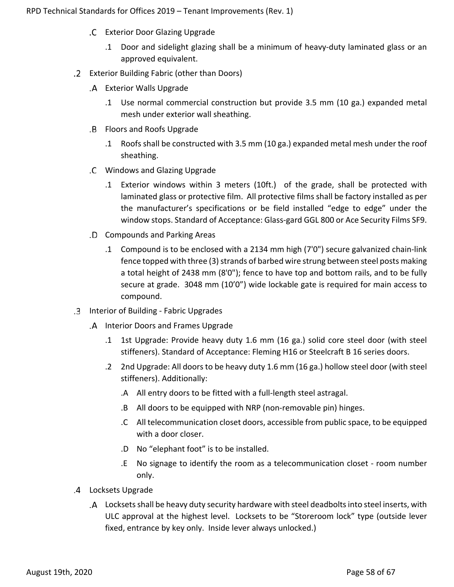- Exterior Door Glazing Upgrade
	- .1 Door and sidelight glazing shall be a minimum of heavy-duty laminated glass or an approved equivalent.
- Exterior Building Fabric (other than Doors)
	- Exterior Walls Upgrade
		- .1 Use normal commercial construction but provide 3.5 mm (10 ga.) expanded metal mesh under exterior wall sheathing.
	- Floors and Roofs Upgrade
		- .1 Roofs shall be constructed with 3.5 mm (10 ga.) expanded metal mesh under the roof sheathing.
	- Windows and Glazing Upgrade
		- .1 Exterior windows within 3 meters (10ft.) of the grade, shall be protected with laminated glass or protective film. All protective films shall be factory installed as per the manufacturer's specifications or be field installed "edge to edge" under the window stops. Standard of Acceptance: Glass-gard GGL 800 or Ace Security Films SF9.
	- Compounds and Parking Areas
		- .1 Compound is to be enclosed with a 2134 mm high (7'0") secure galvanized chain-link fence topped with three (3) strands of barbed wire strung between steel posts making a total height of 2438 mm (8'0"); fence to have top and bottom rails, and to be fully secure at grade. 3048 mm (10'0") wide lockable gate is required for main access to compound.
- Interior of Building Fabric Upgrades
	- .A Interior Doors and Frames Upgrade
		- .1 1st Upgrade: Provide heavy duty 1.6 mm (16 ga.) solid core steel door (with steel stiffeners). Standard of Acceptance: Fleming H16 or Steelcraft B 16 series doors.
		- .2 2nd Upgrade: All doors to be heavy duty 1.6 mm (16 ga.) hollow steel door (with steel stiffeners). Additionally:
			- .A All entry doors to be fitted with a full-length steel astragal.
			- .B All doors to be equipped with NRP (non-removable pin) hinges.
			- .C All telecommunication closet doors, accessible from public space, to be equipped with a door closer.
			- .D No "elephant foot" is to be installed.
			- .E No signage to identify the room as a telecommunication closet room number only.
- Locksets Upgrade
	- Locksets shall be heavy duty security hardware with steel deadboltsinto steel inserts, with ULC approval at the highest level. Locksets to be "Storeroom lock" type (outside lever fixed, entrance by key only. Inside lever always unlocked.)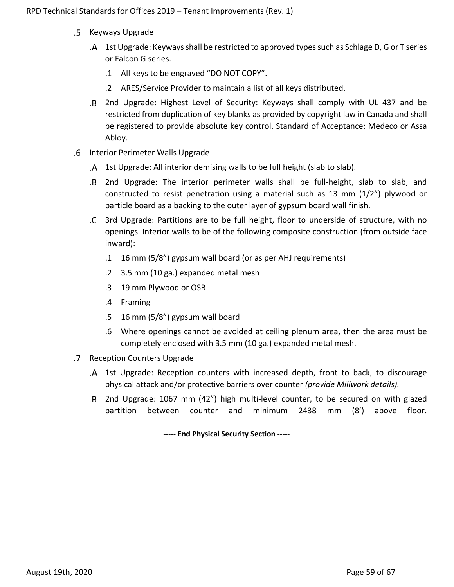- .5 Keyways Upgrade
	- 1st Upgrade: Keyways shall be restricted to approved types such as Schlage D, G or T series or Falcon G series.
		- .1 All keys to be engraved "DO NOT COPY".
		- .2 ARES/Service Provider to maintain a list of all keys distributed.
	- 2nd Upgrade: Highest Level of Security: Keyways shall comply with UL 437 and be restricted from duplication of key blanks as provided by copyright law in Canada and shall be registered to provide absolute key control. Standard of Acceptance: Medeco or Assa Abloy.
- Interior Perimeter Walls Upgrade
	- 1st Upgrade: All interior demising walls to be full height (slab to slab).
	- 2nd Upgrade: The interior perimeter walls shall be full-height, slab to slab, and constructed to resist penetration using a material such as 13 mm (1/2") plywood or particle board as a backing to the outer layer of gypsum board wall finish.
	- 3rd Upgrade: Partitions are to be full height, floor to underside of structure, with no openings. Interior walls to be of the following composite construction (from outside face inward):
		- .1 16 mm (5/8") gypsum wall board (or as per AHJ requirements)
		- .2 3.5 mm (10 ga.) expanded metal mesh
		- .3 19 mm Plywood or OSB
		- .4 Framing
		- .5 16 mm (5/8") gypsum wall board
		- .6 Where openings cannot be avoided at ceiling plenum area, then the area must be completely enclosed with 3.5 mm (10 ga.) expanded metal mesh.
- Reception Counters Upgrade
	- 1st Upgrade: Reception counters with increased depth, front to back, to discourage physical attack and/or protective barriers over counter *(provide Millwork details).*
	- 2nd Upgrade: 1067 mm (42") high multi-level counter, to be secured on with glazed .B partition between counter and minimum 2438 mm (8') above floor.

**----- End Physical Security Section -----**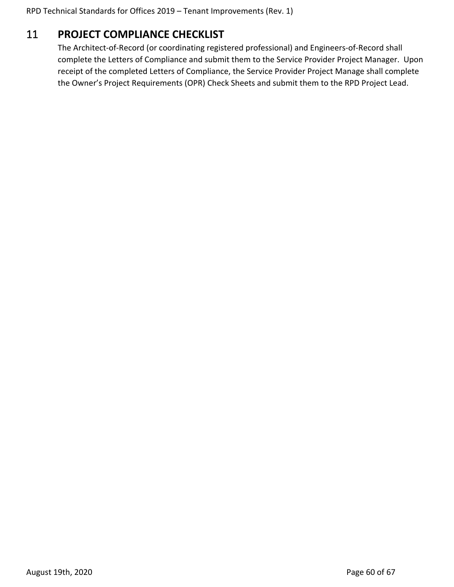## <span id="page-59-0"></span>11 **PROJECT COMPLIANCE CHECKLIST**

The Architect-of-Record (or coordinating registered professional) and Engineers-of-Record shall complete the Letters of Compliance and submit them to the Service Provider Project Manager. Upon receipt of the completed Letters of Compliance, the Service Provider Project Manage shall complete the Owner's Project Requirements (OPR) Check Sheets and submit them to the RPD Project Lead.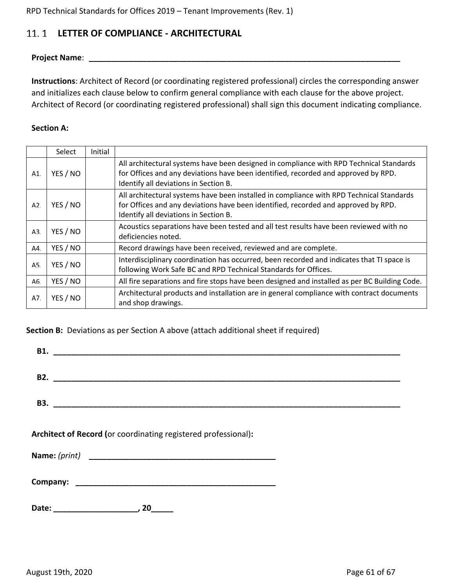#### <span id="page-60-0"></span>**LETTER OF COMPLIANCE - ARCHITECTURAL**  $11.1$

**Project Name**: **\_\_\_\_\_\_\_\_\_\_\_\_\_\_\_\_\_\_\_\_\_\_\_\_\_\_\_\_\_\_\_\_\_\_\_\_\_\_\_\_\_\_\_\_\_\_\_\_\_\_\_\_\_\_\_\_\_\_\_\_\_\_\_\_\_\_\_\_\_\_**

**Instructions**: Architect of Record (or coordinating registered professional) circles the corresponding answer and initializes each clause below to confirm general compliance with each clause for the above project. Architect of Record (or coordinating registered professional) shall sign this document indicating compliance.

### **Section A:**

|     | Select   | Initial |                                                                                                                                                                                                                         |
|-----|----------|---------|-------------------------------------------------------------------------------------------------------------------------------------------------------------------------------------------------------------------------|
| A1. | YES / NO |         | All architectural systems have been designed in compliance with RPD Technical Standards<br>for Offices and any deviations have been identified, recorded and approved by RPD.<br>Identify all deviations in Section B.  |
| A2. | YES / NO |         | All architectural systems have been installed in compliance with RPD Technical Standards<br>for Offices and any deviations have been identified, recorded and approved by RPD.<br>Identify all deviations in Section B. |
| A3. | YES / NO |         | Acoustics separations have been tested and all test results have been reviewed with no<br>deficiencies noted.                                                                                                           |
| A4. | YES / NO |         | Record drawings have been received, reviewed and are complete.                                                                                                                                                          |
| A5. | YES / NO |         | Interdisciplinary coordination has occurred, been recorded and indicates that TI space is<br>following Work Safe BC and RPD Technical Standards for Offices.                                                            |
| A6. | YES / NO |         | All fire separations and fire stops have been designed and installed as per BC Building Code.                                                                                                                           |
| A7. | YES / NO |         | Architectural products and installation are in general compliance with contract documents<br>and shop drawings.                                                                                                         |

**Section B:** Deviations as per Section A above (attach additional sheet if required)

|  | B1.                                                            |  |  |  |  |
|--|----------------------------------------------------------------|--|--|--|--|
|  |                                                                |  |  |  |  |
|  |                                                                |  |  |  |  |
|  | Architect of Record (or coordinating registered professional): |  |  |  |  |
|  |                                                                |  |  |  |  |
|  |                                                                |  |  |  |  |

**Company: \_\_\_\_\_\_\_\_\_\_\_\_\_\_\_\_\_\_\_\_\_\_\_\_\_\_\_\_\_\_\_\_\_\_\_\_\_\_\_\_\_\_\_\_\_**

**Date: \_\_\_\_\_\_\_\_\_\_\_\_\_\_\_\_\_\_\_, 20\_\_\_\_\_**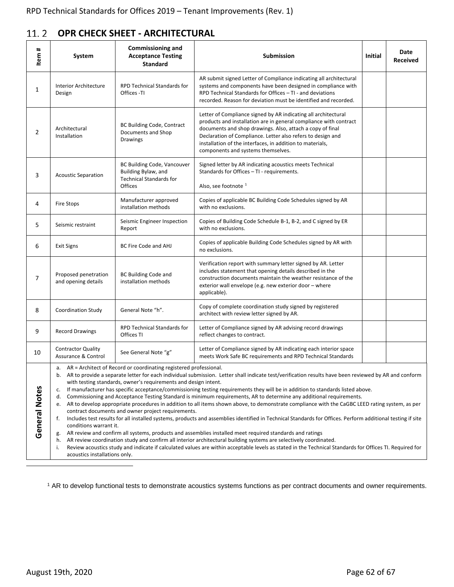#### <span id="page-61-0"></span> $11.2$ **OPR CHECK SHEET - ARCHITECTURAL**

| #<br>Item      | System                                                                                                                                                                                                                                                                                                                                                                                                                                                                                                                                                                                                                                                                                                                                                                                                                                                                                                                                                                                                                                                                                                   | <b>Commissioning and</b><br><b>Acceptance Testing</b><br><b>Standard</b>                        | Submission                                                                                                                                                                                                                                                                                                                                                         | Initial | Date<br><b>Received</b> |  |  |  |
|----------------|----------------------------------------------------------------------------------------------------------------------------------------------------------------------------------------------------------------------------------------------------------------------------------------------------------------------------------------------------------------------------------------------------------------------------------------------------------------------------------------------------------------------------------------------------------------------------------------------------------------------------------------------------------------------------------------------------------------------------------------------------------------------------------------------------------------------------------------------------------------------------------------------------------------------------------------------------------------------------------------------------------------------------------------------------------------------------------------------------------|-------------------------------------------------------------------------------------------------|--------------------------------------------------------------------------------------------------------------------------------------------------------------------------------------------------------------------------------------------------------------------------------------------------------------------------------------------------------------------|---------|-------------------------|--|--|--|
| $\mathbf{1}$   | Interior Architecture<br>Design                                                                                                                                                                                                                                                                                                                                                                                                                                                                                                                                                                                                                                                                                                                                                                                                                                                                                                                                                                                                                                                                          | <b>RPD Technical Standards for</b><br>Offices -TI                                               | AR submit signed Letter of Compliance indicating all architectural<br>systems and components have been designed in compliance with<br>RPD Technical Standards for Offices - TI - and deviations<br>recorded. Reason for deviation must be identified and recorded.                                                                                                 |         |                         |  |  |  |
| $\overline{2}$ | Architectural<br>Installation                                                                                                                                                                                                                                                                                                                                                                                                                                                                                                                                                                                                                                                                                                                                                                                                                                                                                                                                                                                                                                                                            | <b>BC Building Code, Contract</b><br>Documents and Shop<br><b>Drawings</b>                      | Letter of Compliance signed by AR indicating all architectural<br>products and installation are in general compliance with contract<br>documents and shop drawings. Also, attach a copy of final<br>Declaration of Compliance. Letter also refers to design and<br>installation of the interfaces, in addition to materials,<br>components and systems themselves. |         |                         |  |  |  |
| 3              | <b>Acoustic Separation</b>                                                                                                                                                                                                                                                                                                                                                                                                                                                                                                                                                                                                                                                                                                                                                                                                                                                                                                                                                                                                                                                                               | BC Building Code, Vancouver<br>Building Bylaw, and<br><b>Technical Standards for</b><br>Offices | Signed letter by AR indicating acoustics meets Technical<br>Standards for Offices - TI - requirements.<br>Also, see footnote <sup>1</sup>                                                                                                                                                                                                                          |         |                         |  |  |  |
| 4              | <b>Fire Stops</b>                                                                                                                                                                                                                                                                                                                                                                                                                                                                                                                                                                                                                                                                                                                                                                                                                                                                                                                                                                                                                                                                                        | Manufacturer approved<br>installation methods                                                   | Copies of applicable BC Building Code Schedules signed by AR<br>with no exclusions.                                                                                                                                                                                                                                                                                |         |                         |  |  |  |
| 5              | Seismic restraint                                                                                                                                                                                                                                                                                                                                                                                                                                                                                                                                                                                                                                                                                                                                                                                                                                                                                                                                                                                                                                                                                        | Seismic Engineer Inspection<br>Report                                                           | Copies of Building Code Schedule B-1, B-2, and C signed by ER<br>with no exclusions.                                                                                                                                                                                                                                                                               |         |                         |  |  |  |
| 6              | <b>Exit Signs</b>                                                                                                                                                                                                                                                                                                                                                                                                                                                                                                                                                                                                                                                                                                                                                                                                                                                                                                                                                                                                                                                                                        | <b>BC Fire Code and AHJ</b>                                                                     | Copies of applicable Building Code Schedules signed by AR with<br>no exclusions.                                                                                                                                                                                                                                                                                   |         |                         |  |  |  |
| $\overline{7}$ | Proposed penetration<br>and opening details                                                                                                                                                                                                                                                                                                                                                                                                                                                                                                                                                                                                                                                                                                                                                                                                                                                                                                                                                                                                                                                              | <b>BC Building Code and</b><br>installation methods                                             | Verification report with summary letter signed by AR. Letter<br>includes statement that opening details described in the<br>construction documents maintain the weather resistance of the<br>exterior wall envelope (e.g. new exterior door - where<br>applicable).                                                                                                |         |                         |  |  |  |
| 8              | Coordination Study                                                                                                                                                                                                                                                                                                                                                                                                                                                                                                                                                                                                                                                                                                                                                                                                                                                                                                                                                                                                                                                                                       | General Note "h".                                                                               | Copy of complete coordination study signed by registered<br>architect with review letter signed by AR.                                                                                                                                                                                                                                                             |         |                         |  |  |  |
| 9              | <b>Record Drawings</b>                                                                                                                                                                                                                                                                                                                                                                                                                                                                                                                                                                                                                                                                                                                                                                                                                                                                                                                                                                                                                                                                                   | <b>RPD Technical Standards for</b><br>Offices TI                                                | Letter of Compliance signed by AR advising record drawings<br>reflect changes to contract.                                                                                                                                                                                                                                                                         |         |                         |  |  |  |
| 10             | <b>Contractor Quality</b><br>Assurance & Control                                                                                                                                                                                                                                                                                                                                                                                                                                                                                                                                                                                                                                                                                                                                                                                                                                                                                                                                                                                                                                                         | See General Note "g"                                                                            | Letter of Compliance signed by AR indicating each interior space<br>meets Work Safe BC requirements and RPD Technical Standards                                                                                                                                                                                                                                    |         |                         |  |  |  |
| General Notes  | a. AR = Architect of Record or coordinating registered professional.<br>AR to provide a separate letter for each individual submission. Letter shall indicate test/verification results have been reviewed by AR and conform<br>b.<br>with testing standards, owner's requirements and design intent.<br>If manufacturer has specific acceptance/commissioning testing requirements they will be in addition to standards listed above.<br>c.<br>Commissioning and Acceptance Testing Standard is minimum requirements, AR to determine any additional requirements.<br>d.<br>AR to develop appropriate procedures in addition to all items shown above, to demonstrate compliance with the CaGBC LEED rating system, as per<br>е.<br>contract documents and owner project requirements.<br>Includes test results for all installed systems, products and assemblies identified in Technical Standards for Offices. Perform additional testing if site<br>f.<br>conditions warrant it.<br>AR review and confirm all systems, products and assemblies installed meet required standards and ratings<br>g. |                                                                                                 |                                                                                                                                                                                                                                                                                                                                                                    |         |                         |  |  |  |

h. AR review coordination study and confirm all interior architectural building systems are selectively coordinated.

i. Review acoustics study and indicate if calculated values are within acceptable levels as stated in the Technical Standards for Offices TI. Required for acoustics installations only.

<sup>1</sup> AR to develop functional tests to demonstrate acoustics systems functions as per contract documents and owner requirements.

<span id="page-61-1"></span><u>.</u>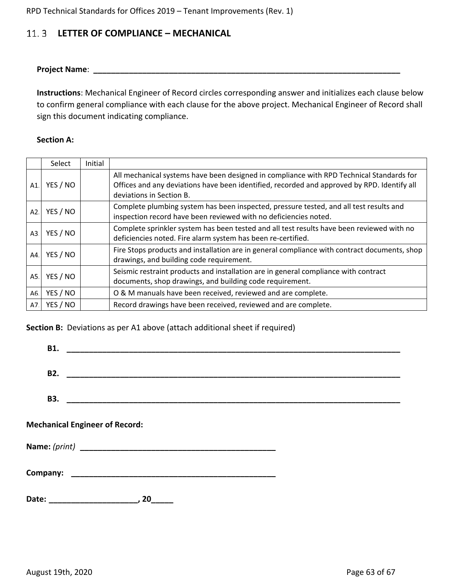## <span id="page-62-0"></span>**LETTER OF COMPLIANCE – MECHANICAL**

**Project Name**: **\_\_\_\_\_\_\_\_\_\_\_\_\_\_\_\_\_\_\_\_\_\_\_\_\_\_\_\_\_\_\_\_\_\_\_\_\_\_\_\_\_\_\_\_\_\_\_\_\_\_\_\_\_\_\_\_\_\_\_\_\_\_\_\_\_\_\_\_\_**

**Instructions**: Mechanical Engineer of Record circles corresponding answer and initializes each clause below to confirm general compliance with each clause for the above project. Mechanical Engineer of Record shall sign this document indicating compliance.

### **Section A:**

|     | Select   | Initial |                                                                                                                                                                                                                     |
|-----|----------|---------|---------------------------------------------------------------------------------------------------------------------------------------------------------------------------------------------------------------------|
| A1. | YES / NO |         | All mechanical systems have been designed in compliance with RPD Technical Standards for<br>Offices and any deviations have been identified, recorded and approved by RPD. Identify all<br>deviations in Section B. |
| A2. | YES / NO |         | Complete plumbing system has been inspected, pressure tested, and all test results and<br>inspection record have been reviewed with no deficiencies noted.                                                          |
| A3. | YES / NO |         | Complete sprinkler system has been tested and all test results have been reviewed with no<br>deficiencies noted. Fire alarm system has been re-certified.                                                           |
| A4. | YES / NO |         | Fire Stops products and installation are in general compliance with contract documents, shop<br>drawings, and building code requirement.                                                                            |
| A5. | YES / NO |         | Seismic restraint products and installation are in general compliance with contract<br>documents, shop drawings, and building code requirement.                                                                     |
| A6. | YES / NO |         | O & M manuals have been received, reviewed and are complete.                                                                                                                                                        |
| A7. | YES / NO |         | Record drawings have been received, reviewed and are complete.                                                                                                                                                      |

**Section B:** Deviations as per A1 above (attach additional sheet if required)

| <b>Mechanical Engineer of Record:</b> |    |  |  |
|---------------------------------------|----|--|--|
|                                       |    |  |  |
|                                       |    |  |  |
|                                       | 20 |  |  |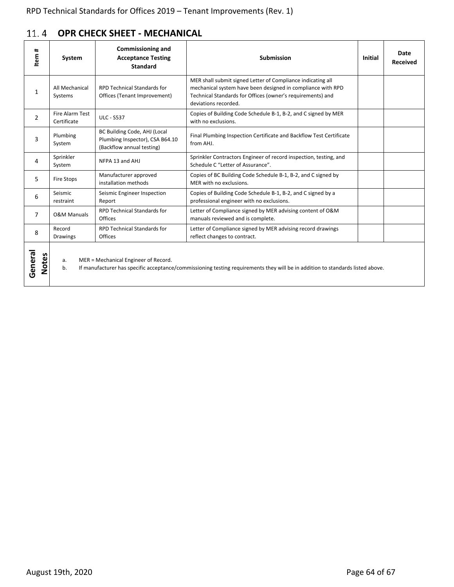#### <span id="page-63-0"></span> $11.4$ **OPR CHECK SHEET - MECHANICAL**

| #<br>Item               | System                         | <b>Commissioning and</b><br><b>Acceptance Testing</b><br><b>Standard</b>                     | <b>Submission</b>                                                                                                                                                                                                | <b>Initial</b> | Date<br><b>Received</b> |
|-------------------------|--------------------------------|----------------------------------------------------------------------------------------------|------------------------------------------------------------------------------------------------------------------------------------------------------------------------------------------------------------------|----------------|-------------------------|
| 1                       | All Mechanical<br>Systems      | <b>RPD Technical Standards for</b><br>Offices (Tenant Improvement)                           | MER shall submit signed Letter of Compliance indicating all<br>mechanical system have been designed in compliance with RPD<br>Technical Standards for Offices (owner's requirements) and<br>deviations recorded. |                |                         |
| $\overline{2}$          | Fire Alarm Test<br>Certificate | <b>ULC - S537</b>                                                                            | Copies of Building Code Schedule B-1, B-2, and C signed by MER<br>with no exclusions.                                                                                                                            |                |                         |
| 3                       | Plumbing<br>System             | BC Building Code, AHJ (Local<br>Plumbing Inspector), CSA B64.10<br>(Backflow annual testing) | Final Plumbing Inspection Certificate and Backflow Test Certificate<br>from AHJ.                                                                                                                                 |                |                         |
| 4                       | Sprinkler<br>System            | NFPA 13 and AHJ                                                                              | Sprinkler Contractors Engineer of record inspection, testing, and<br>Schedule C "Letter of Assurance".                                                                                                           |                |                         |
| 5                       | Fire Stops                     | Manufacturer approved<br>installation methods                                                | Copies of BC Building Code Schedule B-1, B-2, and C signed by<br>MER with no exclusions.                                                                                                                         |                |                         |
| 6                       | Seismic<br>restraint           | Seismic Engineer Inspection<br>Report                                                        | Copies of Building Code Schedule B-1, B-2, and C signed by a<br>professional engineer with no exclusions.                                                                                                        |                |                         |
| $\overline{7}$          | <b>O&amp;M Manuals</b>         | <b>RPD Technical Standards for</b><br>Offices                                                | Letter of Compliance signed by MER advising content of O&M<br>manuals reviewed and is complete.                                                                                                                  |                |                         |
| 8                       | Record<br><b>Drawings</b>      | <b>RPD Technical Standards for</b><br>Offices                                                | Letter of Compliance signed by MER advising record drawings<br>reflect changes to contract.                                                                                                                      |                |                         |
| General<br><b>Notes</b> | а.<br>b.                       | MER = Mechanical Engineer of Record.                                                         | If manufacturer has specific acceptance/commissioning testing requirements they will be in addition to standards listed above.                                                                                   |                |                         |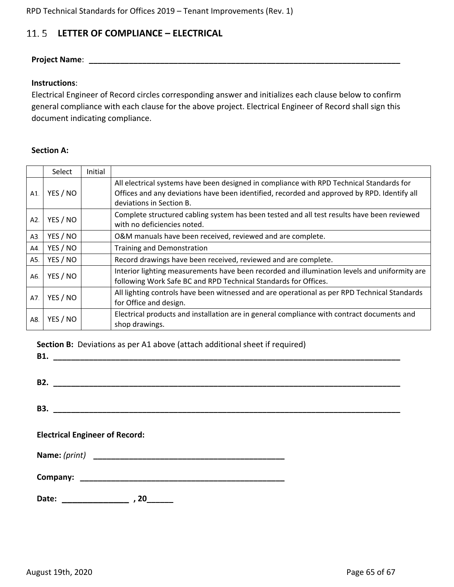## <span id="page-64-0"></span>**LETTER OF COMPLIANCE – ELECTRICAL**

### **Project Name: with a set of the set of the set of the set of the set of the set of the set of the set of the set of the set of the set of the set of the set of the set of the set of the set of the set of the set of the**

### **Instructions**:

Electrical Engineer of Record circles corresponding answer and initializes each clause below to confirm general compliance with each clause for the above project. Electrical Engineer of Record shall sign this document indicating compliance.

### **Section A:**

|     | Select   | Initial |                                                                                                                                                                                                                     |
|-----|----------|---------|---------------------------------------------------------------------------------------------------------------------------------------------------------------------------------------------------------------------|
| A1. | YES / NO |         | All electrical systems have been designed in compliance with RPD Technical Standards for<br>Offices and any deviations have been identified, recorded and approved by RPD. Identify all<br>deviations in Section B. |
| A2. | YES / NO |         | Complete structured cabling system has been tested and all test results have been reviewed<br>with no deficiencies noted.                                                                                           |
| A3. | YES / NO |         | O&M manuals have been received, reviewed and are complete.                                                                                                                                                          |
| A4. | YES / NO |         | <b>Training and Demonstration</b>                                                                                                                                                                                   |
| A5. | YES / NO |         | Record drawings have been received, reviewed and are complete.                                                                                                                                                      |
| A6. | YES / NO |         | Interior lighting measurements have been recorded and illumination levels and uniformity are<br>following Work Safe BC and RPD Technical Standards for Offices.                                                     |
| A7. | YES / NO |         | All lighting controls have been witnessed and are operational as per RPD Technical Standards<br>for Office and design.                                                                                              |
| A8. | YES / NO |         | Electrical products and installation are in general compliance with contract documents and<br>shop drawings.                                                                                                        |

**Section B:** Deviations as per A1 above (attach additional sheet if required)

**B1. \_\_\_\_\_\_\_\_\_\_\_\_\_\_\_\_\_\_\_\_\_\_\_\_\_\_\_\_\_\_\_\_\_\_\_\_\_\_\_\_\_\_\_\_\_\_\_\_\_\_\_\_\_\_\_\_\_\_\_\_\_\_\_\_\_\_\_\_\_\_\_\_\_\_\_\_\_\_**

**B2. \_\_\_\_\_\_\_\_\_\_\_\_\_\_\_\_\_\_\_\_\_\_\_\_\_\_\_\_\_\_\_\_\_\_\_\_\_\_\_\_\_\_\_\_\_\_\_\_\_\_\_\_\_\_\_\_\_\_\_\_\_\_\_\_\_\_\_\_\_\_\_\_\_\_\_\_\_\_**

**B3. \_\_\_\_\_\_\_\_\_\_\_\_\_\_\_\_\_\_\_\_\_\_\_\_\_\_\_\_\_\_\_\_\_\_\_\_\_\_\_\_\_\_\_\_\_\_\_\_\_\_\_\_\_\_\_\_\_\_\_\_\_\_\_\_\_\_\_\_\_\_\_\_\_\_\_\_\_\_**

### **Electrical Engineer of Record:**

**Name:** *(print)* **\_\_\_\_\_\_\_\_\_\_\_\_\_\_\_\_\_\_\_\_\_\_\_\_\_\_\_\_\_\_\_\_\_\_\_\_\_\_\_\_\_\_\_**

**Company: \_\_\_\_\_\_\_\_\_\_\_\_\_\_\_\_\_\_\_\_\_\_\_\_\_\_\_\_\_\_\_\_\_\_\_\_\_\_\_\_\_\_\_\_\_\_**

**Date: \_\_\_\_\_\_\_\_\_\_\_\_\_ , 20\_\_\_\_\_\_**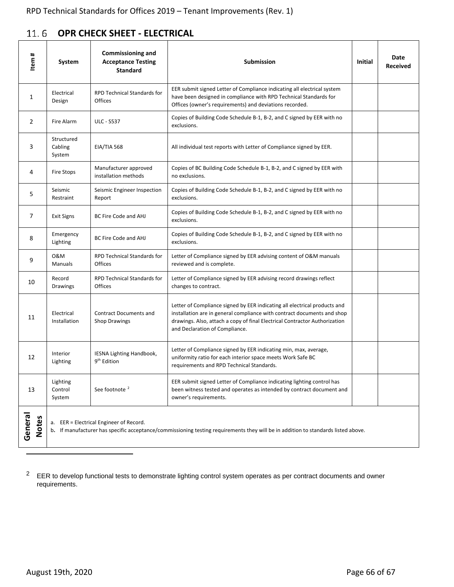<span id="page-65-0"></span>

|  | 11.6 OPR CHECK SHEET - ELECTRICAL |  |
|--|-----------------------------------|--|
|--|-----------------------------------|--|

| #<br>Item               | System                                                                                                                                                                             | <b>Commissioning and</b><br><b>Acceptance Testing</b><br><b>Standard</b> | <b>Submission</b>                                                                                                                                                                                                                                                    | Initial | Date<br><b>Received</b> |  |
|-------------------------|------------------------------------------------------------------------------------------------------------------------------------------------------------------------------------|--------------------------------------------------------------------------|----------------------------------------------------------------------------------------------------------------------------------------------------------------------------------------------------------------------------------------------------------------------|---------|-------------------------|--|
| 1                       | Electrical<br>Design                                                                                                                                                               | <b>RPD Technical Standards for</b><br>Offices                            | EER submit signed Letter of Compliance indicating all electrical system<br>have been designed in compliance with RPD Technical Standards for<br>Offices (owner's requirements) and deviations recorded.                                                              |         |                         |  |
| 2                       | Fire Alarm                                                                                                                                                                         | <b>ULC - S537</b>                                                        | Copies of Building Code Schedule B-1, B-2, and C signed by EER with no<br>exclusions.                                                                                                                                                                                |         |                         |  |
| 3                       | Structured<br>Cabling<br>System                                                                                                                                                    | <b>EIA/TIA 568</b>                                                       | All individual test reports with Letter of Compliance signed by EER.                                                                                                                                                                                                 |         |                         |  |
| 4                       | Fire Stops                                                                                                                                                                         | Manufacturer approved<br>installation methods                            | Copies of BC Building Code Schedule B-1, B-2, and C signed by EER with<br>no exclusions.                                                                                                                                                                             |         |                         |  |
| 5                       | Seismic<br>Restraint                                                                                                                                                               | Seismic Engineer Inspection<br>Report                                    | Copies of Building Code Schedule B-1, B-2, and C signed by EER with no<br>exclusions.                                                                                                                                                                                |         |                         |  |
| 7                       | <b>Exit Signs</b>                                                                                                                                                                  | BC Fire Code and AHJ                                                     | Copies of Building Code Schedule B-1, B-2, and C signed by EER with no<br>exclusions.                                                                                                                                                                                |         |                         |  |
| 8                       | Emergency<br>Lighting                                                                                                                                                              | BC Fire Code and AHJ                                                     | Copies of Building Code Schedule B-1, B-2, and C signed by EER with no<br>exclusions.                                                                                                                                                                                |         |                         |  |
| 9                       | 0&M<br>Manuals                                                                                                                                                                     | <b>RPD Technical Standards for</b><br>Offices                            | Letter of Compliance signed by EER advising content of O&M manuals<br>reviewed and is complete.                                                                                                                                                                      |         |                         |  |
| 10                      | Record<br><b>Drawings</b>                                                                                                                                                          | <b>RPD Technical Standards for</b><br>Offices                            | Letter of Compliance signed by EER advising record drawings reflect<br>changes to contract.                                                                                                                                                                          |         |                         |  |
| 11                      | Electrical<br>Installation                                                                                                                                                         | <b>Contract Documents and</b><br><b>Shop Drawings</b>                    | Letter of Compliance signed by EER indicating all electrical products and<br>installation are in general compliance with contract documents and shop<br>drawings. Also, attach a copy of final Electrical Contractor Authorization<br>and Declaration of Compliance. |         |                         |  |
| 12                      | Interior<br>Lighting                                                                                                                                                               | IESNA Lighting Handbook,<br>9 <sup>th</sup> Edition                      | Letter of Compliance signed by EER indicating min, max, average,<br>uniformity ratio for each interior space meets Work Safe BC<br>requirements and RPD Technical Standards.                                                                                         |         |                         |  |
| 13                      | Lighting<br>Control<br>System                                                                                                                                                      | See footnote <sup>2</sup>                                                | EER submit signed Letter of Compliance indicating lighting control has<br>been witness tested and operates as intended by contract document and<br>owner's requirements.                                                                                             |         |                         |  |
| General<br><b>Notes</b> | EER = Electrical Engineer of Record.<br>а.<br>If manufacturer has specific acceptance/commissioning testing requirements they will be in addition to standards listed above.<br>b. |                                                                          |                                                                                                                                                                                                                                                                      |         |                         |  |

<span id="page-65-1"></span> $2$  EER to develop functional tests to demonstrate lighting control system operates as per contract documents and owner requirements.

<u>.</u>